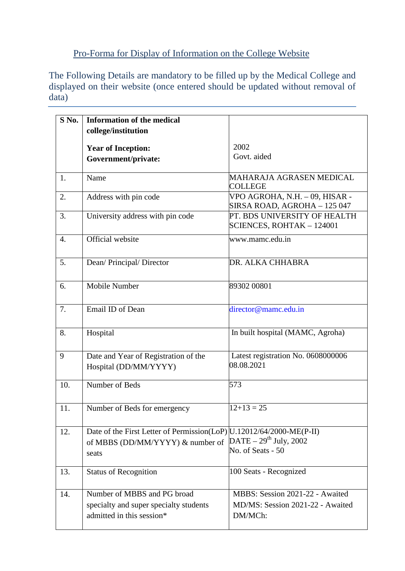## Pro-Forma for Display of Information on the College Website

The Following Details are mandatory to be filled up by the Medical College and displayed on their website (once entered should be updated without removal of data)

| S No.            | <b>Information of the medical</b>                                     |                                    |
|------------------|-----------------------------------------------------------------------|------------------------------------|
|                  |                                                                       |                                    |
|                  | college/institution                                                   |                                    |
|                  | <b>Year of Inception:</b>                                             | 2002                               |
|                  | Government/private:                                                   | Govt. aided                        |
|                  |                                                                       |                                    |
| 1.               | Name                                                                  | MAHARAJA AGRASEN MEDICAL           |
|                  |                                                                       | <b>COLLEGE</b>                     |
| 2.               | Address with pin code                                                 | VPO AGROHA, N.H. – 09, HISAR -     |
|                  |                                                                       | SIRSA ROAD, AGROHA - 125 047       |
| 3.               | University address with pin code                                      | PT. BDS UNIVERSITY OF HEALTH       |
|                  |                                                                       | SCIENCES, ROHTAK - 124001          |
| $\overline{4}$ . | Official website                                                      | www.mamc.edu.in                    |
|                  |                                                                       |                                    |
| 5.               | Dean/ Principal/ Director                                             | DR. ALKA CHHABRA                   |
|                  |                                                                       |                                    |
|                  | Mobile Number                                                         | 89302 00801                        |
| 6.               |                                                                       |                                    |
|                  |                                                                       |                                    |
| 7.               | Email ID of Dean                                                      | director@mamc.edu.in               |
|                  |                                                                       |                                    |
| 8.               | Hospital                                                              | In built hospital (MAMC, Agroha)   |
|                  |                                                                       |                                    |
| 9                | Date and Year of Registration of the                                  | Latest registration No. 0608000006 |
|                  | Hospital (DD/MM/YYYY)                                                 | 08.08.2021                         |
|                  |                                                                       |                                    |
| 10.              | Number of Beds                                                        | 573                                |
|                  |                                                                       |                                    |
| 11.              | Number of Beds for emergency                                          | $12+13=25$                         |
|                  |                                                                       |                                    |
| 12.              | Date of the First Letter of Permission(LoP)  U.12012/64/2000-ME(P-II) |                                    |
|                  |                                                                       | DATE – $29^{\text{th}}$ July, 2002 |
|                  | of MBBS (DD/MM/YYYY) & number of                                      | No. of Seats - 50                  |
|                  | seats                                                                 |                                    |
| 13.              | <b>Status of Recognition</b>                                          | 100 Seats - Recognized             |
|                  |                                                                       |                                    |
| 14.              | Number of MBBS and PG broad                                           | MBBS: Session 2021-22 - Awaited    |
|                  |                                                                       |                                    |
|                  | specialty and super specialty students                                | MD/MS: Session 2021-22 - Awaited   |
|                  | admitted in this session*                                             | DM/MCh:                            |
|                  |                                                                       |                                    |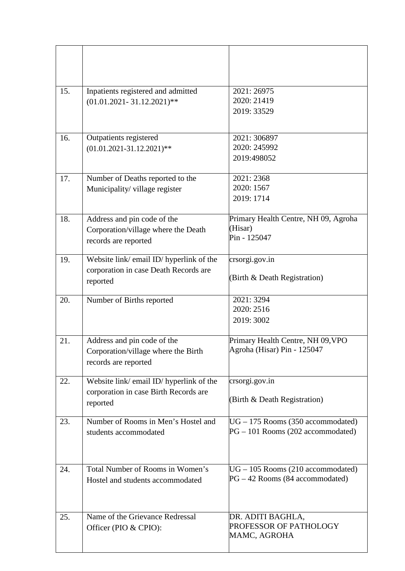| 15. | Inpatients registered and admitted<br>$(01.01.2021 - 31.12.2021)$ **                          | 2021: 26975<br>2020: 21419<br>2019: 33529                                |
|-----|-----------------------------------------------------------------------------------------------|--------------------------------------------------------------------------|
| 16. | Outpatients registered<br>$(01.01.2021 - 31.12.2021)$ **                                      | 2021: 306897<br>2020: 245992<br>2019:498052                              |
| 17. | Number of Deaths reported to the<br>Municipality/village register                             | 2021: 2368<br>2020: 1567<br>2019: 1714                                   |
| 18. | Address and pin code of the<br>Corporation/village where the Death<br>records are reported    | Primary Health Centre, NH 09, Agroha<br>(Hisar)<br>Pin - 125047          |
| 19. | Website link/ email ID/ hyperlink of the<br>corporation in case Death Records are<br>reported | crsorgi.gov.in<br>(Birth & Death Registration)                           |
| 20. | Number of Births reported                                                                     | 2021: 3294<br>2020: 2516<br>2019: 3002                                   |
| 21. | Address and pin code of the<br>Corporation/village where the Birth<br>records are reported    | Primary Health Centre, NH 09, VPO<br>Agroha (Hisar) Pin - 125047         |
| 22. | Website link/ email ID/ hyperlink of the<br>corporation in case Birth Records are<br>reported | crsorgi.gov.in<br>(Birth & Death Registration)                           |
| 23. | Number of Rooms in Men's Hostel and<br>students accommodated                                  | $UG - 175$ Rooms (350 accommodated)<br>PG - 101 Rooms (202 accommodated) |
| 24. | Total Number of Rooms in Women's<br>Hostel and students accommodated                          | $UG - 105$ Rooms (210 accommodated)<br>$PG-42$ Rooms (84 accommodated)   |
| 25. | Name of the Grievance Redressal<br>Officer (PIO & CPIO):                                      | DR. ADITI BAGHLA,<br>PROFESSOR OF PATHOLOGY<br>MAMC, AGROHA              |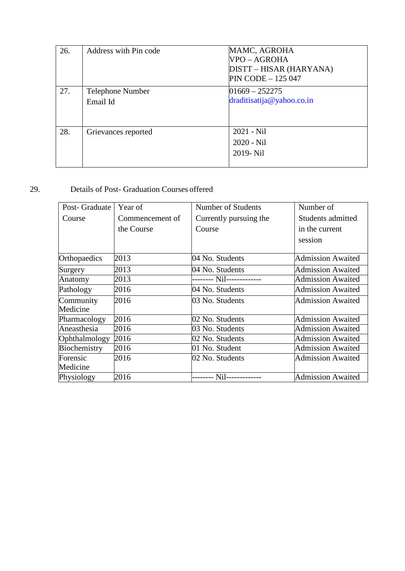| 26. | Address with Pin code        | MAMC, AGROHA<br>VPO – AGROHA<br>DISTT – HISAR (HARYANA)<br>$PIN CODE - 125047$ |
|-----|------------------------------|--------------------------------------------------------------------------------|
| 27. | Telephone Number<br>Email Id | $01669 - 252275$<br>draditisatija@yahoo.co.in                                  |
| 28. | Grievances reported          | $2021 - Nil$<br>$2020 - Nil$<br>2019- Nil                                      |

## 29. Details of Post- Graduation Courses offered

| Post-Graduate | Year of         | Number of Students     | Number of                |
|---------------|-----------------|------------------------|--------------------------|
| Course        | Commencement of | Currently pursuing the | Students admitted        |
|               | the Course      | Course                 | in the current           |
|               |                 |                        | session                  |
|               |                 |                        |                          |
| Orthopaedics  | 2013            | 04 No. Students        | <b>Admission Awaited</b> |
| Surgery       | 2013            | 04 No. Students        | <b>Admission Awaited</b> |
| Anatomy       | 2013            |                        | <b>Admission Awaited</b> |
| Pathology     | 2016            | 04 No. Students        | <b>Admission Awaited</b> |
| Community     | 2016            | 03 No. Students        | <b>Admission Awaited</b> |
| Medicine      |                 |                        |                          |
| Pharmacology  | 2016            | 02 No. Students        | <b>Admission Awaited</b> |
| Aneasthesia   | 2016            | 03 No. Students        | <b>Admission Awaited</b> |
| Ophthalmology | 2016            | 02 No. Students        | <b>Admission Awaited</b> |
| Biochemistry  | 2016            | 01 No. Student         | <b>Admission Awaited</b> |
| Forensic      | 2016            | 02 No. Students        | <b>Admission Awaited</b> |
| Medicine      |                 |                        |                          |
| Physiology    | 2016            |                        | <b>Admission Awaited</b> |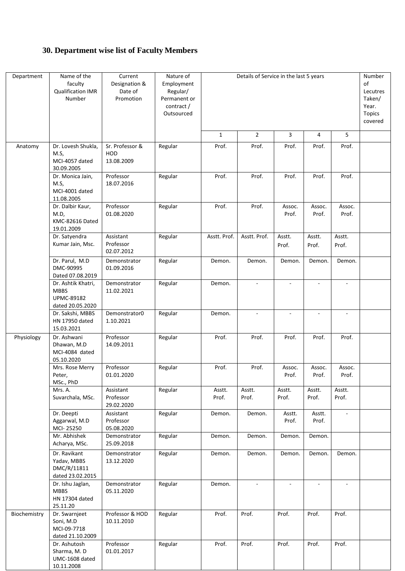## **30. Department wise list of Faculty Members**

| Department   | Name of the<br>faculty<br><b>Qualification IMR</b><br>Number               | Current<br>Designation &<br>Date of<br>Promotion | Nature of<br>Employment<br>Regular/<br>Permanent or<br>contract/<br>Outsourced |                 | Details of Service in the last 5 years |                 |                 |                          | Number<br>of<br>Lecutres<br>Taken/<br>Year.<br><b>Topics</b><br>covered |
|--------------|----------------------------------------------------------------------------|--------------------------------------------------|--------------------------------------------------------------------------------|-----------------|----------------------------------------|-----------------|-----------------|--------------------------|-------------------------------------------------------------------------|
|              |                                                                            |                                                  |                                                                                | $\mathbf{1}$    | $\overline{2}$                         | 3               | 4               | 5                        |                                                                         |
| Anatomy      | Dr. Lovesh Shukla,<br>M.S,<br>MCI-4057 dated<br>30.09.2005                 | Sr. Professor &<br>HOD<br>13.08.2009             | Regular                                                                        | Prof.           | Prof.                                  | Prof.           | Prof.           | Prof.                    |                                                                         |
|              | Dr. Monica Jain,<br>M.S,<br>MCI-4001 dated<br>11.08.2005                   | Professor<br>18.07.2016                          | Regular                                                                        | Prof.           | Prof.                                  | Prof.           | Prof.           | Prof.                    |                                                                         |
|              | Dr. Dalbir Kaur,<br>M.D,<br>KMC-82616 Dated<br>19.01.2009                  | Professor<br>01.08.2020                          | Regular                                                                        | Prof.           | Prof.                                  | Assoc.<br>Prof. | Assoc.<br>Prof. | Assoc.<br>Prof.          |                                                                         |
|              | Dr. Satyendra<br>Kumar Jain, Msc.                                          | Assistant<br>Professor<br>02.07.2012             | Regular                                                                        | Asstt. Prof.    | Asstt. Prof.                           | Asstt.<br>Prof. | Asstt.<br>Prof. | Asstt.<br>Prof.          |                                                                         |
|              | Dr. Parul, M.D<br>DMC-90995<br>Dated 07.08.2019                            | Demonstrator<br>01.09.2016                       | Regular                                                                        | Demon.          | Demon.                                 | Demon.          | Demon.          | Demon.                   |                                                                         |
|              | Dr. Ashtik Khatri,<br><b>MBBS</b><br><b>UPMC-89182</b><br>dated 20.05.2020 | Demonstrator<br>11.02.2021                       | Regular                                                                        | Demon.          |                                        |                 |                 | $\overline{a}$           |                                                                         |
|              | Dr. Sakshi, MBBS<br>HN 17950 dated<br>15.03.2021                           | Demonstrator0<br>1.10.2021                       | Regular                                                                        | Demon.          |                                        |                 |                 |                          |                                                                         |
| Physiology   | Dr. Ashwani<br>Dhawan, M.D<br>MCI-4084 dated<br>05.10.2020                 | Professor<br>14.09.2011                          | Regular                                                                        | Prof.           | Prof.                                  | Prof.           | Prof.           | Prof.                    |                                                                         |
|              | Mrs. Rose Merry<br>Peter,<br>MSc., PhD                                     | Professor<br>01.01.2020                          | Regular                                                                        | Prof.           | Prof.                                  | Assoc.<br>Prof. | Assoc.<br>Prof. | Assoc.<br>Prof.          |                                                                         |
|              | Mrs. A.<br>Suvarchala, MSc.                                                | Assistant<br>Professor<br>29.02.2020             | Regular                                                                        | Asstt.<br>Prof. | Asstt.<br>Prof.                        | Asstt.<br>Prof. | Asstt.<br>Prof. | Asstt.<br>Prof.          |                                                                         |
|              | Dr. Deepti<br>Aggarwal, M.D<br>MCI-25250                                   | Assistant<br>Professor<br>05.08.2020             | Regular                                                                        | Demon.          | Demon.                                 | Asstt.<br>Prof. | Asstt.<br>Prof. | $\overline{\phantom{a}}$ |                                                                         |
|              | Mr. Abhishek<br>Acharya, MSc.                                              | Demonstrator<br>25.09.2018                       | Regular                                                                        | Demon.          | Demon.                                 | Demon.          | Demon.          |                          |                                                                         |
|              | Dr. Ravikant<br>Yadav, MBBS<br>DMC/R/11811<br>dated 23.02.2015             | Demonstrator<br>13.12.2020                       | Regular                                                                        | Demon.          | Demon.                                 | Demon.          | Demon.          | Demon.                   |                                                                         |
|              | Dr. Ishu Jaglan,<br><b>MBBS</b><br>HN 17304 dated<br>25.11.20              | Demonstrator<br>05.11.2020                       | Regular                                                                        | Demon.          |                                        | $\sim$          |                 | $\blacksquare$           |                                                                         |
| Biochemistry | Dr. Swarnjeet<br>Soni, M.D<br>MCI-09-7718<br>dated 21.10.2009              | Professor & HOD<br>10.11.2010                    | Regular                                                                        | Prof.           | Prof.                                  | Prof.           | Prof.           | Prof.                    |                                                                         |
|              | Dr. Ashutosh<br>Sharma, M.D<br>UMC-1608 dated<br>10.11.2008                | Professor<br>01.01.2017                          | Regular                                                                        | Prof.           | Prof.                                  | Prof.           | Prof.           | Prof.                    |                                                                         |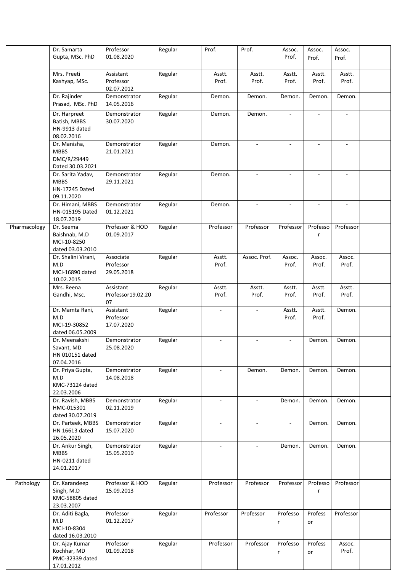|              | Dr. Samarta<br>Gupta, MSc. PhD                                          | Professor<br>01.08.2020              | Regular | Prof.                    | Prof.                    | Assoc.<br>Prof.          | Assoc.<br>Prof. | Assoc.<br>Prof.          |  |
|--------------|-------------------------------------------------------------------------|--------------------------------------|---------|--------------------------|--------------------------|--------------------------|-----------------|--------------------------|--|
|              | Mrs. Preeti<br>Kashyap, MSc.                                            | Assistant<br>Professor<br>02.07.2012 | Regular | Asstt.<br>Prof.          | Asstt.<br>Prof.          | Asstt.<br>Prof.          | Asstt.<br>Prof. | Asstt.<br>Prof.          |  |
|              | Dr. Rajinder<br>Prasad, MSc. PhD                                        | Demonstrator<br>14.05.2016           | Regular | Demon.                   | Demon.                   | Demon.                   | Demon.          | Demon.                   |  |
|              | Dr. Harpreet<br>Batish, MBBS<br>HN-9913 dated<br>08.02.2016             | Demonstrator<br>30.07.2020           | Regular | Demon.                   | Demon.                   | $\mathbf{r}$             | $\sim$          | $\mathbf{r}$             |  |
|              | Dr. Manisha,<br><b>MBBS</b><br>DMC/R/29449<br>Dated 30.03.2021          | Demonstrator<br>21.01.2021           | Regular | Demon.                   | $\overline{\phantom{a}}$ | $\overline{\phantom{a}}$ |                 | $\blacksquare$           |  |
|              | Dr. Sarita Yadav,<br><b>MBBS</b><br><b>HN-17245 Dated</b><br>09.11.2020 | Demonstrator<br>29.11.2021           | Regular | Demon.                   | $\sim$                   | $\blacksquare$           | $\sim$          | $\blacksquare$           |  |
|              | Dr. Himani, MBBS<br><b>HN-015195 Dated</b><br>18.07.2019                | Demonstrator<br>01.12.2021           | Regular | Demon.                   |                          |                          |                 | $\overline{\phantom{a}}$ |  |
| Pharmacology | Dr. Seema<br>Baishnab, M.D<br>MCI-10-8250<br>dated 03.03.2010           | Professor & HOD<br>01.09.2017        | Regular | Professor                | Professor                | Professor                | Professo<br>r   | Professor                |  |
|              | Dr. Shalini Virani,<br>M.D<br>MCI-16890 dated<br>10.02.2015             | Associate<br>Professor<br>29.05.2018 | Regular | Asstt.<br>Prof.          | Assoc. Prof.             | Assoc.<br>Prof.          | Assoc.<br>Prof. | Assoc.<br>Prof.          |  |
|              | Mrs. Reena<br>Gandhi, Msc.                                              | Assistant<br>Professor19.02.20<br>07 | Regular | Asstt.<br>Prof.          | Asstt.<br>Prof.          | Asstt.<br>Prof.          | Asstt.<br>Prof. | Asstt.<br>Prof.          |  |
|              | Dr. Mamta Rani,<br>M.D<br>MCI-19-30852<br>dated 06.05.2009              | Assistant<br>Professor<br>17.07.2020 | Regular |                          |                          | Asstt.<br>Prof.          | Asstt.<br>Prof. | Demon.                   |  |
|              | Dr. Meenakshi<br>Savant, MD<br>HN 010151 dated<br>07.04.2016            | Demonstrator<br>25.08.2020           | Regular |                          |                          |                          | Demon.          | Demon.                   |  |
|              | Dr. Priya Gupta,<br>M.D<br>KMC-73124 dated<br>22.03.2006                | Demonstrator<br>14.08.2018           | Regular | $\overline{\phantom{a}}$ | Demon.                   | Demon.                   | Demon.          | Demon.                   |  |
|              | Dr. Ravish, MBBS<br>HMC-015301<br>dated 30.07.2019                      | Demonstrator<br>02.11.2019           | Regular | $\blacksquare$           |                          | Demon.                   | Demon.          | Demon.                   |  |
|              | Dr. Parteek, MBBS<br>HN 16613 dated<br>26.05.2020                       | Demonstrator<br>15.07.2020           | Regular | $\overline{\phantom{a}}$ | $\sim$                   | $\mathbf{r}$             | Demon.          | Demon.                   |  |
|              | Dr. Ankur Singh,<br><b>MBBS</b><br>HN-0211 dated<br>24.01.2017          | Demonstrator<br>15.05.2019           | Regular | $\overline{\phantom{a}}$ | $\overline{\phantom{a}}$ | Demon.                   | Demon.          | Demon.                   |  |
| Pathology    | Dr. Karandeep<br>Singh, M.D<br>KMC-58805 dated<br>23.03.2007            | Professor & HOD<br>15.09.2013        | Regular | Professor                | Professor                | Professor                | Professo<br>r   | Professor                |  |
|              | Dr. Aditi Bagla,<br>M.D<br>MCI-10-8304<br>dated 16.03.2010              | Professor<br>01.12.2017              | Regular | Professor                | Professor                | Professo<br>r            | Profess<br>or   | Professor                |  |
|              | Dr. Ajay Kumar<br>Kochhar, MD<br>PMC-32339 dated<br>17.01.2012          | Professor<br>01.09.2018              | Regular | Professor                | Professor                | Professo<br>r            | Profess<br>or   | Assoc.<br>Prof.          |  |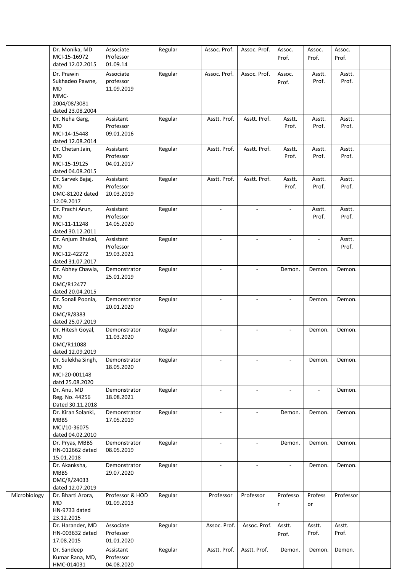|              | Dr. Monika, MD<br>MCI-15-16972<br>dated 12.02.2015                    | Associate<br>Professor<br>01.09.14   | Regular | Assoc. Prof.                | Assoc. Prof.             | Assoc.<br>Prof.          | Assoc.<br>Prof. | Assoc.<br>Prof. |  |
|--------------|-----------------------------------------------------------------------|--------------------------------------|---------|-----------------------------|--------------------------|--------------------------|-----------------|-----------------|--|
|              | Dr. Prawin<br>Sukhadeo Pawne,<br><b>MD</b><br>MMC-                    | Associate<br>professor<br>11.09.2019 | Regular | Assoc. Prof.                | Assoc. Prof.             | Assoc.<br>Prof.          | Asstt.<br>Prof. | Asstt.<br>Prof. |  |
|              | 2004/08/3081<br>dated 23.08.2004                                      |                                      |         |                             |                          |                          |                 |                 |  |
|              | Dr. Neha Garg,<br><b>MD</b><br>MCI-14-15448<br>dated 12.08.2014       | Assistant<br>Professor<br>09.01.2016 | Regular | Asstt. Prof.                | Asstt. Prof.             | Asstt.<br>Prof.          | Asstt.<br>Prof. | Asstt.<br>Prof. |  |
|              | Dr. Chetan Jain,<br><b>MD</b><br>MCI-15-19125<br>dated 04.08.2015     | Assistant<br>Professor<br>04.01.2017 | Regular | Asstt. Prof.                | Asstt. Prof.             | Asstt.<br>Prof.          | Asstt.<br>Prof. | Asstt.<br>Prof. |  |
|              | Dr. Sarvek Bajaj,<br><b>MD</b><br>DMC-81202 dated<br>12.09.2017       | Assistant<br>Professor<br>20.03.2019 | Regular | Asstt. Prof.                | Asstt. Prof.             | Asstt.<br>Prof.          | Asstt.<br>Prof. | Asstt.<br>Prof. |  |
|              | Dr. Prachi Arun,<br><b>MD</b><br>MCI-11-11248<br>dated 30.12.2011     | Assistant<br>Professor<br>14.05.2020 | Regular |                             |                          | $\overline{a}$           | Asstt.<br>Prof. | Asstt.<br>Prof. |  |
|              | Dr. Anjum Bhukal,<br>MD<br>MCI-12-42272<br>dated 31.07.2017           | Assistant<br>Professor<br>19.03.2021 | Regular |                             |                          |                          |                 | Asstt.<br>Prof. |  |
|              | Dr. Abhey Chawla,<br><b>MD</b><br>DMC/R12477<br>dated 20.04.2015      | Demonstrator<br>25.01.2019           | Regular | ÷,                          | $\overline{\phantom{a}}$ | Demon.                   | Demon.          | Demon.          |  |
|              | Dr. Sonali Poonia,<br><b>MD</b><br>DMC/R/8383<br>dated 25.07.2019     | Demonstrator<br>20.01.2020           | Regular |                             |                          |                          | Demon.          | Demon.          |  |
|              | Dr. Hitesh Goyal,<br>MD<br>DMC/R11088<br>dated 12.09.2019             | Demonstrator<br>11.03.2020           | Regular | $\blacksquare$              | $\overline{\phantom{a}}$ | ÷.                       | Demon.          | Demon.          |  |
|              | Dr. Sulekha Singh,<br><b>MD</b><br>MCI-20-001148<br>datd 25.08.2020   | Demonstrator<br>18.05.2020           | Regular |                             |                          | $\overline{a}$           | Demon.          | Demon.          |  |
|              | Dr. Anu, MD<br>Reg. No. 44256<br>Dated 30.11.2018                     | Demonstrator<br>18.08.2021           | Regular |                             |                          | $\overline{\phantom{a}}$ |                 | Demon.          |  |
|              | Dr. Kiran Solanki,<br><b>MBBS</b><br>MCI/10-36075<br>dated 04.02.2010 | Demonstrator<br>17.05.2019           | Regular | $\mathcal{L}_{\mathcal{A}}$ | $\overline{\phantom{a}}$ | Demon.                   | Demon.          | Demon.          |  |
|              | Dr. Pryas, MBBS<br>HN-012662 dated<br>15.01.2018                      | Demonstrator<br>08.05.2019           | Regular | $\overline{\phantom{a}}$    | $\overline{\phantom{a}}$ | Demon.                   | Demon.          | Demon.          |  |
|              | Dr. Akanksha,<br><b>MBBS</b><br>DMC/R/24033<br>dated 12.07.2019       | Demonstrator<br>29.07.2020           | Regular | $\mathbf{r}$                | $\blacksquare$           | $\equiv$                 | Demon.          | Demon.          |  |
| Microbiology | Dr. Bharti Arora,<br>MD<br>HN-9733 dated<br>23.12.2015                | Professor & HOD<br>01.09.2013        | Regular | Professor                   | Professor                | Professo<br>$\mathsf{r}$ | Profess<br>or   | Professor       |  |
|              | Dr. Harander, MD<br>HN-003632 dated<br>17.08.2015                     | Associate<br>Professor<br>01.01.2020 | Regular | Assoc. Prof.                | Assoc. Prof.             | Asstt.<br>Prof.          | Asstt.<br>Prof. | Asstt.<br>Prof. |  |
|              | Dr. Sandeep<br>Kumar Rana, MD,<br>HMC-014031                          | Assistant<br>Professor<br>04.08.2020 | Regular | Asstt. Prof.                | Asstt. Prof.             | Demon.                   | Demon.          | Demon.          |  |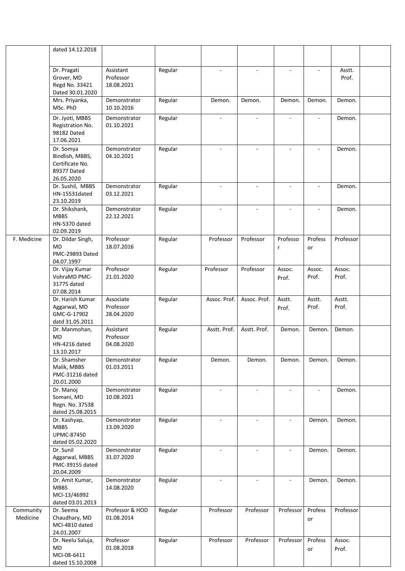|                       | dated 14.12.2018                                                             |                                      |         |                             |                          |                          |                 |                 |  |
|-----------------------|------------------------------------------------------------------------------|--------------------------------------|---------|-----------------------------|--------------------------|--------------------------|-----------------|-----------------|--|
|                       | Dr. Pragati<br>Grover, MD<br>Regd No. 33421<br>Dated 30.01.2020              | Assistant<br>Professor<br>18.08.2021 | Regular | $\sim$                      | $\blacksquare$           | $\blacksquare$           | ÷.              | Asstt.<br>Prof. |  |
|                       | Mrs. Priyanka,<br>MSc. PhD                                                   | Demonstrator<br>10.10.2016           | Regular | Demon.                      | Demon.                   | Demon.                   | Demon.          | Demon.          |  |
|                       | Dr. Jyoti, MBBS<br>Registration No.<br>98182 Dated<br>17.06.2021             | Demonstrator<br>01.10.2021           | Regular | $\blacksquare$              | $\blacksquare$           | $\overline{\phantom{a}}$ | ÷.              | Demon.          |  |
|                       | Dr. Somya<br>Bindlish, MBBS,<br>Certificate No.<br>89377 Dated<br>26.05.2020 | Demonstrator<br>04.10.2021           | Regular |                             |                          |                          |                 | Demon.          |  |
|                       | Dr. Sushil, MBBS<br>HN-15531dated<br>23.10.2019                              | Demonstrator<br>03.12.2021           | Regular | $\sim$                      | $\overline{\phantom{a}}$ | $\overline{\phantom{a}}$ |                 | Demon.          |  |
|                       | Dr. Shikshank,<br><b>MBBS</b><br>HN-5370 dated<br>02.09.2019                 | Demonstrator<br>22.12.2021           | Regular | $\omega$                    | $\omega$                 | $\overline{\phantom{a}}$ |                 | Demon.          |  |
| F. Medicine           | Dr. Dildar Singh,<br>MD<br>PMC-29893 Dated<br>04.07.1997                     | Professor<br>18.07.2016              | Regular | Professor                   | Professor                | Professo<br>r            | Profess<br>or   | Professor       |  |
|                       | Dr. Vijay Kumar<br>VohraMD PMC-<br>31775 dated<br>07.08.2014                 | Professor<br>21.01.2020              | Regular | Professor                   | Professor                | Assoc.<br>Prof.          | Assoc.<br>Prof. | Assoc.<br>Prof. |  |
|                       | Dr. Harish Kumar<br>Aggarwal, MD<br>GMC-G-17902<br>datd 31.05.2011           | Associate<br>Professor<br>28.04.2020 | Regular | Assoc. Prof.                | Assoc. Prof.             | Asstt.<br>Prof.          | Asstt.<br>Prof. | Asstt.<br>Prof. |  |
|                       | Dr. Manmohan,<br><b>MD</b><br>HN-4216 dated<br>13.10.2017                    | Assistant<br>Professor<br>04.08.2020 | Regular | Asstt. Prof.                | Asstt. Prof.             | Demon.                   | Demon.          | Demon.          |  |
|                       | Dr. Shamsher<br>Malik, MBBS<br>PMC-31216 dated<br>20.01.2000                 | Demonstrator<br>01.03.2011           | Regular | Demon.                      | Demon.                   | Demon.                   | Demon.          | Demon.          |  |
|                       | Dr. Manoj<br>Somani, MD<br>Regn. No. 37538<br>dated 25.08.2015               | Demonstrator<br>10.08.2021           | Regular | $\overline{\phantom{a}}$    |                          |                          |                 | Demon.          |  |
|                       | Dr. Kashyap,<br><b>MBBS</b><br><b>UPMC-87450</b><br>dated 05.02.2020         | Demonstrator<br>13.09.2020           | Regular | $\mathcal{L}_{\mathcal{A}}$ | $\omega$                 | $\blacksquare$           | Demon.          | Demon.          |  |
|                       | Dr. Sunil<br>Aggarwal, MBBS<br>PMC-39155 dated<br>20.04.2009                 | Demonstrator<br>31.07.2020           | Regular |                             |                          |                          | Demon.          | Demon.          |  |
|                       | Dr. Amit Kumar,<br><b>MBBS</b><br>MCI-13/46992<br>dated 03.01.2013           | Demonstrator<br>14.08.2020           | Regular | $\overline{\phantom{a}}$    | $\overline{\phantom{a}}$ | $\overline{\phantom{a}}$ | Demon.          | Demon.          |  |
| Community<br>Medicine | Dr. Seema<br>Chaudhary, MD<br>MCI-4810 dated<br>24.01.2007                   | Professor & HOD<br>01.08.2014        | Regular | Professor                   | Professor                | Professor                | Profess<br>or   | Professor       |  |
|                       | Dr. Neelu Saluja,<br>MD<br>MCI-08-6411<br>dated 15.10.2008                   | Professor<br>01.08.2018              | Regular | Professor                   | Professor                | Professor                | Profess<br>or   | Assoc.<br>Prof. |  |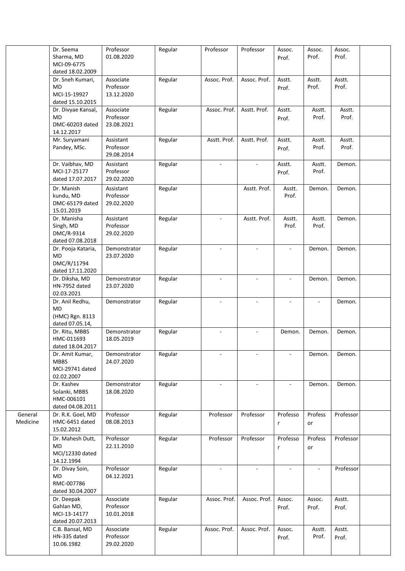|                     | Dr. Seema<br>Sharma, MD<br>MCI-09-6775                                                | Professor<br>01.08.2020              | Regular | Professor      | Professor      | Assoc.<br>Prof.             | Assoc.<br>Prof. | Assoc.<br>Prof. |  |
|---------------------|---------------------------------------------------------------------------------------|--------------------------------------|---------|----------------|----------------|-----------------------------|-----------------|-----------------|--|
|                     | dated 18.02.2009<br>Dr. Sneh Kumari,<br><b>MD</b><br>MCI-15-19927<br>dated 15.10.2015 | Associate<br>Professor<br>13.12.2020 | Regular | Assoc. Prof.   | Assoc. Prof.   | Asstt.<br>Prof.             | Asstt.<br>Prof. | Asstt.<br>Prof. |  |
|                     | Dr. Divyae Kansal,<br>MD<br>DMC-60203 dated<br>14.12.2017                             | Associate<br>Professor<br>23.08.2021 | Regular | Assoc. Prof.   | Asstt. Prof.   | Asstt.<br>Prof.             | Asstt.<br>Prof. | Asstt.<br>Prof. |  |
|                     | Mr. Suryamani<br>Pandey, MSc.                                                         | Assistant<br>Professor<br>29.08.2014 | Regular | Asstt. Prof.   | Asstt. Prof.   | Asstt.<br>Prof.             | Asstt.<br>Prof. | Asstt.<br>Prof. |  |
|                     | Dr. Vaibhav, MD<br>MCI-17-25177<br>dated 17.07.2017                                   | Assistant<br>Professor<br>29.02.2020 | Regular | $\sim$         | $\sim$         | Asstt.<br>Prof.             | Asstt.<br>Prof. | Demon.          |  |
|                     | Dr. Manish<br>kundu, MD<br>DMC-65179 dated<br>15.01.2019                              | Assistant<br>Professor<br>29.02.2020 | Regular |                | Asstt. Prof.   | Asstt.<br>Prof.             | Demon.          | Demon.          |  |
|                     | Dr. Manisha<br>Singh, MD<br>DMC/R-9314<br>dated 07.08.2018                            | Assistant<br>Professor<br>29.02.2020 | Regular |                | Asstt. Prof.   | Asstt.<br>Prof.             | Asstt.<br>Prof. | Demon.          |  |
|                     | Dr. Pooja Kataria,<br>MD<br>DMC/R/11794<br>dated 17.11.2020                           | Demonstrator<br>23.07.2020           | Regular | $\sim$         | $\sim$         |                             | Demon.          | Demon.          |  |
|                     | Dr. Diksha, MD<br>HN-7952 dated<br>02.03.2021                                         | Demonstrator<br>23.07.2020           | Regular |                |                |                             | Demon.          | Demon.          |  |
|                     | Dr. Anil Redhu,<br>MD<br>(HMC) Rgn. 8113<br>dated 07.05.14,                           | Demonstrator                         | Regular |                |                |                             |                 | Demon.          |  |
|                     | Dr. Ritu, MBBS<br>HMC-011693<br>dated 18.04.2017                                      | Demonstrator<br>18.05.2019           | Regular | ÷.             | $\mathbf{r}$   | Demon.                      | Demon.          | Demon.          |  |
|                     | Dr. Amit Kumar,<br><b>MBBS</b><br>MCI-29741 dated<br>02.02.2007                       | Demonstrator<br>24.07.2020           | Regular |                | $\mathbf{r}$   |                             | Demon.          | Demon.          |  |
|                     | Dr. Kashev<br>Solanki, MBBS<br>HMC-006101<br>dated 04.08.2011                         | Demonstrator<br>18.08.2020           | Regular | $\blacksquare$ | $\omega$       |                             | Demon.          | Demon.          |  |
| General<br>Medicine | Dr. R.K. Goel, MD<br>HMC-6451 dated<br>15.02.2012                                     | Professor<br>08.08.2013              | Regular | Professor      | Professor      | Professo<br>r               | Profess<br>or   | Professor       |  |
|                     | Dr. Mahesh Dutt,<br>MD<br>MCI/12330 dated<br>14.12.1994                               | Professor<br>22.11.2010              | Regular | Professor      | Professor      | Professo<br>r               | Profess<br>or   | Professor       |  |
|                     | Dr. Divay Soin,<br>MD.<br>RMC-007786<br>dated 30.04.2007                              | Professor<br>04.12.2021              | Regular | $\mathbf{r}$   | $\blacksquare$ | $\mathcal{L}_{\mathcal{A}}$ | $\blacksquare$  | Professor       |  |
|                     | Dr. Deepak<br>Gahlan MD,<br>MCI-13-14177<br>dated 20.07.2013                          | Associate<br>Professor<br>10.01.2018 | Regular | Assoc. Prof.   | Assoc. Prof.   | Assoc.<br>Prof.             | Assoc.<br>Prof. | Asstt.<br>Prof. |  |
|                     | C.B. Bansal, MD<br>HN-335 dated<br>10.06.1982                                         | Associate<br>Professor<br>29.02.2020 | Regular | Assoc. Prof.   | Assoc. Prof.   | Assoc.<br>Prof.             | Asstt.<br>Prof. | Asstt.<br>Prof. |  |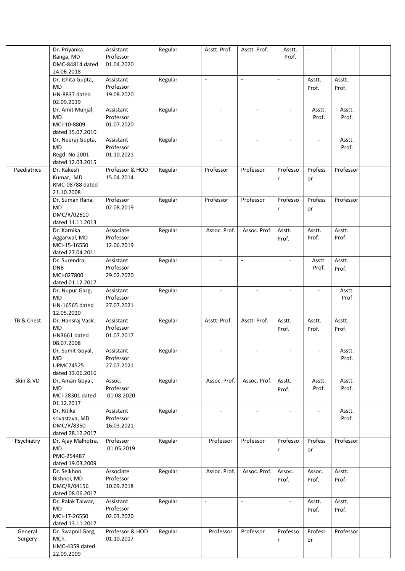|             | Dr. Priyanka<br>Ranga, MD<br>DMC-84814 dated | Assistant<br>Professor<br>01.04.2020 | Regular | Asstt. Prof.                | Asstt. Prof.             | Asstt.<br>Prof.             | $\omega$ | $\sim$    |  |
|-------------|----------------------------------------------|--------------------------------------|---------|-----------------------------|--------------------------|-----------------------------|----------|-----------|--|
|             | 24.06.2018                                   |                                      |         |                             |                          |                             |          |           |  |
|             | Dr. Ishita Gupta,                            | Assistant                            | Regular | $\overline{\phantom{a}}$    | $\overline{\phantom{a}}$ | $\overline{\phantom{a}}$    | Asstt.   | Asstt.    |  |
|             | <b>MD</b>                                    | Professor                            |         |                             |                          |                             | Prof.    | Prof.     |  |
|             | HN-8837 dated                                | 19.08.2020                           |         |                             |                          |                             |          |           |  |
|             | 02.09.2019                                   |                                      |         |                             |                          |                             |          |           |  |
|             | Dr. Amit Munjal,                             | Assistant                            | Regular | $\overline{\phantom{a}}$    | $\blacksquare$           | ÷,                          | Asstt.   | Asstt.    |  |
|             | <b>MD</b>                                    | Professor                            |         |                             |                          |                             | Prof.    | Prof.     |  |
|             | MCI-10-8809                                  | 01.07.2020                           |         |                             |                          |                             |          |           |  |
|             | dated 15.07.2010                             |                                      |         |                             |                          |                             |          |           |  |
|             | Dr. Neeraj Gupta,                            | Assistant                            | Regular | $\blacksquare$              | $\sim$                   | $\mathcal{L}_{\mathcal{A}}$ | $\sim$   | Asstt.    |  |
|             | MD                                           | Professor                            |         |                             |                          |                             |          | Prof.     |  |
|             | Regd. No 2001                                | 01.10.2021                           |         |                             |                          |                             |          |           |  |
|             | dated 12.03.2015                             |                                      |         |                             |                          |                             |          |           |  |
| Paediatrics | Dr. Rakesh                                   | Professor & HOD                      | Regular | Professor                   | Professor                | Professo                    | Profess  | Professor |  |
|             | Kumar, MD                                    | 15.04.2014                           |         |                             |                          | r                           | or       |           |  |
|             | RMC-08788 dated                              |                                      |         |                             |                          |                             |          |           |  |
|             | 21.10.2008                                   |                                      |         |                             |                          |                             |          |           |  |
|             | Dr. Suman Rana,                              | Professor                            | Regular | Professor                   | Professor                | Professo                    | Profess  | Professor |  |
|             | MD                                           | 02.08.2019                           |         |                             |                          | r                           | or       |           |  |
|             | DMC/R/02610                                  |                                      |         |                             |                          |                             |          |           |  |
|             | dated 11.11.2013                             |                                      |         |                             |                          |                             |          |           |  |
|             | Dr. Karnika                                  | Associate                            | Regular | Assoc. Prof.                | Assoc. Prof.             | Asstt.                      | Asstt.   | Asstt.    |  |
|             | Aggarwal, MD                                 | Professor                            |         |                             |                          | Prof.                       | Prof.    | Prof.     |  |
|             | MCI-15-16550                                 | 12.06.2019                           |         |                             |                          |                             |          |           |  |
|             | dated 27.04.2011                             |                                      |         |                             |                          |                             |          |           |  |
|             | Dr. Surendra,                                | Assistant                            | Regular | $\sim$                      | $\blacksquare$           | $\sim$                      | Asstt.   | Asstt.    |  |
|             | <b>DNB</b>                                   | Professor                            |         |                             |                          |                             | Prof.    | Prof.     |  |
|             | MCI-027800                                   | 29.02.2020                           |         |                             |                          |                             |          |           |  |
|             | dated 01.12.2017                             |                                      |         |                             |                          |                             |          |           |  |
|             | Dr. Nupur Garg,                              | Assistant                            | Regular | $\sim$                      | $\omega$                 | $\mathbf{r}$                | $\sim$   | Asstt.    |  |
|             | <b>MD</b>                                    | Professor                            |         |                             |                          |                             |          | Prof      |  |
|             | HN-16565 dated                               | 27.07.2021                           |         |                             |                          |                             |          |           |  |
|             | 12.05.2020                                   |                                      |         |                             |                          |                             |          |           |  |
| TB & Chest  | Dr. Hansraj Vasir,                           | Assistant                            | Regular | Asstt. Prof.                | Asstt. Prof.             | Asstt.                      | Asstt.   | Asstt.    |  |
|             | <b>MD</b>                                    | Professor                            |         |                             |                          | Prof.                       | Prof.    | Prof.     |  |
|             | HN3661 dated                                 | 01.07.2017                           |         |                             |                          |                             |          |           |  |
|             | 08.07.2008                                   |                                      |         |                             |                          |                             |          |           |  |
|             | Dr. Sumit Goyal,                             | Assistant                            | Regular |                             |                          |                             |          | Asstt.    |  |
|             | <b>MD</b>                                    | Professor                            |         |                             |                          |                             |          | Prof.     |  |
|             | <b>UPMC74525</b>                             | 27.07.2021                           |         |                             |                          |                             |          |           |  |
|             | dated 13.06.2016                             |                                      |         |                             |                          |                             |          |           |  |
| Skin & VD   | Dr. Aman Goyal,                              | Assoc.                               | Regular | Assoc. Prof.                | Assoc. Prof.             | Asstt.                      | Asstt.   | Asstt.    |  |
|             | MD<br>MCI-28301 dated                        | Professor<br>01.08.2020              |         |                             |                          | Prof.                       | Prof.    | Prof.     |  |
|             | 01.12.2017                                   |                                      |         |                             |                          |                             |          |           |  |
|             | Dr. Ritika                                   | Assistant                            | Regular | $\overline{\phantom{a}}$    | $\sim$                   | $\overline{\phantom{a}}$    |          | Asstt.    |  |
|             | srivastava, MD                               | Professor                            |         |                             |                          |                             |          | Prof.     |  |
|             | DMC/R/8350                                   | 16.03.2021                           |         |                             |                          |                             |          |           |  |
|             | dated 28.12.2017                             |                                      |         |                             |                          |                             |          |           |  |
| Psychiatry  | Dr. Ajay Malhotra,                           | Professor                            | Regular | Professor                   | Professor                | Professo                    | Profess  | Professor |  |
|             | <b>MD</b>                                    | 01.05.2019                           |         |                             |                          | r                           | or       |           |  |
|             | PMC-254487                                   |                                      |         |                             |                          |                             |          |           |  |
|             | dated 19.03.2009                             |                                      |         |                             |                          |                             |          |           |  |
|             | Dr. Seikhoo                                  | Associate                            | Regular | Assoc. Prof.                | Assoc. Prof.             | Assoc.                      | Assoc.   | Asstt.    |  |
|             | Bishnoi, MD                                  | Professor                            |         |                             |                          | Prof.                       | Prof.    | Prof.     |  |
|             | DMC/R/04156                                  | 10.09.2018                           |         |                             |                          |                             |          |           |  |
|             | dated 08.06.2017                             |                                      |         |                             |                          |                             |          |           |  |
|             | Dr. Palak Talwar,                            | Assistant                            | Regular | $\mathcal{L}_{\mathcal{A}}$ | $\sim$                   | $\sim$                      | Asstt.   | Asstt.    |  |
|             | <b>MD</b>                                    | Professor                            |         |                             |                          |                             | Prof.    | Prof.     |  |
|             | MCI-17-26550                                 | 02.03.2020                           |         |                             |                          |                             |          |           |  |
|             | dated 13.11.2017                             |                                      |         |                             |                          |                             |          |           |  |
| General     | Dr. Swapnil Garg,                            | Professor & HOD                      | Regular | Professor                   | Professor                | Professo                    | Profess  | Professor |  |
| Surgery     | MCh.                                         | 01.10.2017                           |         |                             |                          | r                           | or       |           |  |
|             | HMC-4359 dated                               |                                      |         |                             |                          |                             |          |           |  |
|             | 22.09.2009                                   |                                      |         |                             |                          |                             |          |           |  |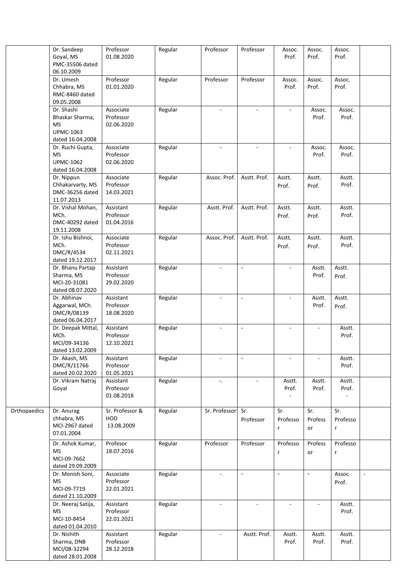|              | Dr. Sandeep<br>Goyal, MS<br>PMC-35506 dated                           | Professor<br>01.08.2020              | Regular | Professor                   | Professor                | Assoc.<br>Prof.                             | Assoc.<br>Prof.      | Assoc.<br>Prof.                   |        |
|--------------|-----------------------------------------------------------------------|--------------------------------------|---------|-----------------------------|--------------------------|---------------------------------------------|----------------------|-----------------------------------|--------|
|              | 06.10.2009<br>Dr. Umesh<br>Chhabra, MS                                | Professor<br>01.01.2020              | Regular | Professor                   | Professor                | Assoc.<br>Prof.                             | Assoc.<br>Prof.      | Assoc.<br>Prof.                   |        |
|              | RMC-8460 dated<br>09.05.2008<br>Dr. Shashi                            | Associate                            | Regular | $\mathcal{L}_{\mathcal{A}}$ | $\blacksquare$           |                                             | Assoc.               | Assoc.                            |        |
|              | Bhaskar Sharma,<br><b>MS</b><br><b>UPMC-1063</b><br>dated 16.04.2008  | Professor<br>02.06.2020              |         |                             |                          |                                             | Prof.                | Prof.                             |        |
|              | Dr. Ruchi Gupta,<br><b>MS</b><br><b>UPMC-1062</b><br>dated 16.04.2008 | Associate<br>Professor<br>02.06.2020 | Regular | $\blacksquare$              | $\blacksquare$           |                                             | Assoc.<br>Prof.      | Assoc.<br>Prof.                   |        |
|              | Dr. Nippun<br>Chhakarvarty, MS<br>DMC-36256 dated<br>11.07.2013       | Associate<br>Professor<br>14.03.2021 | Regular | Assoc. Prof.                | Asstt. Prof.             | Asstt.<br>Prof.                             | Asstt.<br>Prof.      | Asstt.<br>Prof.                   |        |
|              | Dr. Vishal Mohan,<br>MCh.<br>DMC-40292 dated<br>19.11.2008            | Assistant<br>Professor<br>01.04.2016 | Regular | Asstt. Prof.                | Asstt. Prof.             | Asstt.<br>Prof.                             | Asstt.<br>Prof.      | Asstt.<br>Prof.                   |        |
|              | Dr. Ishu Bishnoi,<br>MCh.<br>DMC/R/4534<br>dated 19.12.2017           | Associate<br>Professor<br>02.11.2021 | Regular | Assoc. Prof.                | Asstt. Prof.             | Asstt.<br>Prof.                             | Asstt.<br>Prof.      | Asstt.<br>Prof.                   |        |
|              | Dr. Bhanu Partap<br>Sharma, MS<br>MCI-20-31081<br>dated 08.07.2020    | Assistant<br>Professor<br>29.02.2020 | Regular |                             | $\overline{\phantom{a}}$ |                                             | Asstt.<br>Prof.      | Asstt.<br>Prof.                   |        |
|              | Dr. Abhinav<br>Aggarwal, MCh.<br>DMC/R/08139<br>dated 06.04.2017      | Assistant<br>Professor<br>18.08.2020 | Regular | ÷                           | $\overline{\phantom{a}}$ |                                             | Asstt.<br>Prof.      | Asstt.<br>Prof.                   |        |
|              | Dr. Deepak Mittal,<br>MCh.<br>MCI/09-34136<br>dated 13.02.2009        | Assistant<br>Professor<br>12.10.2021 | Regular |                             | $\overline{\phantom{a}}$ |                                             |                      | Asstt.<br>Prof.                   |        |
|              | Dr. Akash, MS<br>DMC/R/11766<br>dated 20.02.2020                      | Assistant<br>Professor<br>01.05.2021 | Regular | $\overline{\phantom{a}}$    | $\overline{\phantom{a}}$ |                                             |                      | Asstt.<br>Prof.                   |        |
|              | Dr. Vikram Natraj<br>Goyal                                            | Assistant<br>Professor<br>01.08.2018 | Regular | $\overline{\phantom{a}}$ .  |                          | Asstt.<br>Prof.<br>$\overline{\phantom{a}}$ | Asstt.<br>Prof.      | Asstt.<br>Prof.<br>$\blacksquare$ |        |
| Orthopaedics | Dr. Anurag<br>chhabra, MS<br>MCI-2967 dated<br>07.01.2004             | Sr. Professor &<br>HOD<br>13.08.2009 | Regular | Sr. Professor               | Sr.<br>Professor         | Sr.<br>Professo<br>$\mathsf{r}$             | Sr.<br>Profess<br>or | Sr.<br>Professo<br>r              |        |
|              | Dr. Ashok Kumar,<br><b>MS</b><br>MCI-09-7662<br>dated 29.09.2009      | Profesor<br>18.07.2016               | Regular | Professor                   | Professor                | Professo<br>$\mathsf{r}$                    | Profess<br>or        | Professo<br>$\mathsf{r}$          |        |
|              | Dr. Monish Soni,<br><b>MS</b><br>MCI-09-7719<br>dated 21.10.2009      | Associate<br>Professor<br>22.01.2021 | Regular |                             |                          | $\blacksquare$                              | $\overline{a}$       | Assoc.<br>Prof.                   | $\sim$ |
|              | Dr. Neeraj Satija,<br><b>MS</b><br>MCI-10-8454<br>dated 01.04.2010    | Assistant<br>Professor<br>22.01.2021 | Regular | $\blacksquare$              | $\blacksquare$           |                                             |                      | Asstt.<br>Prof.                   |        |
|              | Dr. Nishith<br>Sharma, DNB<br>MCI/08-32294<br>dated 28.01.2008        | Assistant<br>Professor<br>28.12.2018 | Regular |                             | Asstt. Prof.             | Asstt.<br>Prof.                             | Asstt.<br>Prof.      | Asstt.<br>Prof.                   |        |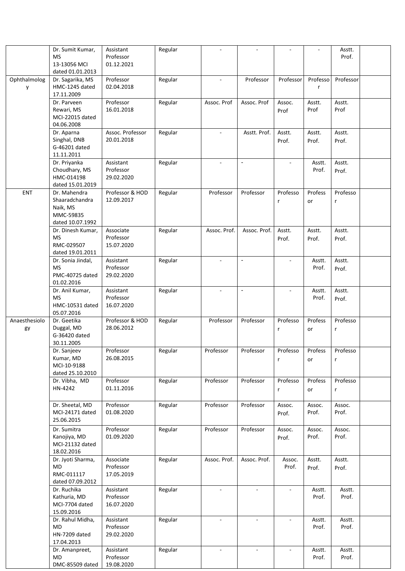|               | Dr. Sumit Kumar,  | Assistant        | Regular |              |                |                |          | Asstt.    |  |
|---------------|-------------------|------------------|---------|--------------|----------------|----------------|----------|-----------|--|
|               | <b>MS</b>         | Professor        |         |              |                |                |          | Prof.     |  |
|               | 13-13056 MCI      | 01.12.2021       |         |              |                |                |          |           |  |
|               | dated 01.01.2013  |                  |         |              |                |                |          |           |  |
| Ophthalmolog  | Dr. Sagarika, MS  | Professor        | Regular |              | Professor      | Professor      | Professo | Professor |  |
|               | HMC-1245 dated    | 02.04.2018       |         |              |                |                | r        |           |  |
| y             |                   |                  |         |              |                |                |          |           |  |
|               | 17.11.2009        |                  |         |              |                |                |          |           |  |
|               | Dr. Parveen       | Professor        | Regular | Assoc. Prof  | Assoc. Prof    | Assoc.         | Asstt.   | Asstt.    |  |
|               | Rewari, MS        | 16.01.2018       |         |              |                | Prof           | Prof     | Prof      |  |
|               | MCI-22015 dated   |                  |         |              |                |                |          |           |  |
|               | 04.06.2008        |                  |         |              |                |                |          |           |  |
|               |                   | Assoc. Professor |         |              | Asstt. Prof.   |                |          |           |  |
|               | Dr. Aparna        |                  | Regular |              |                | Asstt.         | Asstt.   | Asstt.    |  |
|               | Singhal, DNB      | 20.01.2018       |         |              |                | Prof.          | Prof.    | Prof.     |  |
|               | G-46201 dated     |                  |         |              |                |                |          |           |  |
|               | 11.11.2011        |                  |         |              |                |                |          |           |  |
|               | Dr. Priyanka      | Assistant        | Regular | ÷.           | $\blacksquare$ |                | Asstt.   | Asstt.    |  |
|               | Choudhary, MS     | Professor        |         |              |                |                | Prof.    | Prof.     |  |
|               | HMC-014198        | 29.02.2020       |         |              |                |                |          |           |  |
|               |                   |                  |         |              |                |                |          |           |  |
|               | dated 15.01.2019  |                  |         |              |                |                |          |           |  |
| ENT           | Dr. Mahendra      | Professor & HOD  | Regular | Professor    | Professor      | Professo       | Profess  | Professo  |  |
|               | Shaaradchandra    | 12.09.2017       |         |              |                | r              | or       | r         |  |
|               | Naik, MS          |                  |         |              |                |                |          |           |  |
|               | MMC-59835         |                  |         |              |                |                |          |           |  |
|               | dated 10.07.1992  |                  |         |              |                |                |          |           |  |
|               |                   |                  |         |              |                |                |          |           |  |
|               | Dr. Dinesh Kumar, | Associate        | Regular | Assoc. Prof. | Assoc. Prof.   | Asstt.         | Asstt.   | Asstt.    |  |
|               | <b>MS</b>         | Professor        |         |              |                | Prof.          | Prof.    | Prof.     |  |
|               | RMC-029507        | 15.07.2020       |         |              |                |                |          |           |  |
|               | dated 19.01.2011  |                  |         |              |                |                |          |           |  |
|               | Dr. Sonia Jindal, | Assistant        | Regular | $\sim$       | $\blacksquare$ | $\sim$         | Asstt.   | Asstt.    |  |
|               | <b>MS</b>         | Professor        |         |              |                |                | Prof.    |           |  |
|               |                   |                  |         |              |                |                |          | Prof.     |  |
|               | PMC-40725 dated   | 29.02.2020       |         |              |                |                |          |           |  |
|               | 01.02.2016        |                  |         |              |                |                |          |           |  |
|               | Dr. Anil Kumar,   | Assistant        | Regular | ÷.           | $\mathbf{r}$   | $\sim$         | Asstt.   | Asstt.    |  |
|               | <b>MS</b>         | Professor        |         |              |                |                | Prof.    | Prof.     |  |
|               | HMC-10531 dated   | 16.07.2020       |         |              |                |                |          |           |  |
|               |                   |                  |         |              |                |                |          |           |  |
|               | 05.07.2016        |                  |         |              |                |                |          |           |  |
| Anaesthesiolo | Dr. Geetika       | Professor & HOD  | Regular | Professor    | Professor      | Professo       | Profess  | Professo  |  |
| gy            | Duggal, MD        | 28.06.2012       |         |              |                | r              | or       | r         |  |
|               | G-36420 dated     |                  |         |              |                |                |          |           |  |
|               | 30.11.2005        |                  |         |              |                |                |          |           |  |
|               | Dr. Sanjeev       | Professor        | Regular | Professor    | Professor      | Professo       | Profess  | Professo  |  |
|               |                   |                  |         |              |                |                |          |           |  |
|               | Kumar, MD         | 26.08.2015       |         |              |                | r              | or       | r         |  |
|               | MCI-10-9188       |                  |         |              |                |                |          |           |  |
|               | dated 25.10.2010  |                  |         |              |                |                |          |           |  |
|               | Dr. Vibha, MD     | Professor        | Regular | Professor    | Professor      | Professo       | Profess  | Professo  |  |
|               | HN-4242           | 01.11.2016       |         |              |                | r              | or       |           |  |
|               |                   |                  |         |              |                |                |          | r         |  |
|               |                   |                  |         |              |                |                |          |           |  |
|               | Dr. Sheetal, MD   | Professor        | Regular | Professor    | Professor      | Assoc.         | Assoc.   | Assoc.    |  |
|               | MCI-24171 dated   | 01.08.2020       |         |              |                | Prof.          | Prof.    | Prof.     |  |
|               | 25.06.2015        |                  |         |              |                |                |          |           |  |
|               |                   |                  |         | Professor    |                |                |          |           |  |
|               | Dr. Sumitra       | Professor        | Regular |              | Professor      | Assoc.         | Assoc.   | Assoc.    |  |
|               | Kanojiya, MD      | 01.09.2020       |         |              |                | Prof.          | Prof.    | Prof.     |  |
|               | MCI-21132 dated   |                  |         |              |                |                |          |           |  |
|               | 18.02.2016        |                  |         |              |                |                |          |           |  |
|               | Dr. Jyoti Sharma, | Associate        | Regular | Assoc. Prof. | Assoc. Prof.   | Assoc.         | Asstt.   | Asstt.    |  |
|               | <b>MD</b>         | Professor        |         |              |                | Prof.          | Prof.    | Prof.     |  |
|               | RMC-011117        | 17.05.2019       |         |              |                |                |          |           |  |
|               |                   |                  |         |              |                |                |          |           |  |
|               | dated 07.09.2012  |                  |         |              |                |                |          |           |  |
|               | Dr. Ruchika       | Assistant        | Regular | ÷.           | $\sim$         | $\mathbf{r}$   | Asstt.   | Asstt.    |  |
|               | Kathuria, MD      | Professor        |         |              |                |                | Prof.    | Prof.     |  |
|               | MCI-7704 dated    | 16.07.2020       |         |              |                |                |          |           |  |
|               | 15.09.2016        |                  |         |              |                |                |          |           |  |
|               | Dr. Rahul Midha,  | Assistant        |         | $\sim$       | $\sim$         | $\sim$         |          | Asstt.    |  |
|               |                   |                  | Regular |              |                |                | Asstt.   |           |  |
|               | MD                | Professor        |         |              |                |                | Prof.    | Prof.     |  |
|               | HN-7209 dated     | 29.02.2020       |         |              |                |                |          |           |  |
|               | 17.04.2013        |                  |         |              |                |                |          |           |  |
|               | Dr. Amanpreet,    | Assistant        | Regular | $\sim$       | $\mathbb{Z}^2$ | $\blacksquare$ | Asstt.   | Asstt.    |  |
|               | <b>MD</b>         | Professor        |         |              |                |                | Prof.    | Prof.     |  |
|               | DMC-85509 dated   | 19.08.2020       |         |              |                |                |          |           |  |
|               |                   |                  |         |              |                |                |          |           |  |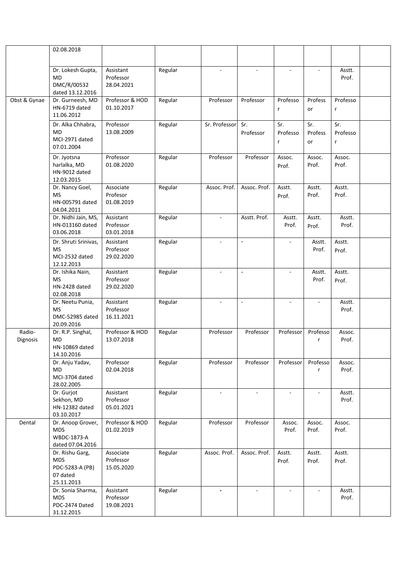|                    | 02.08.2018                                                                 |                                      |         |                |                             |                          |                          |                                 |  |
|--------------------|----------------------------------------------------------------------------|--------------------------------------|---------|----------------|-----------------------------|--------------------------|--------------------------|---------------------------------|--|
|                    |                                                                            |                                      |         |                |                             |                          |                          |                                 |  |
|                    | Dr. Lokesh Gupta,<br>MD<br>DMC/R/00532<br>dated 13.12.2016                 | Assistant<br>Professor<br>28.04.2021 | Regular | $\omega$       | ÷.                          | ×.                       |                          | Asstt.<br>Prof.                 |  |
| Obst & Gynae       | Dr. Gurneesh, MD<br>HN-6719 dated<br>11.06.2012                            | Professor & HOD<br>01.10.2017        | Regular | Professor      | Professor                   | Professo<br>r            | Profess<br>or            | Professo<br>$\mathsf{r}$        |  |
|                    | Dr. Alka Chhabra,<br>MD<br>MCI-2971 dated<br>07.01.2004                    | Professor<br>13.08.2009              | Regular | Sr. Professor  | Sr.<br>Professor            | Sr.<br>Professo<br>r     | Sr.<br>Profess<br>or     | Sr.<br>Professo<br>$\mathsf{r}$ |  |
|                    | Dr. Jyotsna<br>harlalka, MD<br>HN-9012 dated<br>12.03.2015                 | Professor<br>01.08.2020              | Regular | Professor      | Professor                   | Assoc.<br>Prof.          | Assoc.<br>Prof.          | Assoc.<br>Prof.                 |  |
|                    | Dr. Nancy Goel,<br><b>MS</b><br>HN-005791 dated<br>04.04.2011              | Associate<br>Profesor<br>01.08.2019  | Regular | Assoc. Prof.   | Assoc. Prof.                | Asstt.<br>Prof.          | Asstt.<br>Prof.          | Asstt.<br>Prof.                 |  |
|                    | Dr. Nidhi Jain, MS,<br>HN-013160 dated<br>03.06.2018                       | Assistant<br>Professor<br>03.01.2018 | Regular | $\blacksquare$ | Asstt. Prof.                | Asstt.<br>Prof.          | Asstt.<br>Prof.          | Asstt.<br>Prof.                 |  |
|                    | Dr. Shruti Srinivas,<br><b>MS</b><br>MCI-2532 dated<br>12.12.2013          | Assistant<br>Professor<br>29.02.2020 | Regular | $\sim$         | $\overline{\phantom{a}}$    | $\overline{\phantom{a}}$ | Asstt.<br>Prof.          | Asstt.<br>Prof.                 |  |
|                    | Dr. Ishika Nain,<br><b>MS</b><br>HN-2428 dated<br>02.08.2018               | Assistant<br>Professor<br>29.02.2020 | Regular |                | $\overline{\phantom{a}}$    | $\overline{a}$           | Asstt.<br>Prof.          | Asstt.<br>Prof.                 |  |
|                    | Dr. Neetu Punia,<br><b>MS</b><br>DMC-52985 dated<br>20.09.2016             | Assistant<br>Professor<br>16.11.2021 | Regular | $\blacksquare$ | $\mathcal{L}_{\mathcal{A}}$ | $\sim$                   |                          | Asstt.<br>Prof.                 |  |
| Radio-<br>Dignosis | Dr. R.P. Singhal,<br><b>MD</b><br>HN-10869 dated<br>14.10.2016             | Professor & HOD<br>13.07.2018        | Regular | Professor      | Professor                   | Professor                | Professo<br>r            | Assoc.<br>Prof.                 |  |
|                    | Dr. Anju Yadav,<br>MD<br>MCI-3704 dated<br>28.02.2005                      | Professor<br>02.04.2018              | Regular | Professor      | Professor                   | Professor                | Professo<br>r            | Assoc.<br>Prof.                 |  |
|                    | Dr. Gurjot<br>Sekhon, MD<br>HN-12382 dated<br>03.10.2017                   | Assistant<br>Professor<br>05.01.2021 | Regular | $\omega$       | $\blacksquare$              | $\blacksquare$           | $\overline{\phantom{a}}$ | Asstt.<br>Prof.                 |  |
| Dental             | Dr. Anoop Grover,<br><b>MDS</b><br>WBDC-1873-A<br>dated 07.04.2016         | Professor & HOD<br>01.02.2019        | Regular | Professor      | Professor                   | Assoc.<br>Prof.          | Assoc.<br>Prof.          | Assoc.<br>Prof.                 |  |
|                    | Dr. Rishu Garg,<br><b>MDS</b><br>PDC-5283-A (PB)<br>07 dated<br>25.11.2013 | Associate<br>Professor<br>15.05.2020 | Regular | Assoc. Prof.   | Assoc. Prof.                | Asstt.<br>Prof.          | Asstt.<br>Prof.          | Asstt.<br>Prof.                 |  |
|                    | Dr. Sonia Sharma,<br><b>MDS</b><br>PDC-2474 Dated<br>31.12.2015            | Assistant<br>Professor<br>19.08.2021 | Regular | $\sim$         | $\sim$                      | $\sim$                   |                          | Asstt.<br>Prof.                 |  |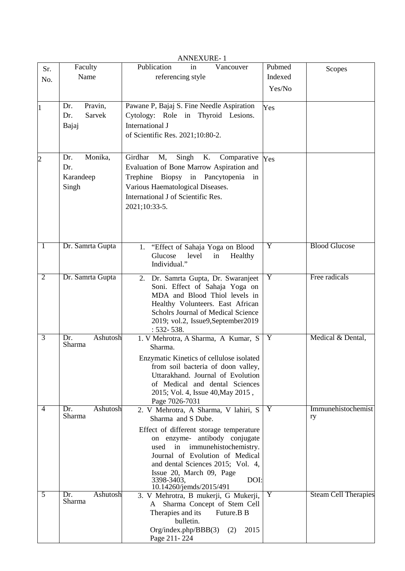| Sr.            | Faculty                   | Publication<br>Vancouver<br>in                                           | Pubmed  | Scopes                      |
|----------------|---------------------------|--------------------------------------------------------------------------|---------|-----------------------------|
| No.            | Name                      | referencing style                                                        | Indexed |                             |
|                |                           |                                                                          | Yes/No  |                             |
|                |                           |                                                                          |         |                             |
| $\mathbf{1}$   | Pravin,<br>Dr.            | Pawane P, Bajaj S. Fine Needle Aspiration                                | Yes     |                             |
|                | Sarvek<br>Dr.             | Cytology: Role in Thyroid Lesions.                                       |         |                             |
|                | Bajaj                     | International J                                                          |         |                             |
|                |                           | of Scientific Res. 2021;10:80-2.                                         |         |                             |
|                |                           |                                                                          |         |                             |
| $\overline{c}$ | Monika,<br>Dr.            | Girdhar<br>Singh<br>M,<br>K.<br>Comparative                              | Yes     |                             |
|                | Dr.                       | Evaluation of Bone Marrow Aspiration and                                 |         |                             |
|                | Karandeep                 | Trephine<br>Biopsy in Pancytopenia in                                    |         |                             |
|                | Singh                     | Various Haematological Diseases.                                         |         |                             |
|                |                           | International J of Scientific Res.                                       |         |                             |
|                |                           | 2021;10:33-5.                                                            |         |                             |
|                |                           |                                                                          |         |                             |
|                |                           |                                                                          |         |                             |
|                |                           |                                                                          |         |                             |
| $\mathbf{1}$   | Dr. Samrta Gupta          | 1. "Effect of Sahaja Yoga on Blood                                       | Y       | <b>Blood Glucose</b>        |
|                |                           | Glucose<br>level<br>Healthy<br>in                                        |         |                             |
|                |                           | Individual."                                                             |         |                             |
| $\overline{2}$ | Dr. Samrta Gupta          | 2. Dr. Samrta Gupta, Dr. Swaranjeet                                      | Y       | Free radicals               |
|                |                           | Soni. Effect of Sahaja Yoga on                                           |         |                             |
|                |                           | MDA and Blood Thiol levels in                                            |         |                             |
|                |                           | Healthy Volunteers. East African                                         |         |                             |
|                |                           | Scholrs Journal of Medical Science                                       |         |                             |
|                |                           | 2019; vol.2, Issue9,September2019                                        |         |                             |
| $\overline{3}$ | Ashutosh<br>Dr.           | $: 532 - 538.$<br>1. V Mehrotra, A Sharma, A Kumar, S                    | Y       | Medical & Dental,           |
|                | Sharma                    | Sharma.                                                                  |         |                             |
|                |                           | Enzymatic Kinetics of cellulose isolated                                 |         |                             |
|                |                           | from soil bacteria of doon valley,                                       |         |                             |
|                |                           | Uttarakhand. Journal of Evolution                                        |         |                             |
|                |                           | of Medical and dental Sciences                                           |         |                             |
|                |                           | 2015; Vol. 4, Issue 40, May 2015,                                        |         |                             |
|                |                           | Page 7026-7031                                                           |         |                             |
| 4              | Ashutosh<br>Dr.<br>Sharma | 2. V Mehrotra, A Sharma, V lahiri, S<br>Sharma and S Dube.               | Y       | Immunehistochemist<br>ry    |
|                |                           |                                                                          |         |                             |
|                |                           | Effect of different storage temperature<br>on enzyme- antibody conjugate |         |                             |
|                |                           | used<br>in immunehistochemistry.                                         |         |                             |
|                |                           | Journal of Evolution of Medical                                          |         |                             |
|                |                           | and dental Sciences 2015; Vol. 4,                                        |         |                             |
|                |                           | Issue 20, March 09, Page                                                 |         |                             |
|                |                           | DOI:<br>3398-3403,<br>10.14260/jemds/2015/491                            |         |                             |
| 5              | Ashutosh<br>Dr.           | 3. V Mehrotra, B mukerji, G Mukerji,                                     | Y       | <b>Steam Cell Therapies</b> |
|                | Sharma                    | Sharma Concept of Stem Cell<br>A                                         |         |                             |
|                |                           | Therapies and its<br>Future.B B                                          |         |                             |
|                |                           | bulletin.                                                                |         |                             |
|                |                           | Org/index.php/BBB(3)<br>2015<br>(2)                                      |         |                             |
|                |                           | Page 211-224                                                             |         |                             |

ANNEXURE- 1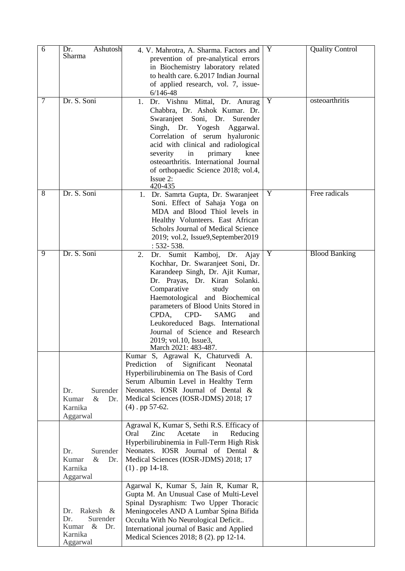| $\overline{6}$ | Ashutosh<br>Dr.                               | 4. V. Mahrotra, A. Sharma. Factors and                                           | Y | <b>Quality Control</b> |
|----------------|-----------------------------------------------|----------------------------------------------------------------------------------|---|------------------------|
|                | Sharma                                        | prevention of pre-analytical errors                                              |   |                        |
|                |                                               | in Biochemistry laboratory related                                               |   |                        |
|                |                                               | to health care. 6.2017 Indian Journal<br>of applied research, vol. 7, issue-     |   |                        |
|                |                                               | $6/146 - 48$                                                                     |   |                        |
| 7              | Dr. S. Soni                                   | Dr. Vishnu Mittal, Dr. Anurag<br>1.                                              | Y | osteoarthritis         |
|                |                                               | Chabbra, Dr. Ashok Kumar. Dr.                                                    |   |                        |
|                |                                               | Swaranjeet Soni, Dr.<br>Surender                                                 |   |                        |
|                |                                               | Singh, Dr. Yogesh Aggarwal.<br>Correlation of serum hyaluronic                   |   |                        |
|                |                                               | acid with clinical and radiological                                              |   |                        |
|                |                                               | in<br>severity<br>primary<br>knee                                                |   |                        |
|                |                                               | osteoarthritis. International Journal                                            |   |                        |
|                |                                               | of orthopaedic Science 2018; vol.4,                                              |   |                        |
|                |                                               | Issue 2:<br>420-435                                                              |   |                        |
| 8              | Dr. S. Soni                                   | 1. Dr. Samrta Gupta, Dr. Swaranjeet                                              | Y | Free radicals          |
|                |                                               | Soni. Effect of Sahaja Yoga on                                                   |   |                        |
|                |                                               | MDA and Blood Thiol levels in<br>Healthy Volunteers. East African                |   |                        |
|                |                                               | Scholrs Journal of Medical Science                                               |   |                        |
|                |                                               | 2019; vol.2, Issue9,September2019                                                |   |                        |
|                |                                               | $: 532 - 538.$                                                                   |   |                        |
| 9              | Dr. S. Soni                                   | Sumit Kamboj, Dr. Ajay<br>Dr.<br>2.                                              | Y | <b>Blood Banking</b>   |
|                |                                               | Kochhar, Dr. Swaranjeet Soni, Dr.<br>Karandeep Singh, Dr. Ajit Kumar,            |   |                        |
|                |                                               | Dr. Prayas, Dr. Kiran Solanki.                                                   |   |                        |
|                |                                               | Comparative<br>study<br>on                                                       |   |                        |
|                |                                               | Haemotological and Biochemical                                                   |   |                        |
|                |                                               | parameters of Blood Units Stored in                                              |   |                        |
|                |                                               | CPD-<br><b>SAMG</b><br>CPDA,<br>and                                              |   |                        |
|                |                                               | Leukoreduced Bags. International<br>Journal of Science and Research              |   |                        |
|                |                                               | 2019; vol.10, Issue3,                                                            |   |                        |
|                |                                               | March 2021: 483-487.                                                             |   |                        |
|                |                                               | Kumar S, Agrawal K, Chaturvedi A.<br>of<br>Prediction<br>Significant<br>Neonatal |   |                        |
|                |                                               | Hyperbilirubinemia on The Basis of Cord                                          |   |                        |
|                |                                               | Serum Albumin Level in Healthy Term                                              |   |                        |
|                | Dr.<br>Surender                               | Neonates. IOSR Journal of Dental &                                               |   |                        |
|                | Kumar<br>$\&$<br>Dr.                          | Medical Sciences (IOSR-JDMS) 2018; 17                                            |   |                        |
|                | Karnika                                       | $(4)$ . pp 57-62.                                                                |   |                        |
|                | Aggarwal                                      | Agrawal K, Kumar S, Sethi R.S. Efficacy of                                       |   |                        |
|                |                                               | Oral<br>Zinc<br>Acetate<br>in<br>Reducing                                        |   |                        |
|                |                                               | Hyperbilirubinemia in Full-Term High Risk                                        |   |                        |
|                | Dr.<br>Surender                               | Neonates. IOSR Journal of Dental &                                               |   |                        |
|                | Kumar<br>$\&$<br>Dr.<br>Karnika               | Medical Sciences (IOSR-JDMS) 2018; 17<br>$(1)$ . pp 14-18.                       |   |                        |
|                | Aggarwal                                      |                                                                                  |   |                        |
|                |                                               | Agarwal K, Kumar S, Jain R, Kumar R,                                             |   |                        |
|                |                                               | Gupta M. An Unusual Case of Multi-Level                                          |   |                        |
|                |                                               | Spinal Dysraphism: Two Upper Thoracic                                            |   |                        |
|                | Rakesh<br>Dr.<br>$\propto$<br>Surender<br>Dr. | Meningoceles AND A Lumbar Spina Bifida<br>Occulta With No Neurological Deficit   |   |                        |
|                | Kumar & Dr.                                   | International journal of Basic and Applied                                       |   |                        |
|                | Karnika                                       | Medical Sciences 2018; 8 (2). pp 12-14.                                          |   |                        |
|                | Aggarwal                                      |                                                                                  |   |                        |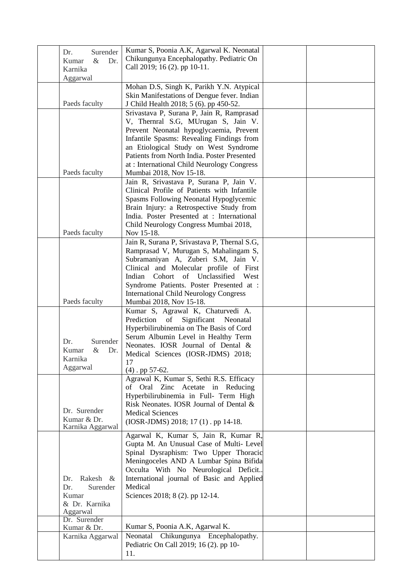| Surender<br>Dr.<br>Dr.<br>Kumar<br>$\&$<br>Karnika                       | Kumar S, Poonia A.K, Agarwal K. Neonatal<br>Chikungunya Encephalopathy. Pediatric On<br>Call 2019; 16 (2). pp 10-11.                                                                                                                                                                                                                  |  |
|--------------------------------------------------------------------------|---------------------------------------------------------------------------------------------------------------------------------------------------------------------------------------------------------------------------------------------------------------------------------------------------------------------------------------|--|
| Aggarwal                                                                 | Mohan D.S, Singh K, Parikh Y.N. Atypical                                                                                                                                                                                                                                                                                              |  |
| Paeds faculty                                                            | Skin Manifestations of Dengue fever. Indian<br>J Child Health 2018; 5 (6). pp 450-52.                                                                                                                                                                                                                                                 |  |
|                                                                          | Srivastava P, Surana P, Jain R, Ramprasad<br>V, Thernral S.G, MUrugan S, Jain V.<br>Prevent Neonatal hypoglycaemia, Prevent<br>Infantile Spasms: Revealing Findings from<br>an Etiological Study on West Syndrome                                                                                                                     |  |
| Paeds faculty                                                            | Patients from North India. Poster Presented<br>at : International Child Neurology Congress<br>Mumbai 2018, Nov 15-18.                                                                                                                                                                                                                 |  |
|                                                                          | Jain R, Srivastava P, Surana P, Jain V.<br>Clinical Profile of Patients with Infantile<br>Spasms Following Neonatal Hypoglycemic<br>Brain Injury: a Retrospective Study from<br>India. Poster Presented at : International<br>Child Neurology Congress Mumbai 2018,                                                                   |  |
| Paeds faculty                                                            | Nov 15-18.                                                                                                                                                                                                                                                                                                                            |  |
| Paeds faculty                                                            | Jain R, Surana P, Srivastava P, Thernal S.G,<br>Ramprasad V, Murugan S, Mahalingam S,<br>Subramaniyan A, Zuberi S.M, Jain V.<br>Clinical and Molecular profile of First<br>Indian Cohort of Unclassified West<br>Syndrome Patients. Poster Presented at :<br><b>International Child Neurology Congress</b><br>Mumbai 2018, Nov 15-18. |  |
| Dr.<br>Surender<br>Kumar<br>&<br>Dr.<br>Karnika<br>Aggarwal              | Kumar S, Agrawal K, Chaturvedi A.<br>Prediction<br>of<br>Significant Neonatal<br>Hyperbilirubinemia on The Basis of Cord<br>Serum Albumin Level in Healthy Term<br>Neonates. IOSR Journal of Dental &<br>Medical Sciences (IOSR-JDMS) 2018;<br>17<br>$(4)$ . pp 57-62.                                                                |  |
| Dr. Surender<br>Kumar & Dr.<br>Karnika Aggarwal                          | Agrawal K, Kumar S, Sethi R.S. Efficacy<br>of Oral Zinc Acetate in Reducing<br>Hyperbilirubinemia in Full- Term High<br>Risk Neonates. IOSR Journal of Dental &<br><b>Medical Sciences</b><br>(IOSR-JDMS) 2018; 17(1). pp 14-18.                                                                                                      |  |
| Rakesh &<br>Dr.<br>Surender<br>Dr.<br>Kumar<br>& Dr. Karnika<br>Aggarwal | Agarwal K, Kumar S, Jain R, Kumar R,<br>Gupta M. An Unusual Case of Multi-Level<br>Spinal Dysraphism: Two Upper Thoracic<br>Meningoceles AND A Lumbar Spina Bifida<br>Occulta With No Neurological Deficit<br>International journal of Basic and Applied<br>Medical<br>Sciences 2018; 8 (2). pp 12-14.                                |  |
| Dr. Surender<br>Kumar & Dr.                                              | Kumar S, Poonia A.K, Agarwal K.                                                                                                                                                                                                                                                                                                       |  |
| Karnika Aggarwal                                                         | Neonatal Chikungunya Encephalopathy.<br>Pediatric On Call 2019; 16 (2). pp 10-<br>11.                                                                                                                                                                                                                                                 |  |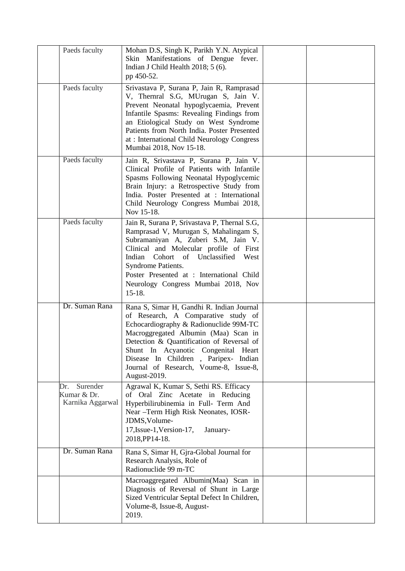| Paeds faculty                                      | Mohan D.S, Singh K, Parikh Y.N. Atypical<br>Skin Manifestations of Dengue fever.<br>Indian J Child Health 2018; 5 (6).<br>pp 450-52.                                                                                                                                                                                                                     |  |
|----------------------------------------------------|----------------------------------------------------------------------------------------------------------------------------------------------------------------------------------------------------------------------------------------------------------------------------------------------------------------------------------------------------------|--|
| Paeds faculty                                      | Srivastava P, Surana P, Jain R, Ramprasad<br>V, Thernral S.G, MUrugan S, Jain V.<br>Prevent Neonatal hypoglycaemia, Prevent<br>Infantile Spasms: Revealing Findings from<br>an Etiological Study on West Syndrome<br>Patients from North India. Poster Presented<br>at : International Child Neurology Congress<br>Mumbai 2018, Nov 15-18.               |  |
| Paeds faculty                                      | Jain R, Srivastava P, Surana P, Jain V.<br>Clinical Profile of Patients with Infantile<br>Spasms Following Neonatal Hypoglycemic<br>Brain Injury: a Retrospective Study from<br>India. Poster Presented at : International<br>Child Neurology Congress Mumbai 2018,<br>Nov 15-18.                                                                        |  |
| Paeds faculty                                      | Jain R, Surana P, Srivastava P, Thernal S.G,<br>Ramprasad V, Murugan S, Mahalingam S,<br>Subramaniyan A, Zuberi S.M, Jain V.<br>Clinical and Molecular profile of First<br>Indian<br>Cohort of Unclassified West<br>Syndrome Patients.<br>Poster Presented at : International Child<br>Neurology Congress Mumbai 2018, Nov<br>$15-18.$                   |  |
| Dr. Suman Rana                                     | Rana S, Simar H, Gandhi R. Indian Journal<br>of Research, A Comparative study of<br>Echocardiography & Radionuclide 99M-TC<br>Macroggregated Albumin (Maa) Scan in<br>Detection & Quantification of Reversal of<br>Shunt In Acyanotic Congenital Heart<br>Disease In Children, Paripex- Indian<br>Journal of Research, Voume-8, Issue-8,<br>August-2019. |  |
| Surender<br>Dr.<br>Kumar & Dr.<br>Karnika Aggarwal | Agrawal K, Kumar S, Sethi RS. Efficacy<br>of Oral Zinc Acetate in Reducing<br>Hyperbilirubinemia in Full- Term And<br>Near -Term High Risk Neonates, IOSR-<br>JDMS, Volume-<br>17, Issue-1, Version-17,<br>January-<br>2018, PP14-18.                                                                                                                    |  |
| Dr. Suman Rana                                     | Rana S, Simar H, Gjra-Global Journal for<br>Research Analysis, Role of<br>Radionuclide 99 m-TC                                                                                                                                                                                                                                                           |  |
|                                                    | Macroaggregated Albumin(Maa) Scan in<br>Diagnosis of Reversal of Shunt in Large<br>Sized Ventricular Septal Defect In Children,<br>Volume-8, Issue-8, August-<br>2019.                                                                                                                                                                                   |  |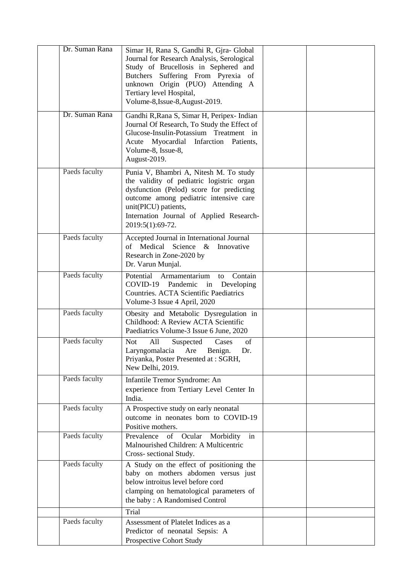| Dr. Suman Rana | Simar H, Rana S, Gandhi R, Gjra- Global<br>Journal for Research Analysis, Serological<br>Study of Brucellosis in Sephered and<br>Butchers Suffering From Pyrexia of<br>unknown Origin (PUO) Attending A<br>Tertiary level Hospital,<br>Volume-8, Issue-8, August-2019. |  |
|----------------|------------------------------------------------------------------------------------------------------------------------------------------------------------------------------------------------------------------------------------------------------------------------|--|
| Dr. Suman Rana | Gandhi R, Rana S, Simar H, Peripex-Indian<br>Journal Of Research, To Study the Effect of<br>Glucose-Insulin-Potassium Treatment in<br>Acute Myocardial<br>Infarction Patients,<br>Volume-8, Issue-8,<br>August-2019.                                                   |  |
| Paeds faculty  | Punia V, Bhambri A, Nitesh M. To study<br>the validity of pediatric logistric organ<br>dysfunction (Pelod) score for predicting<br>outcome among pediatric intensive care<br>unit(PICU) patients,<br>Internation Journal of Applied Research-<br>2019:5(1):69-72.      |  |
| Paeds faculty  | Accepted Journal in International Journal<br>Medical<br>Science $\&$<br>Innovative<br>of<br>Research in Zone-2020 by<br>Dr. Varun Munjal.                                                                                                                              |  |
| Paeds faculty  | Potential<br>Contain<br>Armamentarium<br>to<br>$COVID-19$<br>Pandemic<br>Developing<br>in<br>Countries. ACTA Scientific Paediatrics<br>Volume-3 Issue 4 April, 2020                                                                                                    |  |
| Paeds faculty  | Obesity and Metabolic Dysregulation in<br>Childhood: A Review ACTA Scientific<br>Paediatrics Volume-3 Issue 6 June, 2020                                                                                                                                               |  |
| Paeds faculty  | All<br><b>Not</b><br>Suspected<br>Cases<br>of<br>Laryngomalacia<br>Are<br>Benign.<br>Dr.<br>Priyanka, Poster Presented at: SGRH,<br>New Delhi, 2019.                                                                                                                   |  |
| Paeds faculty  | Infantile Tremor Syndrome: An<br>experience from Tertiary Level Center In<br>India.                                                                                                                                                                                    |  |
| Paeds faculty  | A Prospective study on early neonatal<br>outcome in neonates born to COVID-19<br>Positive mothers.                                                                                                                                                                     |  |
| Paeds faculty  | Prevalence<br>of Ocular<br>Morbidity<br>in<br>Malnourished Children: A Multicentric<br>Cross-sectional Study.                                                                                                                                                          |  |
| Paeds faculty  | A Study on the effect of positioning the<br>baby on mothers abdomen versus just<br>below introitus level before cord<br>clamping on hematological parameters of<br>the baby: A Randomised Control                                                                      |  |
|                | Trial                                                                                                                                                                                                                                                                  |  |
| Paeds faculty  | Assessment of Platelet Indices as a<br>Predictor of neonatal Sepsis: A<br>Prospective Cohort Study                                                                                                                                                                     |  |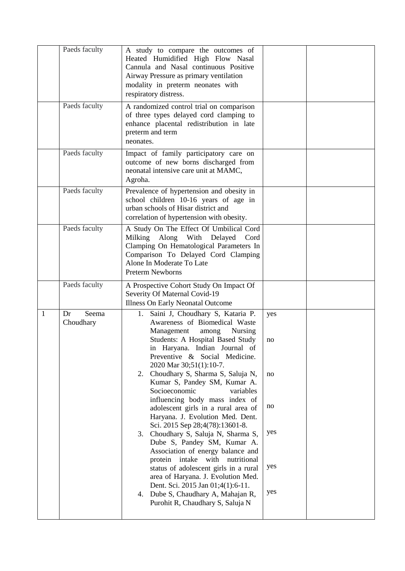|   | Paeds faculty            | A study to compare the outcomes of<br>Heated Humidified High Flow Nasal<br>Cannula and Nasal continuous Positive<br>Airway Pressure as primary ventilation<br>modality in preterm neonates with<br>respiratory distress.                                                                                                                                                                                                                                                                                                                                                                                                                                                                                                                                                                                                                                                                                     |
|---|--------------------------|--------------------------------------------------------------------------------------------------------------------------------------------------------------------------------------------------------------------------------------------------------------------------------------------------------------------------------------------------------------------------------------------------------------------------------------------------------------------------------------------------------------------------------------------------------------------------------------------------------------------------------------------------------------------------------------------------------------------------------------------------------------------------------------------------------------------------------------------------------------------------------------------------------------|
|   | Paeds faculty            | A randomized control trial on comparison<br>of three types delayed cord clamping to<br>enhance placental redistribution in late<br>preterm and term<br>neonates.                                                                                                                                                                                                                                                                                                                                                                                                                                                                                                                                                                                                                                                                                                                                             |
|   | Paeds faculty            | Impact of family participatory care on<br>outcome of new borns discharged from<br>neonatal intensive care unit at MAMC,<br>Agroha.                                                                                                                                                                                                                                                                                                                                                                                                                                                                                                                                                                                                                                                                                                                                                                           |
|   | Paeds faculty            | Prevalence of hypertension and obesity in<br>school children 10-16 years of age in<br>urban schools of Hisar district and<br>correlation of hypertension with obesity.                                                                                                                                                                                                                                                                                                                                                                                                                                                                                                                                                                                                                                                                                                                                       |
|   | Paeds faculty            | A Study On The Effect Of Umbilical Cord<br>Along<br>With<br>Milking<br>Delayed<br>Cord<br>Clamping On Hematological Parameters In<br>Comparison To Delayed Cord Clamping<br>Alone In Moderate To Late<br><b>Preterm Newborns</b>                                                                                                                                                                                                                                                                                                                                                                                                                                                                                                                                                                                                                                                                             |
|   | Paeds faculty            | A Prospective Cohort Study On Impact Of<br>Severity Of Maternal Covid-19<br><b>Illness On Early Neonatal Outcome</b>                                                                                                                                                                                                                                                                                                                                                                                                                                                                                                                                                                                                                                                                                                                                                                                         |
| 1 | Dr<br>Seema<br>Choudhary | Saini J, Choudhary S, Kataria P.<br>1.<br>yes<br>Awareness of Biomedical Waste<br>Management<br><b>Nursing</b><br>among<br>Students: A Hospital Based Study<br>no<br>in Haryana. Indian Journal of<br>Preventive & Social Medicine.<br>2020 Mar 30;51(1):10-7.<br>Choudhary S, Sharma S, Saluja N,<br>2.<br>no<br>Kumar S, Pandey SM, Kumar A.<br>Socioeconomic<br>variables<br>influencing body mass index of<br>no<br>adolescent girls in a rural area of<br>Haryana. J. Evolution Med. Dent.<br>Sci. 2015 Sep 28;4(78):13601-8.<br>yes<br>Choudhary S, Saluja N, Sharma S,<br>3.<br>Dube S, Pandey SM, Kumar A.<br>Association of energy balance and<br>protein intake<br>with nutritional<br>yes<br>status of adolescent girls in a rural<br>area of Haryana. J. Evolution Med.<br>Dent. Sci. 2015 Jan 01;4(1):6-11.<br>yes<br>Dube S, Chaudhary A, Mahajan R,<br>4.<br>Purohit R, Chaudhary S, Saluja N |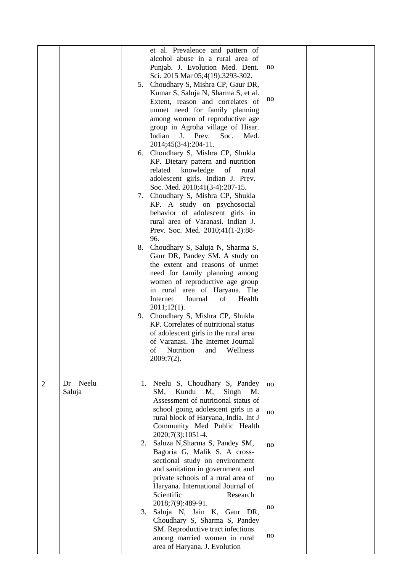|                |             | 7. | et al. Prevalence and pattern of<br>alcohol abuse in a rural area of<br>Punjab. J. Evolution Med. Dent.<br>Sci. 2015 Mar 05;4(19):3293-302.<br>5. Choudhary S, Mishra CP, Gaur DR,<br>Kumar S, Saluja N, Sharma S, et al.<br>Extent, reason and correlates of<br>unmet need for family planning<br>among women of reproductive age<br>group in Agroha village of Hisar.<br>Indian J. Prev.<br>Soc.<br>Med.<br>2014;45(3-4):204-11.<br>6. Choudhary S, Mishra CP, Shukla<br>KP. Dietary pattern and nutrition<br>related<br>knowledge<br>of<br>rural<br>adolescent girls. Indian J. Prev.<br>Soc. Med. 2010;41(3-4):207-15.<br>Choudhary S, Mishra CP, Shukla<br>KP. A study on psychosocial<br>behavior of adolescent girls in<br>rural area of Varanasi. Indian J.<br>Prev. Soc. Med. 2010;41(1-2):88-<br>96.<br>8. Choudhary S, Saluja N, Sharma S,<br>Gaur DR, Pandey SM. A study on<br>the extent and reasons of unmet<br>need for family planning among<br>women of reproductive age group<br>in rural area of Haryana. The<br>Internet<br>Journal<br>Health<br>of<br>$2011;12(1)$ .<br>9. Choudhary S, Mishra CP, Shukla<br>KP. Correlates of nutritional status<br>of adolescent girls in the rural area<br>of Varanasi. The Internet Journal | no<br>no |  |
|----------------|-------------|----|------------------------------------------------------------------------------------------------------------------------------------------------------------------------------------------------------------------------------------------------------------------------------------------------------------------------------------------------------------------------------------------------------------------------------------------------------------------------------------------------------------------------------------------------------------------------------------------------------------------------------------------------------------------------------------------------------------------------------------------------------------------------------------------------------------------------------------------------------------------------------------------------------------------------------------------------------------------------------------------------------------------------------------------------------------------------------------------------------------------------------------------------------------------------------------------------------------------------------------------------------|----------|--|
|                |             |    | of<br>Nutrition<br>Wellness<br>and<br>$2009;7(2)$ .                                                                                                                                                                                                                                                                                                                                                                                                                                                                                                                                                                                                                                                                                                                                                                                                                                                                                                                                                                                                                                                                                                                                                                                                  |          |  |
| $\overline{2}$ | Neelu<br>Dr |    | 1. Neelu S, Choudhary S, Pandey                                                                                                                                                                                                                                                                                                                                                                                                                                                                                                                                                                                                                                                                                                                                                                                                                                                                                                                                                                                                                                                                                                                                                                                                                      | no       |  |
|                | Saluja      |    | Kundu<br>M,<br>SM,<br>Singh<br>M.<br>Assessment of nutritional status of<br>school going adolescent girls in a<br>rural block of Haryana, India. Int J<br>Community Med Public Health<br>2020;7(3):1051-4.                                                                                                                                                                                                                                                                                                                                                                                                                                                                                                                                                                                                                                                                                                                                                                                                                                                                                                                                                                                                                                           | no       |  |
|                |             | 2. | Saluza N, Sharma S, Pandey SM,<br>Bagoria G, Malik S. A cross-<br>sectional study on environment<br>and sanitation in government and                                                                                                                                                                                                                                                                                                                                                                                                                                                                                                                                                                                                                                                                                                                                                                                                                                                                                                                                                                                                                                                                                                                 | no       |  |
|                |             |    | private schools of a rural area of<br>Haryana. International Journal of<br>Scientific<br>Research<br>2018;7(9):489-91.                                                                                                                                                                                                                                                                                                                                                                                                                                                                                                                                                                                                                                                                                                                                                                                                                                                                                                                                                                                                                                                                                                                               | no       |  |
|                |             | 3. | Saluja N, Jain K, Gaur DR,                                                                                                                                                                                                                                                                                                                                                                                                                                                                                                                                                                                                                                                                                                                                                                                                                                                                                                                                                                                                                                                                                                                                                                                                                           | no       |  |
|                |             |    | Choudhary S, Sharma S, Pandey<br>SM. Reproductive tract infections<br>among married women in rural<br>area of Haryana. J. Evolution                                                                                                                                                                                                                                                                                                                                                                                                                                                                                                                                                                                                                                                                                                                                                                                                                                                                                                                                                                                                                                                                                                                  | no       |  |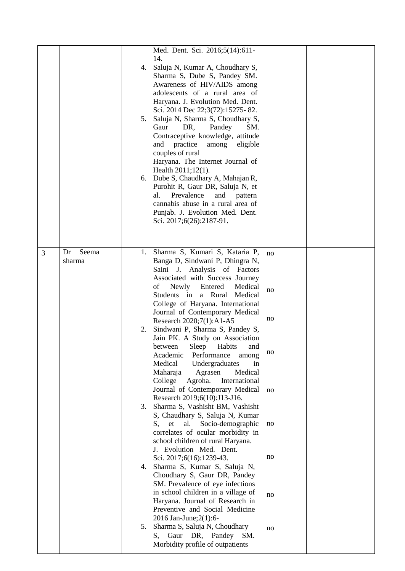|   |                       | 4.<br>5. | Med. Dent. Sci. 2016;5(14):611-<br>14.<br>Saluja N, Kumar A, Choudhary S,<br>Sharma S, Dube S, Pandey SM.<br>Awareness of HIV/AIDS among<br>adolescents of a rural area of<br>Haryana. J. Evolution Med. Dent.<br>Sci. 2014 Dec 22;3(72):15275-82.<br>Saluja N, Sharma S, Choudhary S,<br>Gaur<br>Pandey<br>SM.<br>DR,<br>Contraceptive knowledge, attitude<br>and practice<br>among<br>eligible<br>couples of rural<br>Haryana. The Internet Journal of<br>Health 2011;12(1).<br>6. Dube S, Chaudhary A, Mahajan R,<br>Purohit R, Gaur DR, Saluja N, et<br>Prevalence<br>al.<br>and<br>pattern<br>cannabis abuse in a rural area of<br>Punjab. J. Evolution Med. Dent.<br>Sci. 2017;6(26):2187-91. |                |  |
|---|-----------------------|----------|-----------------------------------------------------------------------------------------------------------------------------------------------------------------------------------------------------------------------------------------------------------------------------------------------------------------------------------------------------------------------------------------------------------------------------------------------------------------------------------------------------------------------------------------------------------------------------------------------------------------------------------------------------------------------------------------------------|----------------|--|
| 3 | Seema<br>Dr<br>sharma | 1.<br>2. | Sharma S, Kumari S, Kataria P,<br>Banga D, Sindwani P, Dhingra N,<br>Saini J. Analysis of Factors<br>Associated with Success Journey<br>of<br>Newly<br>Entered<br>Medical<br>Students in a Rural<br>Medical<br>College of Haryana. International<br>Journal of Contemporary Medical<br>Research 2020;7(1):A1-A5<br>Sindwani P, Sharma S, Pandey S,                                                                                                                                                                                                                                                                                                                                                  | no<br>no<br>no |  |
|   |                       | 3.       | Jain PK. A Study on Association<br>between Sleep Habits<br>and<br>Academic<br>Performance<br>among<br>Medical<br>Undergraduates<br>in<br>Medical<br>Maharaja<br>Agrasen<br>International<br>College<br>Agroha.<br>Journal of Contemporary Medical<br>Research 2019;6(10):J13-J16.<br>Sharma S, Vashisht BM, Vashisht<br>S, Chaudhary S, Saluja N, Kumar<br>Socio-demographic<br>et<br>al.<br>S,                                                                                                                                                                                                                                                                                                     | no<br>no<br>no |  |
|   |                       | 4.       | correlates of ocular morbidity in<br>school children of rural Haryana.<br>J. Evolution Med. Dent.<br>Sci. 2017;6(16):1239-43.<br>Sharma S, Kumar S, Saluja N,<br>Choudhary S, Gaur DR, Pandey<br>SM. Prevalence of eye infections<br>in school children in a village of<br>Haryana. Journal of Research in<br>Preventive and Social Medicine                                                                                                                                                                                                                                                                                                                                                        | no<br>no       |  |
|   |                       | 5.       | 2016 Jan-June; 2(1): 6-<br>Sharma S, Saluja N, Choudhary<br>Gaur DR, Pandey SM.<br>S,<br>Morbidity profile of outpatients                                                                                                                                                                                                                                                                                                                                                                                                                                                                                                                                                                           | no             |  |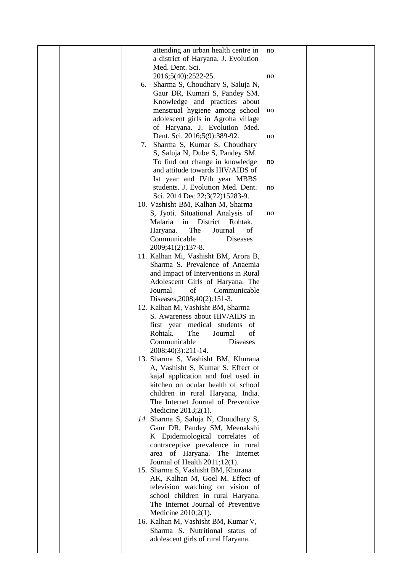|  |    | attending an urban health centre in  |    |  |
|--|----|--------------------------------------|----|--|
|  |    |                                      | no |  |
|  |    | a district of Haryana. J. Evolution  |    |  |
|  |    | Med. Dent. Sci.                      |    |  |
|  |    | 2016;5(40):2522-25.                  | no |  |
|  | 6. | Sharma S, Choudhary S, Saluja N,     |    |  |
|  |    | Gaur DR, Kumari S, Pandey SM.        |    |  |
|  |    | Knowledge and practices about        |    |  |
|  |    | menstrual hygiene among school       | no |  |
|  |    | adolescent girls in Agroha village   |    |  |
|  |    |                                      |    |  |
|  |    | of Haryana. J. Evolution Med.        |    |  |
|  |    | Dent. Sci. 2016;5(9):389-92.         | no |  |
|  | 7. | Sharma S, Kumar S, Choudhary         |    |  |
|  |    | S, Saluja N, Dube S, Pandey SM.      |    |  |
|  |    | To find out change in knowledge      | no |  |
|  |    | and attitude towards HIV/AIDS of     |    |  |
|  |    | Ist year and IVth year MBBS          |    |  |
|  |    | students. J. Evolution Med. Dent.    | no |  |
|  |    | Sci. 2014 Dec 22;3(72)15283-9.       |    |  |
|  |    | 10. Vashisht BM, Kalhan M, Sharma    |    |  |
|  |    |                                      |    |  |
|  |    | S, Jyoti. Situational Analysis of    | no |  |
|  |    | Malaria<br>in<br>District<br>Rohtak, |    |  |
|  |    | The<br>Journal<br>Haryana.<br>of     |    |  |
|  |    | Communicable<br>Diseases             |    |  |
|  |    | 2009;41(2):137-8.                    |    |  |
|  |    | 11. Kalhan Mi, Vashisht BM, Arora B, |    |  |
|  |    | Sharma S. Prevalence of Anaemia      |    |  |
|  |    | and Impact of Interventions in Rural |    |  |
|  |    | Adolescent Girls of Haryana. The     |    |  |
|  |    | of<br>Journal<br>Communicable        |    |  |
|  |    | Diseases, 2008; 40(2): 151-3.        |    |  |
|  |    |                                      |    |  |
|  |    | 12. Kalhan M, Vashisht BM, Sharma    |    |  |
|  |    | S. Awareness about HIV/AIDS in       |    |  |
|  |    | first year medical students<br>of    |    |  |
|  |    | The<br>of<br>Rohtak.<br>Journal      |    |  |
|  |    | Communicable<br>Diseases             |    |  |
|  |    | 2008;40(3):211-14.                   |    |  |
|  |    | 13. Sharma S, Vashisht BM, Khurana   |    |  |
|  |    | A, Vashisht S, Kumar S. Effect of    |    |  |
|  |    | kajal application and fuel used in   |    |  |
|  |    | kitchen on ocular health of school   |    |  |
|  |    | children in rural Haryana, India.    |    |  |
|  |    | The Internet Journal of Preventive   |    |  |
|  |    |                                      |    |  |
|  |    | Medicine 2013;2(1).                  |    |  |
|  |    | 14. Sharma S, Saluja N, Choudhary S, |    |  |
|  |    | Gaur DR, Pandey SM, Meenakshi        |    |  |
|  |    | K Epidemiological correlates of      |    |  |
|  |    | contraceptive prevalence in rural    |    |  |
|  |    | area of Haryana. The Internet        |    |  |
|  |    | Journal of Health 2011;12(1).        |    |  |
|  |    | 15. Sharma S, Vashisht BM, Khurana   |    |  |
|  |    | AK, Kalhan M, Goel M. Effect of      |    |  |
|  |    | television watching on vision of     |    |  |
|  |    | school children in rural Haryana.    |    |  |
|  |    | The Internet Journal of Preventive   |    |  |
|  |    | Medicine $2010;2(1)$ .               |    |  |
|  |    |                                      |    |  |
|  |    | 16. Kalhan M, Vashisht BM, Kumar V,  |    |  |
|  |    | Sharma S. Nutritional status of      |    |  |
|  |    | adolescent girls of rural Haryana.   |    |  |
|  |    |                                      |    |  |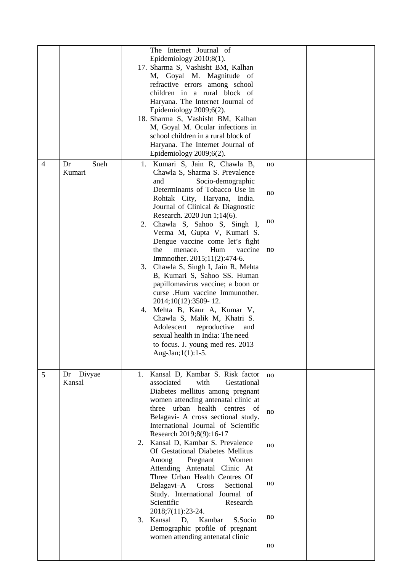|                |                        | The Internet Journal of<br>Epidemiology $2010;8(1)$ .<br>17. Sharma S, Vashisht BM, Kalhan<br>M, Goyal M. Magnitude of<br>refractive errors among school<br>children in a rural block of<br>Haryana. The Internet Journal of<br>Epidemiology $2009;6(2)$ .<br>18. Sharma S, Vashisht BM, Kalhan<br>M, Goyal M. Ocular infections in<br>school children in a rural block of<br>Haryana. The Internet Journal of<br>Epidemiology $2009;6(2)$ .                                                                                                                                                                                                                                                                                                                                     |                                  |  |
|----------------|------------------------|----------------------------------------------------------------------------------------------------------------------------------------------------------------------------------------------------------------------------------------------------------------------------------------------------------------------------------------------------------------------------------------------------------------------------------------------------------------------------------------------------------------------------------------------------------------------------------------------------------------------------------------------------------------------------------------------------------------------------------------------------------------------------------|----------------------------------|--|
| $\overline{4}$ | Sneh<br>Dr<br>Kumari   | 1. Kumari S, Jain R, Chawla B,<br>Chawla S, Sharma S. Prevalence<br>Socio-demographic<br>and<br>Determinants of Tobacco Use in<br>Rohtak City, Haryana, India.<br>Journal of Clinical & Diagnostic<br>Research. 2020 Jun 1;14(6).<br>2. Chawla S, Sahoo S, Singh I,<br>Verma M, Gupta V, Kumari S.<br>Dengue vaccine come let's fight<br>the<br>menace.<br>Hum<br>vaccine<br>Immnother. 2015;11(2):474-6.<br>3. Chawla S, Singh I, Jain R, Mehta<br>B, Kumari S, Sahoo SS. Human<br>papillomavirus vaccine; a boon or<br>curse .Hum vaccine Immunother.<br>2014;10(12):3509-12.<br>4. Mehta B, Kaur A, Kumar V,<br>Chawla S, Malik M, Khatri S.<br>Adolescent reproductive<br>and<br>sexual health in India: The need<br>to focus. J. young med res. 2013<br>Aug-Jan; 1(1): 1-5. | no<br>no<br>no<br>no             |  |
| 5              | Divyae<br>Dr<br>Kansal | Kansal D, Kambar S. Risk factor<br>1.<br>with<br>associated<br>Gestational<br>Diabetes mellitus among pregnant<br>women attending antenatal clinic at<br>three urban health centres of<br>Belagavi- A cross sectional study.<br>International Journal of Scientific<br>Research 2019;8(9):16-17<br>Kansal D, Kambar S. Prevalence<br>2.<br>Of Gestational Diabetes Mellitus<br>Among<br>Pregnant<br>Women<br>Attending Antenatal Clinic At<br>Three Urban Health Centres Of<br>Belagavi-A Cross<br>Sectional<br>Study. International Journal of<br>Scientific<br>Research<br>2018;7(11):23-24.<br>3. Kansal<br>Kambar<br>S.Socio<br>D,<br>Demographic profile of pregnant<br>women attending antenatal clinic                                                                    | no<br>no<br>no<br>no<br>no<br>no |  |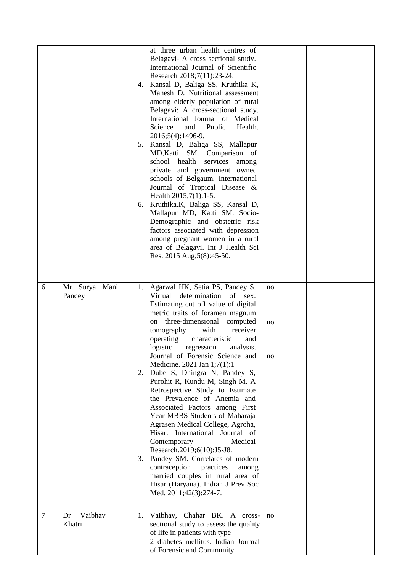|                |                         | 6.       | at three urban health centres of<br>Belagavi- A cross sectional study.<br>International Journal of Scientific<br>Research 2018;7(11):23-24.<br>4. Kansal D, Baliga SS, Kruthika K,<br>Mahesh D. Nutritional assessment<br>among elderly population of rural<br>Belagavi: A cross-sectional study.<br>International Journal of Medical<br>Science<br>Public<br>Health.<br>and<br>2016;5(4):1496-9.<br>5. Kansal D, Baliga SS, Mallapur<br>MD, Katti SM. Comparison of<br>school health<br>services<br>among<br>private and government owned<br>schools of Belgaum. International<br>Journal of Tropical Disease &<br>Health $2015;7(1):1-5$ .<br>Kruthika.K, Baliga SS, Kansal D,<br>Mallapur MD, Katti SM. Socio-<br>Demographic and obstetric risk<br>factors associated with depression<br>among pregnant women in a rural<br>area of Belagavi. Int J Health Sci<br>Res. 2015 Aug;5(8):45-50.    |                |  |
|----------------|-------------------------|----------|----------------------------------------------------------------------------------------------------------------------------------------------------------------------------------------------------------------------------------------------------------------------------------------------------------------------------------------------------------------------------------------------------------------------------------------------------------------------------------------------------------------------------------------------------------------------------------------------------------------------------------------------------------------------------------------------------------------------------------------------------------------------------------------------------------------------------------------------------------------------------------------------------|----------------|--|
| 6              | Mr Surya Mani<br>Pandey | 2.<br>3. | 1. Agarwal HK, Setia PS, Pandey S.<br>determination<br>Virtual<br>of<br>sex:<br>Estimating cut off value of digital<br>metric traits of foramen magnum<br>three-dimensional<br>computed<br>on<br>with<br>receiver<br>tomography<br>characteristic<br>operating<br>and<br>logistic regression<br>analysis.<br>Journal of Forensic Science and<br>Medicine. 2021 Jan 1;7(1):1<br>Dube S, Dhingra N, Pandey S,<br>Purohit R, Kundu M, Singh M. A<br>Retrospective Study to Estimate<br>the Prevalence of Anemia and<br>Associated Factors among First<br>Year MBBS Students of Maharaja<br>Agrasen Medical College, Agroha,<br>Hisar. International Journal of<br>Medical<br>Contemporary<br>Research.2019;6(10):J5-J8.<br>Pandey SM. Correlates of modern<br>contraception<br>practices<br>among<br>married couples in rural area of<br>Hisar (Haryana). Indian J Prev Soc<br>Med. 2011;42(3):274-7. | no<br>no<br>no |  |
| $\overline{7}$ | Vaibhav<br>Dr<br>Khatri | 1.       | Vaibhav, Chahar BK. A cross-<br>sectional study to assess the quality<br>of life in patients with type<br>2 diabetes mellitus. Indian Journal<br>of Forensic and Community                                                                                                                                                                                                                                                                                                                                                                                                                                                                                                                                                                                                                                                                                                                         | no             |  |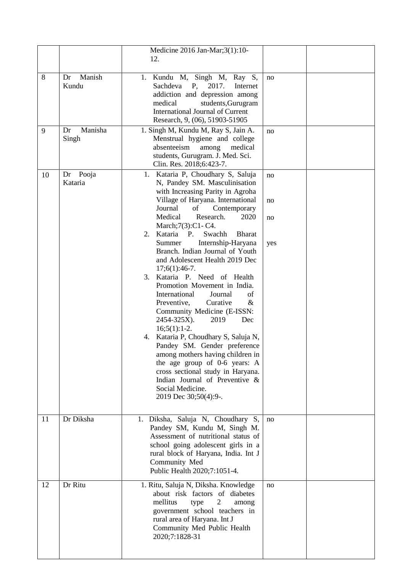|    |                        | Medicine 2016 Jan-Mar; 3(1): 10-<br>12.                                                                                                                                                                                                                                                                                                                                                                                                                                                                                                                                                                                                                                                                                                                                                                                                                                                              |                       |  |
|----|------------------------|------------------------------------------------------------------------------------------------------------------------------------------------------------------------------------------------------------------------------------------------------------------------------------------------------------------------------------------------------------------------------------------------------------------------------------------------------------------------------------------------------------------------------------------------------------------------------------------------------------------------------------------------------------------------------------------------------------------------------------------------------------------------------------------------------------------------------------------------------------------------------------------------------|-----------------------|--|
| 8  | Manish<br>Dr<br>Kundu  | 1. Kundu M, Singh M, Ray S,<br>Sachdeva<br>P,<br>2017.<br>Internet<br>addiction and depression among<br>medical<br>students, Gurugram<br><b>International Journal of Current</b><br>Research, 9, (06), 51903-51905                                                                                                                                                                                                                                                                                                                                                                                                                                                                                                                                                                                                                                                                                   | no                    |  |
| 9  | Manisha<br>Dr<br>Singh | 1. Singh M, Kundu M, Ray S, Jain A.<br>Menstrual hygiene and college<br>absenteeism<br>medical<br>among<br>students, Gurugram. J. Med. Sci.<br>Clin. Res. 2018;6:423-7.                                                                                                                                                                                                                                                                                                                                                                                                                                                                                                                                                                                                                                                                                                                              | no                    |  |
| 10 | Pooja<br>Dr<br>Kataria | 1. Kataria P, Choudhary S, Saluja<br>N, Pandey SM. Masculinisation<br>with Increasing Parity in Agroha<br>Village of Haryana. International<br>Journal<br>of<br>Contemporary<br>Medical<br>Research.<br>2020<br>March; 7(3): C1 - C4.<br>Kataria P.<br>Swachh<br>2.<br><b>Bharat</b><br>Internship-Haryana<br>Summer<br>Branch. Indian Journal of Youth<br>and Adolescent Health 2019 Dec<br>$17;6(1):46-7.$<br>Kataria P. Need of Health<br>3.<br>Promotion Movement in India.<br>International<br>Journal<br>of<br>Curative<br>Preventive,<br>$\&$<br>Community Medicine (E-ISSN:<br>2454-325X).<br>2019<br>Dec<br>$16;5(1):1-2.$<br>4. Kataria P, Choudhary S, Saluja N,<br>Pandey SM. Gender preference<br>among mothers having children in<br>the age group of 0-6 years: A<br>cross sectional study in Haryana.<br>Indian Journal of Preventive &<br>Social Medicine.<br>2019 Dec 30;50(4):9-. | no<br>no<br>no<br>yes |  |
| 11 | Dr Diksha              | 1. Diksha, Saluja N, Choudhary S,<br>Pandey SM, Kundu M, Singh M.<br>Assessment of nutritional status of<br>school going adolescent girls in a<br>rural block of Haryana, India. Int J<br>Community Med<br>Public Health 2020;7:1051-4.                                                                                                                                                                                                                                                                                                                                                                                                                                                                                                                                                                                                                                                              | no                    |  |
| 12 | Dr Ritu                | 1. Ritu, Saluja N, Diksha. Knowledge<br>about risk factors of diabetes<br>$\overline{2}$<br>mellitus<br>type<br>among<br>government school teachers in<br>rural area of Haryana. Int J<br>Community Med Public Health<br>2020;7:1828-31                                                                                                                                                                                                                                                                                                                                                                                                                                                                                                                                                                                                                                                              | no                    |  |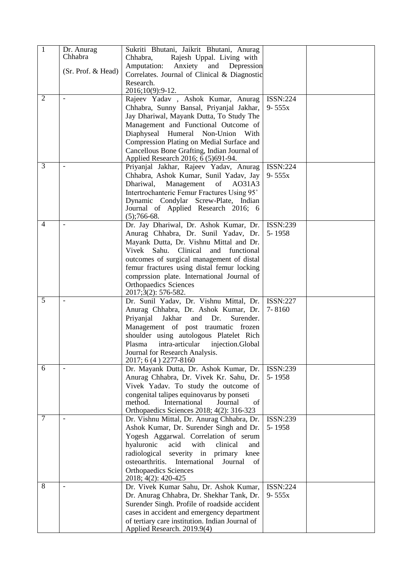| $\overline{1}$ | Dr. Anurag<br>Chhabra | Sukriti Bhutani, Jaikrit Bhutani, Anurag<br>Chhabra,<br>Rajesh Uppal. Living with                  |                 |  |
|----------------|-----------------------|----------------------------------------------------------------------------------------------------|-----------------|--|
|                | (Sr. Prof. & Head)    | Anxiety and Depression<br>Amputation:<br>Correlates. Journal of Clinical & Diagnostic<br>Research. |                 |  |
|                |                       | 2016;10(9):9-12.                                                                                   |                 |  |
| $\overline{2}$ |                       | Rajeev Yadav, Ashok Kumar, Anurag                                                                  | <b>ISSN:224</b> |  |
|                |                       | Chhabra, Sunny Bansal, Priyanjal Jakhar,                                                           | $9 - 555x$      |  |
|                |                       | Jay Dhariwal, Mayank Dutta, To Study The                                                           |                 |  |
|                |                       | Management and Functional Outcome of                                                               |                 |  |
|                |                       | Diaphyseal<br>Humeral<br>Non-Union<br>With                                                         |                 |  |
|                |                       | Compression Plating on Medial Surface and                                                          |                 |  |
|                |                       | Cancellous Bone Grafting, Indian Journal of<br>Applied Research 2016; 6 (5)691-94.                 |                 |  |
| $\overline{3}$ |                       | Priyanjal Jakhar, Rajeev Yadav, Anurag                                                             | <b>ISSN:224</b> |  |
|                |                       | Chhabra, Ashok Kumar, Sunil Yadav, Jay                                                             | $9 - 555x$      |  |
|                |                       | Dhariwal,<br>Management<br>of<br>A031A3                                                            |                 |  |
|                |                       | Intertrochanteric Femur Fractures Using 95°<br>Dynamic Condylar Screw-Plate, Indian                |                 |  |
|                |                       | Journal of Applied Research 2016; 6<br>$(5)$ ;766-68.                                              |                 |  |
| $\overline{4}$ |                       | Dr. Jay Dhariwal, Dr. Ashok Kumar, Dr.                                                             | ISSN:239        |  |
|                |                       | Anurag Chhabra, Dr. Sunil Yadav, Dr.                                                               | 5-1958          |  |
|                |                       | Mayank Dutta, Dr. Vishnu Mittal and Dr.                                                            |                 |  |
|                |                       | Vivek Sahu. Clinical and<br>functional                                                             |                 |  |
|                |                       | outcomes of surgical management of distal                                                          |                 |  |
|                |                       | femur fractures using distal femur locking                                                         |                 |  |
|                |                       | comprssion plate. International Journal of                                                         |                 |  |
|                |                       | <b>Orthopaedics Sciences</b><br>2017;3(2): 576-582.                                                |                 |  |
| 5              |                       | Dr. Sunil Yadav, Dr. Vishnu Mittal, Dr.                                                            | <b>ISSN:227</b> |  |
|                |                       | Anurag Chhabra, Dr. Ashok Kumar, Dr.                                                               | 7-8160          |  |
|                |                       | Priyanjal<br>Jakhar<br>and<br>Dr.<br>Surender.                                                     |                 |  |
|                |                       | Management of post traumatic frozen<br>shoulder using autologous Platelet Rich                     |                 |  |
|                |                       | intra-articular<br>Plasma<br>injection.Global                                                      |                 |  |
|                |                       | Journal for Research Analysis.                                                                     |                 |  |
|                |                       | 2017; 6 (4) 2277-8160                                                                              |                 |  |
| 6              |                       | Dr. Mayank Dutta, Dr. Ashok Kumar, Dr.                                                             | <b>ISSN:239</b> |  |
|                |                       | Anurag Chhabra, Dr. Vivek Kr. Sahu, Dr.                                                            | 5-1958          |  |
|                |                       | Vivek Yadav. To study the outcome of                                                               |                 |  |
|                |                       | congenital talipes equinovarus by ponseti                                                          |                 |  |
|                |                       | method.<br>International<br>Journal<br>of<br>Orthopaedics Sciences 2018; 4(2): 316-323             |                 |  |
| 7              |                       | Dr. Vishnu Mittal, Dr. Anurag Chhabra, Dr.                                                         | <b>ISSN:239</b> |  |
|                |                       | Ashok Kumar, Dr. Surender Singh and Dr.                                                            | 5-1958          |  |
|                |                       | Yogesh Aggarwal. Correlation of serum                                                              |                 |  |
|                |                       | hyaluronic<br>with<br>acid<br>clinical<br>and                                                      |                 |  |
|                |                       | severity in primary knee<br>radiological                                                           |                 |  |
|                |                       | International<br>osteoarthritis.<br>Journal<br>of                                                  |                 |  |
|                |                       | <b>Orthopaedics Sciences</b><br>2018; 4(2): 420-425                                                |                 |  |
| 8              |                       | Dr. Vivek Kumar Sahu, Dr. Ashok Kumar,                                                             | <b>ISSN:224</b> |  |
|                |                       | Dr. Anurag Chhabra, Dr. Shekhar Tank, Dr.                                                          | $9 - 555x$      |  |
|                |                       | Surender Singh. Profile of roadside accident                                                       |                 |  |
|                |                       | cases in accident and emergency department                                                         |                 |  |
|                |                       | of tertiary care institution. Indian Journal of                                                    |                 |  |
|                |                       | Applied Research. 2019.9(4)                                                                        |                 |  |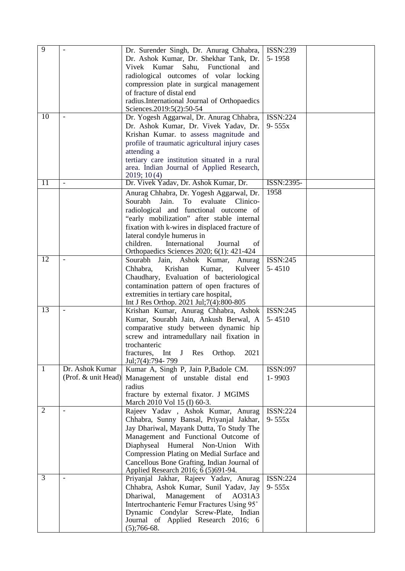| $\overline{9}$  |                                        | Dr. Surender Singh, Dr. Anurag Chhabra,<br>Dr. Ashok Kumar, Dr. Shekhar Tank, Dr.<br>Vivek Kumar<br>Sahu, Functional<br>and<br>radiological outcomes of volar locking<br>compression plate in surgical management<br>of fracture of distal end<br>radius.International Journal of Orthopaedics<br>Sciences.2019:5(2):50-54                                  | <b>ISSN:239</b><br>5-1958     |  |
|-----------------|----------------------------------------|-------------------------------------------------------------------------------------------------------------------------------------------------------------------------------------------------------------------------------------------------------------------------------------------------------------------------------------------------------------|-------------------------------|--|
| 10              |                                        | Dr. Yogesh Aggarwal, Dr. Anurag Chhabra,<br>Dr. Ashok Kumar, Dr. Vivek Yadav, Dr.<br>Krishan Kumar. to assess magnitude and<br>profile of traumatic agricultural injury cases<br>attending a<br>tertiary care institution situated in a rural<br>area. Indian Journal of Applied Research,<br>2019; 10(4)                                                   | <b>ISSN:224</b><br>$9 - 555x$ |  |
| 11              | $\overline{\phantom{a}}$               | Dr. Vivek Yadav, Dr. Ashok Kumar, Dr.                                                                                                                                                                                                                                                                                                                       | ISSN:2395-                    |  |
|                 |                                        | Anurag Chhabra, Dr. Yogesh Aggarwal, Dr.<br>Sourabh<br>Jain.<br>To evaluate<br>Clinico-<br>radiological and functional outcome of<br>"early mobilization" after stable internal<br>fixation with k-wires in displaced fracture of<br>lateral condyle humerus in<br>children.<br>International<br>Journal<br>of<br>Orthopaedics Sciences 2020; 6(1): 421-424 | 1958                          |  |
| 12              |                                        | Sourabh<br>Jain, Ashok Kumar,<br>Anurag<br>Chhabra,<br>Krishan<br>Kumar,<br>Kulveer<br>Chaudhary, Evaluation of bacteriological<br>contamination pattern of open fractures of<br>extremities in tertiary care hospital,<br>Int J Res Orthop. 2021 Jul;7(4):800-805                                                                                          | ISSN:245<br>$5 - 4510$        |  |
| $\overline{13}$ |                                        | Krishan Kumar, Anurag Chhabra, Ashok<br>Kumar, Sourabh Jain, Ankush Berwal, A<br>comparative study between dynamic hip<br>screw and intramedullary nail fixation in<br>trochanteric<br>Int J Res<br>2021<br>fractures,<br>Orthop.<br>Jul; 7(4): 794 - 799                                                                                                   | ISSN:245<br>$5 - 4510$        |  |
| $\mathbf{1}$    | Dr. Ashok Kumar<br>(Prof. & unit Head) | Kumar A, Singh P, Jain P, Badole CM.<br>Management of unstable distal end<br>radius<br>fracture by external fixator. J MGIMS<br>March 2010 Vol 15 (I) 60-3.                                                                                                                                                                                                 | <b>ISSN:097</b><br>1-9903     |  |
| $\overline{2}$  | $\blacksquare$                         | Rajeev Yadav, Ashok Kumar, Anurag<br>Chhabra, Sunny Bansal, Priyanjal Jakhar,<br>Jay Dhariwal, Mayank Dutta, To Study The<br>Management and Functional Outcome of<br>Diaphyseal Humeral Non-Union<br>With<br>Compression Plating on Medial Surface and<br>Cancellous Bone Grafting, Indian Journal of<br>Applied Research 2016; 6 (5)691-94.                | <b>ISSN:224</b><br>$9 - 555x$ |  |
| $\overline{3}$  |                                        | Priyanjal Jakhar, Rajeev Yadav, Anurag<br>Chhabra, Ashok Kumar, Sunil Yadav, Jay<br>Dhariwal,<br>Management<br>of<br>AO31A3<br>Intertrochanteric Femur Fractures Using 95°<br>Dynamic Condylar Screw-Plate, Indian<br>Journal of Applied Research 2016; 6<br>$(5)$ ;766-68.                                                                                 | <b>ISSN:224</b><br>$9 - 555x$ |  |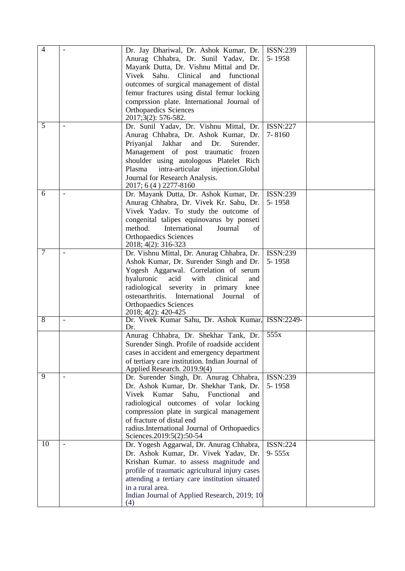| $\overline{4}$ | Dr. Jay Dhariwal, Dr. Ashok Kumar, Dr.<br>Anurag Chhabra, Dr. Sunil Yadav, Dr.<br>Mayank Dutta, Dr. Vishnu Mittal and Dr.<br>Sahu.<br>Clinical and<br>Vivek<br>functional<br>outcomes of surgical management of distal<br>femur fractures using distal femur locking                                                                 | ISSN:239<br>5-1958            |  |
|----------------|--------------------------------------------------------------------------------------------------------------------------------------------------------------------------------------------------------------------------------------------------------------------------------------------------------------------------------------|-------------------------------|--|
|                | comprssion plate. International Journal of<br><b>Orthopaedics Sciences</b><br>2017;3(2): 576-582.                                                                                                                                                                                                                                    |                               |  |
| 5              | Dr. Sunil Yadav, Dr. Vishnu Mittal, Dr.<br>Anurag Chhabra, Dr. Ashok Kumar, Dr.<br>Priyanjal<br>Jakhar<br>and<br>Dr.<br>Surender.<br>Management of post traumatic frozen<br>shoulder using autologous Platelet Rich<br>Plasma<br>intra-articular injection.Global<br>Journal for Research Analysis.<br>2017; 6 (4) 2277-8160         | <b>ISSN:227</b><br>$7 - 8160$ |  |
| 6              | Dr. Mayank Dutta, Dr. Ashok Kumar, Dr.<br>Anurag Chhabra, Dr. Vivek Kr. Sahu, Dr.<br>Vivek Yadav. To study the outcome of<br>congenital talipes equinovarus by ponseti<br>method.<br>International<br>Journal<br>of<br><b>Orthopaedics Sciences</b><br>2018; 4(2): 316-323                                                           | ISSN:239<br>5-1958            |  |
| $\overline{7}$ | Dr. Vishnu Mittal, Dr. Anurag Chhabra, Dr.<br>Ashok Kumar, Dr. Surender Singh and Dr.<br>Yogesh Aggarwal. Correlation of serum<br>with<br>hyaluronic<br>acid<br>clinical<br>and<br>radiological severity in primary knee<br>International<br>osteoarthritis.<br>Journal<br>of<br><b>Orthopaedics Sciences</b><br>2018; 4(2): 420-425 | <b>ISSN:239</b><br>5-1958     |  |
| 8              | Dr. Vivek Kumar Sahu, Dr. Ashok Kumar, ISSN:2249-<br>Dr.                                                                                                                                                                                                                                                                             |                               |  |
|                | Anurag Chhabra, Dr. Shekhar Tank, Dr.<br>Surender Singh. Profile of roadside accident<br>cases in accident and emergency department<br>of tertiary care institution. Indian Journal of<br>Applied Research. 2019.9(4)                                                                                                                | 555x                          |  |
| 9              | Dr. Surender Singh, Dr. Anurag Chhabra,<br>Dr. Ashok Kumar, Dr. Shekhar Tank, Dr.<br>Kumar<br>Functional<br>Vivek<br>Sahu,<br>and<br>radiological outcomes of volar locking<br>compression plate in surgical management<br>of fracture of distal end<br>radius.International Journal of Orthopaedics<br>Sciences.2019:5(2):50-54     | ISSN:239<br>5-1958            |  |
| 10             | Dr. Yogesh Aggarwal, Dr. Anurag Chhabra,<br>Dr. Ashok Kumar, Dr. Vivek Yadav, Dr.<br>Krishan Kumar. to assess magnitude and<br>profile of traumatic agricultural injury cases<br>attending a tertiary care institution situated<br>in a rural area.<br>Indian Journal of Applied Research, 2019; 10<br>(4)                           | <b>ISSN:224</b><br>$9 - 555x$ |  |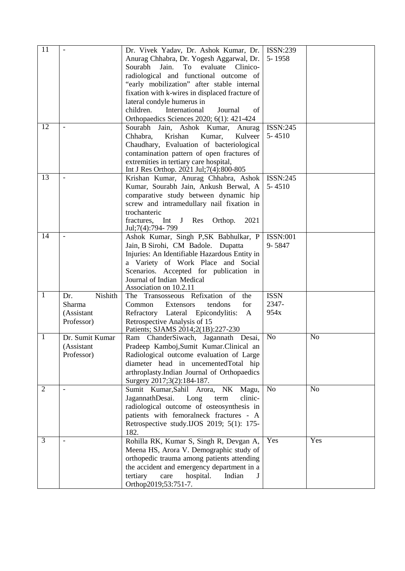| 11             |                          | Dr. Vivek Yadav, Dr. Ashok Kumar, Dr.                                                   | <b>ISSN:239</b><br>5-1958 |                |
|----------------|--------------------------|-----------------------------------------------------------------------------------------|---------------------------|----------------|
|                |                          | Anurag Chhabra, Dr. Yogesh Aggarwal, Dr.<br>Sourabh<br>Jain.<br>To evaluate<br>Clinico- |                           |                |
|                |                          | radiological and functional outcome of                                                  |                           |                |
|                |                          | "early mobilization" after stable internal                                              |                           |                |
|                |                          | fixation with k-wires in displaced fracture of                                          |                           |                |
|                |                          | lateral condyle humerus in                                                              |                           |                |
|                |                          | children.<br>International<br>Journal<br>of                                             |                           |                |
|                |                          | Orthopaedics Sciences 2020; 6(1): 421-424                                               |                           |                |
| 12             | $\overline{\phantom{a}}$ | Sourabh Jain, Ashok Kumar,<br>Anurag                                                    | ISSN:245                  |                |
|                |                          | Chhabra,<br>Krishan<br>Kumar,<br>Kulveer                                                | $5 - 4510$                |                |
|                |                          | Chaudhary, Evaluation of bacteriological                                                |                           |                |
|                |                          | contamination pattern of open fractures of                                              |                           |                |
|                |                          | extremities in tertiary care hospital,                                                  |                           |                |
|                |                          | Int J Res Orthop. 2021 Jul;7(4):800-805                                                 |                           |                |
| 13             |                          | Krishan Kumar, Anurag Chhabra, Ashok                                                    | ISSN:245                  |                |
|                |                          | Kumar, Sourabh Jain, Ankush Berwal, A                                                   | $5 - 4510$                |                |
|                |                          | comparative study between dynamic hip                                                   |                           |                |
|                |                          | screw and intramedullary nail fixation in                                               |                           |                |
|                |                          | trochanteric                                                                            |                           |                |
|                |                          | J Res<br>Orthop.<br>fractures, Int<br>2021<br>Jul; 7(4): 794 - 799                      |                           |                |
| 14             |                          | Ashok Kumar, Singh P,SK Babhulkar, P                                                    | <b>ISSN:001</b>           |                |
|                |                          | Jain, B Sirohi, CM Badole. Dupatta                                                      | 9-5847                    |                |
|                |                          | Injuries: An Identifiable Hazardous Entity in                                           |                           |                |
|                |                          | a Variety of Work Place and Social                                                      |                           |                |
|                |                          | Scenarios. Accepted for publication in                                                  |                           |                |
|                |                          | Journal of Indian Medical                                                               |                           |                |
|                |                          | Association on 10.2.11                                                                  |                           |                |
| $\mathbf{1}$   | Nishith<br>Dr.           | The Transosseous Refixation of<br>the                                                   | <b>ISSN</b>               |                |
|                | Sharma                   | for<br>Common<br>Extensors<br>tendons                                                   | 2347-                     |                |
|                | (Assistant               | Refractory Lateral Epicondylitis:<br>A                                                  | 954x                      |                |
|                | Professor)               | Retrospective Analysis of 15                                                            |                           |                |
|                |                          | Patients; SJAMS 2014;2(1B):227-230                                                      |                           |                |
| 1              | Dr. Sumit Kumar          | Ram ChanderSiwach, Jagannath Desai,                                                     | No                        | N <sub>o</sub> |
|                | (Assistant               | Pradeep Kamboj, Sumit Kumar. Clinical an                                                |                           |                |
|                | Professor)               | Radiological outcome evaluation of Large<br>diameter head in uncementedTotal hip        |                           |                |
|                |                          | arthroplasty.Indian Journal of Orthopaedics                                             |                           |                |
|                |                          | Surgery 2017;3(2):184-187.                                                              |                           |                |
| $\overline{2}$ |                          | Sumit Kumar, Sahil<br>Arora, NK<br>Magu,                                                | N <sub>o</sub>            | N <sub>o</sub> |
|                |                          | JagannathDesai.<br>Long<br>clinic-<br>term                                              |                           |                |
|                |                          | radiological outcome of osteosynthesis in                                               |                           |                |
|                |                          | patients with femoralneck fractures - A                                                 |                           |                |
|                |                          | Retrospective study.IJOS 2019; 5(1): 175-                                               |                           |                |
|                |                          | 182.                                                                                    |                           |                |
| 3              |                          | Rohilla RK, Kumar S, Singh R, Devgan A,                                                 | Yes                       | Yes            |
|                |                          | Meena HS, Arora V. Demographic study of                                                 |                           |                |
|                |                          | orthopedic trauma among patients attending                                              |                           |                |
|                |                          | the accident and emergency department in a                                              |                           |                |
|                |                          | tertiary<br>hospital.<br>Indian<br>care                                                 |                           |                |
|                |                          | Orthop2019;53:751-7.                                                                    |                           |                |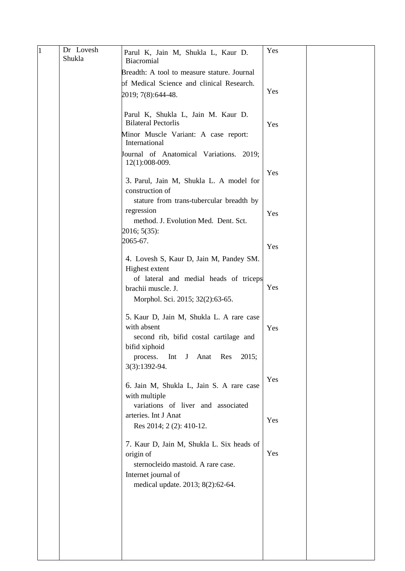| 1 | Dr Lovesh<br>Shukla | Parul K, Jain M, Shukla L, Kaur D.<br>Biacromial                                                                                                                                            | Yes |  |
|---|---------------------|---------------------------------------------------------------------------------------------------------------------------------------------------------------------------------------------|-----|--|
|   |                     | Breadth: A tool to measure stature. Journal                                                                                                                                                 |     |  |
|   |                     | of Medical Science and clinical Research.                                                                                                                                                   |     |  |
|   |                     | 2019; 7(8):644-48.                                                                                                                                                                          | Yes |  |
|   |                     |                                                                                                                                                                                             |     |  |
|   |                     | Parul K, Shukla L, Jain M. Kaur D.<br><b>Bilateral Pectorlis</b>                                                                                                                            | Yes |  |
|   |                     | Minor Muscle Variant: A case report:<br>International                                                                                                                                       |     |  |
|   |                     | Journal of Anatomical Variations. 2019;<br>12(1):008-009.                                                                                                                                   |     |  |
|   |                     | 3. Parul, Jain M, Shukla L. A model for<br>construction of                                                                                                                                  | Yes |  |
|   |                     | stature from trans-tubercular breadth by<br>regression                                                                                                                                      |     |  |
|   |                     | method. J. Evolution Med. Dent. Sct.<br>2016; 5(35):                                                                                                                                        | Yes |  |
|   |                     | 2065-67.                                                                                                                                                                                    | Yes |  |
|   |                     | 4. Lovesh S, Kaur D, Jain M, Pandey SM.<br>Highest extent                                                                                                                                   |     |  |
|   |                     | of lateral and medial heads of triceps<br>brachii muscle. J.<br>Morphol. Sci. 2015; 32(2):63-65.                                                                                            | Yes |  |
|   |                     | 5. Kaur D, Jain M, Shukla L. A rare case<br>with absent<br>second rib, bifid costal cartilage and<br>bifid xiphoid<br>Int<br>Anat Res<br>2015;<br>process.<br>$\mathbf{J}$<br>3(3):1392-94. | Yes |  |
|   |                     |                                                                                                                                                                                             | Yes |  |
|   |                     | 6. Jain M, Shukla L, Jain S. A rare case<br>with multiple                                                                                                                                   |     |  |
|   |                     | variations of liver and associated<br>arteries. Int J Anat                                                                                                                                  |     |  |
|   |                     | Res 2014; 2 (2): 410-12.                                                                                                                                                                    | Yes |  |
|   |                     | 7. Kaur D, Jain M, Shukla L. Six heads of<br>origin of                                                                                                                                      | Yes |  |
|   |                     | sternocleido mastoid. A rare case.<br>Internet journal of                                                                                                                                   |     |  |
|   |                     | medical update. 2013; 8(2):62-64.                                                                                                                                                           |     |  |
|   |                     |                                                                                                                                                                                             |     |  |
|   |                     |                                                                                                                                                                                             |     |  |
|   |                     |                                                                                                                                                                                             |     |  |
|   |                     |                                                                                                                                                                                             |     |  |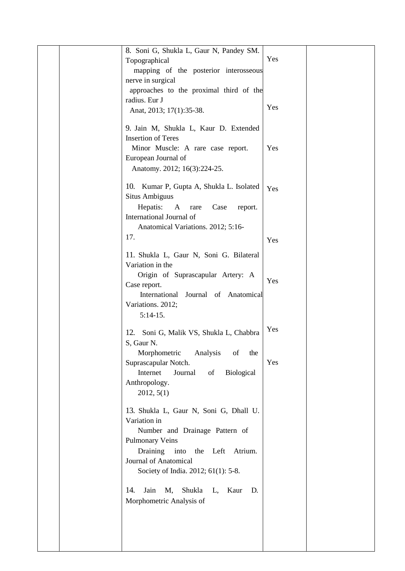|  | 8. Soni G, Shukla L, Gaur N, Pandey SM.         |     |  |
|--|-------------------------------------------------|-----|--|
|  | Topographical                                   | Yes |  |
|  | mapping of the posterior interosseous           |     |  |
|  | nerve in surgical                               |     |  |
|  | approaches to the proximal third of the         |     |  |
|  | radius. Eur J                                   |     |  |
|  | Anat, 2013; 17(1):35-38.                        | Yes |  |
|  |                                                 |     |  |
|  | 9. Jain M, Shukla L, Kaur D. Extended           |     |  |
|  | <b>Insertion of Teres</b>                       |     |  |
|  | Minor Muscle: A rare case report.               | Yes |  |
|  | European Journal of                             |     |  |
|  | Anatomy. 2012; 16(3):224-25.                    |     |  |
|  |                                                 |     |  |
|  | 10. Kumar P, Gupta A, Shukla L. Isolated        | Yes |  |
|  | <b>Situs Ambiguus</b>                           |     |  |
|  | Hepatis:<br>A<br>Case<br>report.<br>rare        |     |  |
|  | International Journal of                        |     |  |
|  |                                                 |     |  |
|  | Anatomical Variations. 2012; 5:16-              |     |  |
|  | 17.                                             | Yes |  |
|  | 11. Shukla L, Gaur N, Soni G. Bilateral         |     |  |
|  | Variation in the                                |     |  |
|  | Origin of Suprascapular Artery: A               |     |  |
|  | Case report.                                    | Yes |  |
|  | International<br>Journal of Anatomical          |     |  |
|  | Variations. 2012;                               |     |  |
|  |                                                 |     |  |
|  | $5:14-15.$                                      |     |  |
|  | 12.<br>Soni G, Malik VS, Shukla L, Chabbra      | Yes |  |
|  | S, Gaur N.                                      |     |  |
|  | Morphometric<br>Analysis<br>of<br>the           |     |  |
|  | Suprascapular Notch.                            | Yes |  |
|  | Internet<br>Journal<br>of<br><b>Biological</b>  |     |  |
|  | Anthropology.                                   |     |  |
|  | 2012, 5(1)                                      |     |  |
|  |                                                 |     |  |
|  | 13. Shukla L, Gaur N, Soni G, Dhall U.          |     |  |
|  | Variation in                                    |     |  |
|  | Number and Drainage Pattern of                  |     |  |
|  | <b>Pulmonary Veins</b>                          |     |  |
|  | Draining into<br>the Left<br>Atrium.            |     |  |
|  | Journal of Anatomical                           |     |  |
|  | Society of India. 2012; 61(1): 5-8.             |     |  |
|  |                                                 |     |  |
|  | Jain<br>14.<br>М,<br>Shukla<br>L,<br>Kaur<br>D. |     |  |
|  |                                                 |     |  |
|  | Morphometric Analysis of                        |     |  |
|  |                                                 |     |  |
|  |                                                 |     |  |
|  |                                                 |     |  |
|  |                                                 |     |  |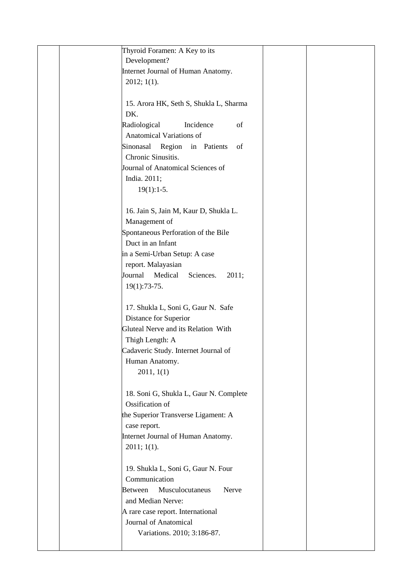| Thyroid Foramen: A Key to its              |  |
|--------------------------------------------|--|
| Development?                               |  |
| Internet Journal of Human Anatomy.         |  |
| 2012; 1(1).                                |  |
|                                            |  |
| 15. Arora HK, Seth S, Shukla L, Sharma     |  |
| DK.                                        |  |
| Radiological<br>Incidence<br>of            |  |
| Anatomical Variations of                   |  |
| Sinonasal Region in Patients<br>of         |  |
| Chronic Sinusitis.                         |  |
| Journal of Anatomical Sciences of          |  |
|                                            |  |
| India. 2011;                               |  |
| $19(1):1-5.$                               |  |
|                                            |  |
| 16. Jain S, Jain M, Kaur D, Shukla L.      |  |
| Management of                              |  |
| Spontaneous Perforation of the Bile        |  |
| Duct in an Infant                          |  |
| in a Semi-Urban Setup: A case              |  |
| report. Malayasian                         |  |
| Journal<br>Medical<br>Sciences.<br>2011;   |  |
| 19(1):73-75.                               |  |
|                                            |  |
| 17. Shukla L, Soni G, Gaur N. Safe         |  |
| Distance for Superior                      |  |
| Gluteal Nerve and its Relation With        |  |
| Thigh Length: A                            |  |
| Cadaveric Study. Internet Journal of       |  |
| Human Anatomy.                             |  |
| 2011, 1(1)                                 |  |
|                                            |  |
| 18. Soni G, Shukla L, Gaur N. Complete     |  |
| Ossification of                            |  |
| the Superior Transverse Ligament: A        |  |
| case report.                               |  |
| Internet Journal of Human Anatomy.         |  |
| $2011; 1(1)$ .                             |  |
|                                            |  |
| 19. Shukla L, Soni G, Gaur N. Four         |  |
| Communication                              |  |
| Musculocutaneus<br><b>Between</b><br>Nerve |  |
| and Median Nerve:                          |  |
| A rare case report. International          |  |
| Journal of Anatomical                      |  |
| Variations. 2010; 3:186-87.                |  |
|                                            |  |
|                                            |  |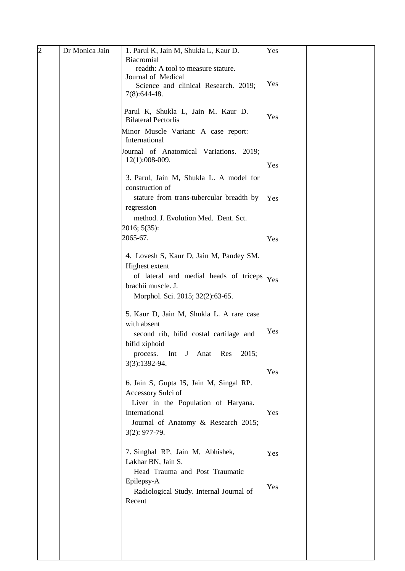| $\overline{2}$ | Dr Monica Jain | 1. Parul K, Jain M, Shukla L, Kaur D.       | Yes |  |
|----------------|----------------|---------------------------------------------|-----|--|
|                |                | Biacromial                                  |     |  |
|                |                | readth: A tool to measure stature.          |     |  |
|                |                | Journal of Medical                          |     |  |
|                |                | Science and clinical Research. 2019;        | Yes |  |
|                |                | $7(8):644-48.$                              |     |  |
|                |                |                                             |     |  |
|                |                | Parul K, Shukla L, Jain M. Kaur D.          |     |  |
|                |                | <b>Bilateral Pectorlis</b>                  | Yes |  |
|                |                | Minor Muscle Variant: A case report:        |     |  |
|                |                | International                               |     |  |
|                |                | Journal of Anatomical Variations. 2019;     |     |  |
|                |                | $12(1):008-009.$                            |     |  |
|                |                |                                             | Yes |  |
|                |                | 3. Parul, Jain M, Shukla L. A model for     |     |  |
|                |                | construction of                             |     |  |
|                |                | stature from trans-tubercular breadth by    |     |  |
|                |                |                                             | Yes |  |
|                |                | regression                                  |     |  |
|                |                | method. J. Evolution Med. Dent. Sct.        |     |  |
|                |                | 2016; 5(35):                                |     |  |
|                |                | 2065-67.                                    | Yes |  |
|                |                |                                             |     |  |
|                |                | 4. Lovesh S, Kaur D, Jain M, Pandey SM.     |     |  |
|                |                | Highest extent                              |     |  |
|                |                | of lateral and medial heads of triceps      | Yes |  |
|                |                | brachii muscle. J.                          |     |  |
|                |                | Morphol. Sci. 2015; 32(2):63-65.            |     |  |
|                |                |                                             |     |  |
|                |                | 5. Kaur D, Jain M, Shukla L. A rare case    |     |  |
|                |                | with absent                                 |     |  |
|                |                | second rib, bifid costal cartilage and      | Yes |  |
|                |                | bifid xiphoid                               |     |  |
|                |                | Anat<br>Int                                 |     |  |
|                |                | $J_{\parallel}$<br>Res<br>2015;<br>process. |     |  |
|                |                | 3(3):1392-94.                               | Yes |  |
|                |                |                                             |     |  |
|                |                | 6. Jain S, Gupta IS, Jain M, Singal RP.     |     |  |
|                |                | Accessory Sulci of                          |     |  |
|                |                | Liver in the Population of Haryana.         |     |  |
|                |                | International                               | Yes |  |
|                |                | Journal of Anatomy & Research 2015;         |     |  |
|                |                | $3(2): 977-79.$                             |     |  |
|                |                |                                             |     |  |
|                |                | 7. Singhal RP, Jain M, Abhishek,            | Yes |  |
|                |                | Lakhar BN, Jain S.                          |     |  |
|                |                | Head Trauma and Post Traumatic              |     |  |
|                |                | Epilepsy-A                                  |     |  |
|                |                | Radiological Study. Internal Journal of     | Yes |  |
|                |                | Recent                                      |     |  |
|                |                |                                             |     |  |
|                |                |                                             |     |  |
|                |                |                                             |     |  |
|                |                |                                             |     |  |
|                |                |                                             |     |  |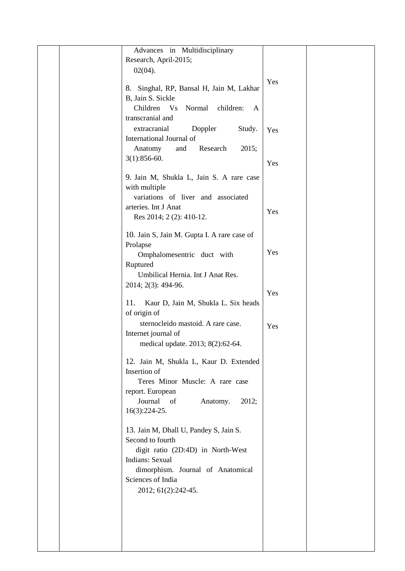|  | Advances in Multidisciplinary               |     |  |
|--|---------------------------------------------|-----|--|
|  | Research, April-2015;                       |     |  |
|  |                                             |     |  |
|  | $02(04)$ .                                  |     |  |
|  | 8. Singhal, RP, Bansal H, Jain M, Lakhar    | Yes |  |
|  |                                             |     |  |
|  | B, Jain S. Sickle                           |     |  |
|  | Children<br>Vs<br>Normal<br>children:<br>A  |     |  |
|  | transcranial and                            |     |  |
|  | extracranial<br>Doppler<br>Study.           | Yes |  |
|  | International Journal of                    |     |  |
|  | Research<br>2015;<br>Anatomy<br>and         |     |  |
|  | $3(1):856-60.$                              |     |  |
|  |                                             | Yes |  |
|  | 9. Jain M, Shukla L, Jain S. A rare case    |     |  |
|  | with multiple                               |     |  |
|  | variations of liver and associated          |     |  |
|  |                                             |     |  |
|  | arteries. Int J Anat                        | Yes |  |
|  | Res 2014; 2(2): 410-12.                     |     |  |
|  |                                             |     |  |
|  | 10. Jain S, Jain M. Gupta I. A rare case of |     |  |
|  | Prolapse                                    | Yes |  |
|  | Omphalomesentric duct with                  |     |  |
|  | Ruptured                                    |     |  |
|  | Umbilical Hernia. Int J Anat Res.           |     |  |
|  | 2014; 2(3): 494-96.                         |     |  |
|  |                                             | Yes |  |
|  | 11.<br>Kaur D, Jain M, Shukla L. Six heads  |     |  |
|  | of origin of                                |     |  |
|  | sternocleido mastoid. A rare case.          | Yes |  |
|  | Internet journal of                         |     |  |
|  | medical update. 2013; 8(2):62-64.           |     |  |
|  |                                             |     |  |
|  | 12. Jain M, Shukla L, Kaur D. Extended      |     |  |
|  | Insertion of                                |     |  |
|  | Teres Minor Muscle: A rare case             |     |  |
|  |                                             |     |  |
|  | report. European                            |     |  |
|  | Journal of<br>2012;<br>Anatomy.             |     |  |
|  | $16(3):224-25.$                             |     |  |
|  |                                             |     |  |
|  | 13. Jain M, Dhall U, Pandey S, Jain S.      |     |  |
|  | Second to fourth                            |     |  |
|  | digit ratio (2D:4D) in North-West           |     |  |
|  | Indians: Sexual                             |     |  |
|  | dimorphism. Journal of Anatomical           |     |  |
|  | Sciences of India                           |     |  |
|  | 2012; 61(2):242-45.                         |     |  |
|  |                                             |     |  |
|  |                                             |     |  |
|  |                                             |     |  |
|  |                                             |     |  |
|  |                                             |     |  |
|  |                                             |     |  |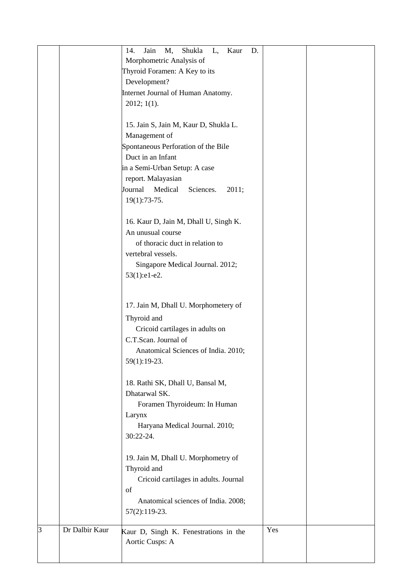|   | Jain<br>M,<br>14.                     | Shukla<br>L,<br>Kaur                  | D. |     |  |
|---|---------------------------------------|---------------------------------------|----|-----|--|
|   | Morphometric Analysis of              |                                       |    |     |  |
|   | Thyroid Foramen: A Key to its         |                                       |    |     |  |
|   | Development?                          |                                       |    |     |  |
|   | Internet Journal of Human Anatomy.    |                                       |    |     |  |
|   | 2012; 1(1).                           |                                       |    |     |  |
|   |                                       |                                       |    |     |  |
|   |                                       |                                       |    |     |  |
|   | 15. Jain S, Jain M, Kaur D, Shukla L. |                                       |    |     |  |
|   | Management of                         |                                       |    |     |  |
|   | Spontaneous Perforation of the Bile   |                                       |    |     |  |
|   | Duct in an Infant                     |                                       |    |     |  |
|   | in a Semi-Urban Setup: A case         |                                       |    |     |  |
|   | report. Malayasian                    |                                       |    |     |  |
|   | Medical<br>Journal                    | Sciences.                             |    |     |  |
|   |                                       | 2011;                                 |    |     |  |
|   | $19(1):73-75.$                        |                                       |    |     |  |
|   |                                       |                                       |    |     |  |
|   | 16. Kaur D, Jain M, Dhall U, Singh K. |                                       |    |     |  |
|   | An unusual course                     |                                       |    |     |  |
|   | of thoracic duct in relation to       |                                       |    |     |  |
|   | vertebral vessels.                    |                                       |    |     |  |
|   |                                       |                                       |    |     |  |
|   | Singapore Medical Journal. 2012;      |                                       |    |     |  |
|   | 53(1):e1-e2.                          |                                       |    |     |  |
|   |                                       |                                       |    |     |  |
|   |                                       |                                       |    |     |  |
|   | 17. Jain M, Dhall U. Morphometery of  |                                       |    |     |  |
|   | Thyroid and                           |                                       |    |     |  |
|   | Cricoid cartilages in adults on       |                                       |    |     |  |
|   | C.T.Scan. Journal of                  |                                       |    |     |  |
|   |                                       | Anatomical Sciences of India. 2010;   |    |     |  |
|   | 59(1):19-23.                          |                                       |    |     |  |
|   |                                       |                                       |    |     |  |
|   | 18. Rathi SK, Dhall U, Bansal M,      |                                       |    |     |  |
|   |                                       |                                       |    |     |  |
|   | Dhatarwal SK.                         |                                       |    |     |  |
|   | Foramen Thyroideum: In Human          |                                       |    |     |  |
|   | Larynx                                |                                       |    |     |  |
|   | Haryana Medical Journal. 2010;        |                                       |    |     |  |
|   | 30:22-24.                             |                                       |    |     |  |
|   |                                       |                                       |    |     |  |
|   | 19. Jain M, Dhall U. Morphometry of   |                                       |    |     |  |
|   | Thyroid and                           |                                       |    |     |  |
|   |                                       | Cricoid cartilages in adults. Journal |    |     |  |
|   | of                                    |                                       |    |     |  |
|   |                                       |                                       |    |     |  |
|   |                                       | Anatomical sciences of India. 2008;   |    |     |  |
|   | 57(2):119-23.                         |                                       |    |     |  |
| 3 | Dr Dalbir Kaur                        |                                       |    | Yes |  |
|   | Kaur D, Singh K. Fenestrations in the |                                       |    |     |  |
|   | Aortic Cusps: A                       |                                       |    |     |  |
|   |                                       |                                       |    |     |  |
|   |                                       |                                       |    |     |  |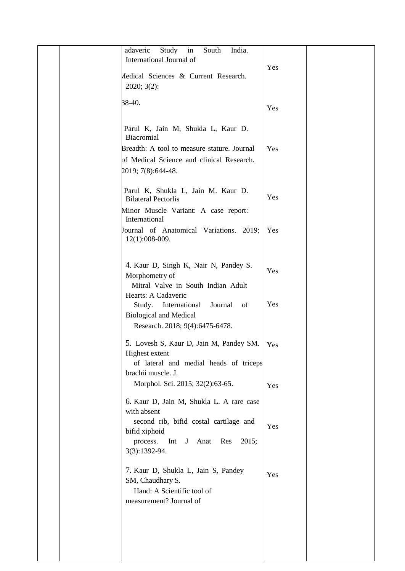| $\operatorname{in}$<br>adaveric<br>Study<br>South<br>India.<br>International Journal of |  |
|-----------------------------------------------------------------------------------------|--|
| Yes<br>Aedical Sciences & Current Research.                                             |  |
| 2020; 3(2):                                                                             |  |
| 38-40.<br>Yes                                                                           |  |
|                                                                                         |  |
| Parul K, Jain M, Shukla L, Kaur D.<br>Biacromial                                        |  |
| Yes<br>Breadth: A tool to measure stature. Journal                                      |  |
| of Medical Science and clinical Research.                                               |  |
| 2019; 7(8):644-48.                                                                      |  |
|                                                                                         |  |
| Parul K, Shukla L, Jain M. Kaur D.<br>Yes<br><b>Bilateral Pectorlis</b>                 |  |
| Minor Muscle Variant: A case report:<br>International                                   |  |
| Journal of Anatomical Variations. 2019;<br>Yes<br>$12(1):008-009.$                      |  |
|                                                                                         |  |
| 4. Kaur D, Singh K, Nair N, Pandey S.                                                   |  |
| Yes<br>Morphometry of                                                                   |  |
| Mitral Valve in South Indian Adult                                                      |  |
| Hearts: A Cadaveric                                                                     |  |
| Yes<br>International<br>Journal<br>Study.<br>of                                         |  |
| <b>Biological and Medical</b>                                                           |  |
| Research. 2018; 9(4):6475-6478.                                                         |  |
| 5. Lovesh S, Kaur D, Jain M, Pandey SM.<br>Yes                                          |  |
| Highest extent                                                                          |  |
| of lateral and medial heads of triceps                                                  |  |
| brachii muscle. J.                                                                      |  |
| Morphol. Sci. 2015; 32(2):63-65.<br>Yes                                                 |  |
| 6. Kaur D, Jain M, Shukla L. A rare case                                                |  |
| with absent                                                                             |  |
| second rib, bifid costal cartilage and<br>Yes                                           |  |
| bifid xiphoid<br>Int<br>J<br>Anat<br>Res<br>2015;                                       |  |
| process.<br>3(3):1392-94.                                                               |  |
|                                                                                         |  |
| 7. Kaur D, Shukla L, Jain S, Pandey<br>Yes                                              |  |
| SM, Chaudhary S.                                                                        |  |
| Hand: A Scientific tool of                                                              |  |
| measurement? Journal of                                                                 |  |
|                                                                                         |  |
|                                                                                         |  |
|                                                                                         |  |
|                                                                                         |  |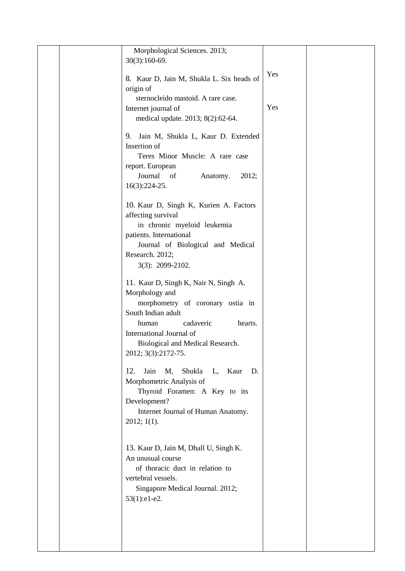|  | Morphological Sciences. 2013;<br>$30(3):160-69.$             |     |  |
|--|--------------------------------------------------------------|-----|--|
|  |                                                              | Yes |  |
|  | 8. Kaur D, Jain M, Shukla L. Six heads of<br>origin of       |     |  |
|  | sternocleido mastoid. A rare case.                           |     |  |
|  | Internet journal of<br>medical update. 2013; 8(2):62-64.     | Yes |  |
|  |                                                              |     |  |
|  | 9. Jain M, Shukla L, Kaur D. Extended<br>Insertion of        |     |  |
|  | Teres Minor Muscle: A rare case                              |     |  |
|  | report. European<br>Journal of<br>Anatomy.<br>2012;          |     |  |
|  | $16(3):224-25.$                                              |     |  |
|  | 10. Kaur D, Singh K, Kurien A. Factors                       |     |  |
|  | affecting survival<br>in chronic myeloid leukemia            |     |  |
|  | patients. International                                      |     |  |
|  | Journal of Biological and Medical<br>Research. 2012;         |     |  |
|  | 3(3): 2099-2102.                                             |     |  |
|  | 11. Kaur D, Singh K, Nair N, Singh A.                        |     |  |
|  | Morphology and                                               |     |  |
|  | morphometry of coronary ostia in<br>South Indian adult       |     |  |
|  | cadaveric<br>human<br>hearts.                                |     |  |
|  | International Journal of<br>Biological and Medical Research. |     |  |
|  | 2012; 3(3):2172-75.                                          |     |  |
|  | Shukla<br>12.<br>Jain<br>M,<br>L, Kaur<br>D.                 |     |  |
|  | Morphometric Analysis of<br>Thyroid Foramen: A Key to its    |     |  |
|  | Development?                                                 |     |  |
|  | Internet Journal of Human Anatomy.                           |     |  |
|  | $2012; 1(1)$ .                                               |     |  |
|  | 13. Kaur D, Jain M, Dhall U, Singh K.                        |     |  |
|  | An unusual course                                            |     |  |
|  | of thoracic duct in relation to<br>vertebral vessels.        |     |  |
|  | Singapore Medical Journal. 2012;                             |     |  |
|  | 53(1):e1-e2.                                                 |     |  |
|  |                                                              |     |  |
|  |                                                              |     |  |
|  |                                                              |     |  |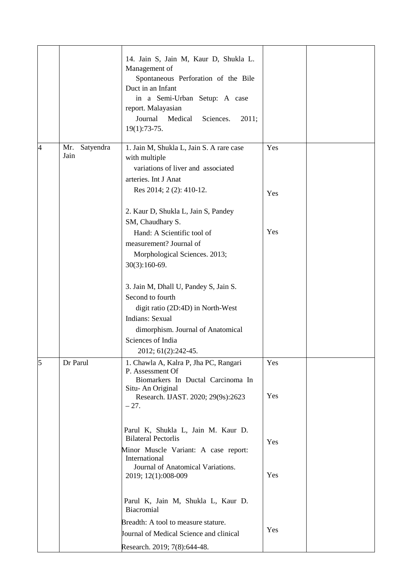|                |                          | 14. Jain S, Jain M, Kaur D, Shukla L.<br>Management of<br>Spontaneous Perforation of the Bile<br>Duct in an Infant<br>in a Semi-Urban Setup: A case<br>report. Malayasian<br>Medical<br>Journal<br>Sciences.<br>2011;<br>19(1):73-75. |            |  |
|----------------|--------------------------|---------------------------------------------------------------------------------------------------------------------------------------------------------------------------------------------------------------------------------------|------------|--|
| $\overline{A}$ | Satyendra<br>Mr.<br>Jain | 1. Jain M, Shukla L, Jain S. A rare case<br>with multiple<br>variations of liver and associated<br>arteries. Int J Anat                                                                                                               | Yes        |  |
|                |                          | Res 2014; 2(2): 410-12.<br>2. Kaur D, Shukla L, Jain S, Pandey                                                                                                                                                                        | Yes        |  |
|                |                          | SM, Chaudhary S.<br>Hand: A Scientific tool of<br>measurement? Journal of<br>Morphological Sciences. 2013;<br>$30(3):160-69.$                                                                                                         | Yes        |  |
|                |                          | 3. Jain M, Dhall U, Pandey S, Jain S.<br>Second to fourth<br>digit ratio (2D:4D) in North-West<br>Indians: Sexual<br>dimorphism. Journal of Anatomical<br>Sciences of India<br>2012; 61(2):242-45.                                    |            |  |
| 5              | Dr Parul                 | 1. Chawla A, Kalra P, Jha PC, Rangari<br>P. Assessment Of<br>Biomarkers In Ductal Carcinoma In<br>Situ-An Original<br>Research. IJAST. 2020; 29(9s):2623<br>$-27.$                                                                    | Yes<br>Yes |  |
|                |                          | Parul K, Shukla L, Jain M. Kaur D.<br><b>Bilateral Pectorlis</b><br>Minor Muscle Variant: A case report:<br>International<br>Journal of Anatomical Variations.<br>2019; 12(1):008-009                                                 | Yes<br>Yes |  |
|                |                          | Parul K, Jain M, Shukla L, Kaur D.<br>Biacromial<br>Breadth: A tool to measure stature.<br>Journal of Medical Science and clinical<br>Research. 2019; 7(8):644-48.                                                                    | Yes        |  |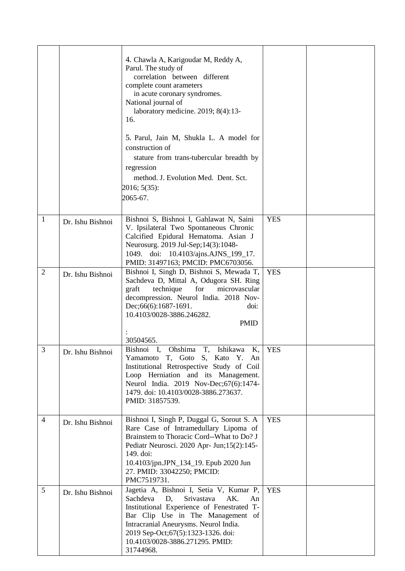|                |                  | 4. Chawla A, Karigoudar M, Reddy A,<br>Parul. The study of<br>correlation between different<br>complete count arameters<br>in acute coronary syndromes.<br>National journal of<br>laboratory medicine. 2019; 8(4):13-<br>16.<br>5. Parul, Jain M, Shukla L. A model for<br>construction of<br>stature from trans-tubercular breadth by<br>regression<br>method. J. Evolution Med. Dent. Sct.<br>2016; 5(35):<br>2065-67. |            |  |
|----------------|------------------|--------------------------------------------------------------------------------------------------------------------------------------------------------------------------------------------------------------------------------------------------------------------------------------------------------------------------------------------------------------------------------------------------------------------------|------------|--|
| $\mathbf{1}$   | Dr. Ishu Bishnoi | Bishnoi S, Bishnoi I, Gahlawat N, Saini<br>V. Ipsilateral Two Spontaneous Chronic<br>Calcified Epidural Hematoma. Asian J<br>Neurosurg. 2019 Jul-Sep; 14(3): 1048-<br>1049. doi: 10.4103/ajns.AJNS_199_17.<br>PMID: 31497163; PMCID: PMC6703056.                                                                                                                                                                         | <b>YES</b> |  |
| $\overline{2}$ | Dr. Ishu Bishnoi | Bishnoi I, Singh D, Bishnoi S, Mewada T,<br>Sachdeva D, Mittal A, Odugora SH. Ring<br>for<br>graft<br>technique<br>microvascular<br>decompression. Neurol India. 2018 Nov-<br>Dec;66(6):1687-1691.<br>doi:<br>10.4103/0028-3886.246282.<br><b>PMID</b><br>30504565.                                                                                                                                                      | <b>YES</b> |  |
| $\mathfrak{Z}$ | Dr. Ishu Bishnoi | Bishnoi I, Ohshima T, Ishikawa K,<br>Yamamoto T, Goto S, Kato Y. An<br>Institutional Retrospective Study of Coil<br>Loop Herniation and its Management.<br>Neurol India. 2019 Nov-Dec; 67(6): 1474-<br>1479. doi: 10.4103/0028-3886.273637.<br>PMID: 31857539.                                                                                                                                                           | <b>YES</b> |  |
| $\overline{4}$ | Dr. Ishu Bishnoi | Bishnoi I, Singh P, Duggal G, Sorout S. A<br>Rare Case of Intramedullary Lipoma of<br>Brainstem to Thoracic Cord--What to Do? J<br>Pediatr Neurosci. 2020 Apr- Jun;15(2):145-<br>149. doi:<br>10.4103/jpn.JPN_134_19. Epub 2020 Jun<br>27. PMID: 33042250; PMCID:<br>PMC7519731.                                                                                                                                         | <b>YES</b> |  |
| 5              | Dr. Ishu Bishnoi | Jagetia A, Bishnoi I, Setia V, Kumar P,<br>Sachdeva<br>D,<br>Srivastava<br>AK.<br>An<br>Institutional Experience of Fenestrated T-<br>Bar Clip Use in The Management of<br>Intracranial Aneurysms. Neurol India.<br>2019 Sep-Oct;67(5):1323-1326. doi:<br>10.4103/0028-3886.271295. PMID:<br>31744968.                                                                                                                   | <b>YES</b> |  |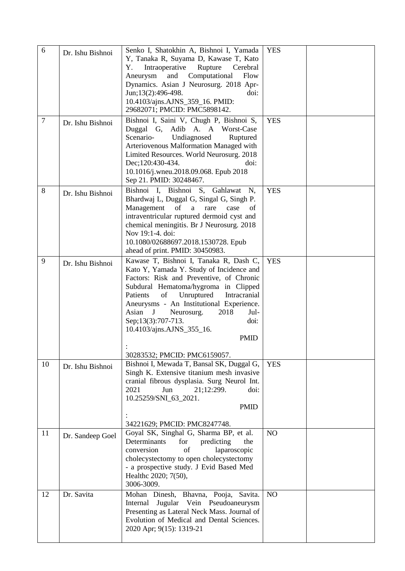| 6              | Dr. Ishu Bishnoi | Senko I, Shatokhin A, Bishnoi I, Yamada<br>Y, Tanaka R, Suyama D, Kawase T, Kato<br>Intraoperative<br>Rupture<br>Υ.<br>Cerebral<br>and<br>Computational<br>Flow<br>Aneurysm<br>Dynamics. Asian J Neurosurg. 2018 Apr-<br>Jun;13(2):496-498.<br>doi:<br>10.4103/ajns.AJNS_359_16. PMID:<br>29682071; PMCID: PMC5898142.                                                                              | <b>YES</b> |  |
|----------------|------------------|-----------------------------------------------------------------------------------------------------------------------------------------------------------------------------------------------------------------------------------------------------------------------------------------------------------------------------------------------------------------------------------------------------|------------|--|
| $\overline{7}$ | Dr. Ishu Bishnoi | Bishnoi I, Saini V, Chugh P, Bishnoi S,<br>Duggal G, Adib A. A Worst-Case<br>Scenario-<br>Undiagnosed<br>Ruptured<br>Arteriovenous Malformation Managed with<br>Limited Resources. World Neurosurg. 2018<br>Dec; 120:430-434.<br>doi:<br>10.1016/j.wneu.2018.09.068. Epub 2018<br>Sep 21. PMID: 30248467.                                                                                           | <b>YES</b> |  |
| 8              | Dr. Ishu Bishnoi | Bishnoi I.<br>Bishnoi S, Gahlawat<br>N,<br>Bhardwaj L, Duggal G, Singal G, Singh P.<br>Management<br>of<br>rare<br>of<br>$\mathbf{a}$<br>case<br>intraventricular ruptured dermoid cyst and<br>chemical meningitis. Br J Neurosurg. 2018<br>Nov 19:1-4. doi:<br>10.1080/02688697.2018.1530728. Epub<br>ahead of print. PMID: 30450983.                                                              | <b>YES</b> |  |
| 9              | Dr. Ishu Bishnoi | Kawase T, Bishnoi I, Tanaka R, Dash C,<br>Kato Y, Yamada Y. Study of Incidence and<br>Factors: Risk and Preventive, of Chronic<br>Subdural Hematoma/hygroma in Clipped<br>of<br>Patients<br>Unruptured<br>Intracranial<br>Aneurysms - An Institutional Experience.<br>Asian<br>$\mathbf{J}$<br>2018<br>Neurosurg.<br>Jul-<br>Sep;13(3):707-713.<br>doi:<br>10.4103/ajns.AJNS_355_16.<br><b>PMID</b> | <b>YES</b> |  |
| 10             | Dr. Ishu Bishnoi | 30283532; PMCID: PMC6159057.<br>Bishnoi I, Mewada T, Bansal SK, Duggal G,<br>Singh K. Extensive titanium mesh invasive<br>cranial fibrous dysplasia. Surg Neurol Int.<br>21;12:299.<br>doi:<br>2021<br>Jun<br>10.25259/SNI_63_2021.<br><b>PMID</b><br>34221629; PMCID: PMC8247748.                                                                                                                  | <b>YES</b> |  |
| 11             | Dr. Sandeep Goel | Goyal SK, Singhal G, Sharma BP, et al.<br>Determinants<br>for<br>predicting<br>the<br>of<br>conversion<br>laparoscopic<br>cholecystectomy to open cholecystectomy<br>- a prospective study. J Evid Based Med<br>Healthc 2020; 7(50),<br>3006-3009.                                                                                                                                                  | NO         |  |
| 12             | Dr. Savita       | Mohan Dinesh, Bhavna, Pooja, Savita.<br>Jugular Vein Pseudoaneurysm<br>Internal<br>Presenting as Lateral Neck Mass. Journal of<br>Evolution of Medical and Dental Sciences.<br>2020 Apr; 9(15): 1319-21                                                                                                                                                                                             | NO         |  |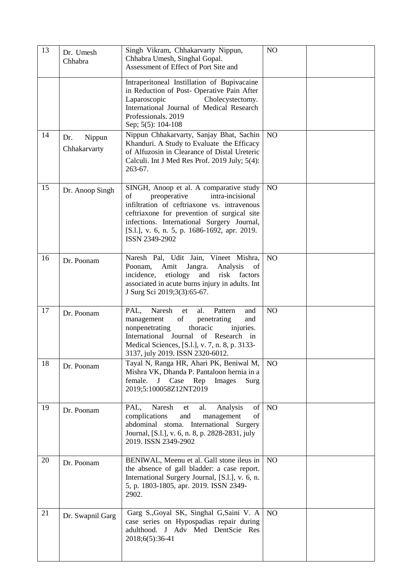| 13 | Dr. Umesh<br>Chhabra          | Singh Vikram, Chhakarvarty Nippun,<br>Chhabra Umesh, Singhal Gopal.<br>Assessment of Effect of Port Site and                                                                                                                                                                                    | N <sub>O</sub> |  |
|----|-------------------------------|-------------------------------------------------------------------------------------------------------------------------------------------------------------------------------------------------------------------------------------------------------------------------------------------------|----------------|--|
|    |                               | Intraperitoneal Instillation of Bupivacaine<br>in Reduction of Post- Operative Pain After<br>Laparoscopic<br>Cholecystectomy.<br>International Journal of Medical Research<br>Professionals, 2019<br>Sep; 5(5): 104-108                                                                         |                |  |
| 14 | Nippun<br>Dr.<br>Chhakarvarty | Nippun Chhakarvarty, Sanjay Bhat, Sachin<br>Khanduri. A Study to Evaluate the Efficacy<br>of Alfuzosin in Clearance of Distal Ureteric<br>Calculi. Int J Med Res Prof. 2019 July; 5(4):<br>263-67.                                                                                              | N <sub>O</sub> |  |
| 15 | Dr. Anoop Singh               | SINGH, Anoop et al. A comparative study<br>preoperative<br>intra-incisional<br>of<br>infiltration of ceftriaxone vs. intravenous<br>ceftriaxone for prevention of surgical site<br>infections. International Surgery Journal,<br>[S.l.], v. 6, n. 5, p. 1686-1692, apr. 2019.<br>ISSN 2349-2902 | N <sub>O</sub> |  |
| 16 | Dr. Poonam                    | Naresh Pal, Udit Jain, Vineet Mishra,<br>Poonam,<br>Amit<br>Jangra.<br>Analysis<br>of<br>risk factors<br>incidence,<br>etiology<br>and<br>associated in acute burns injury in adults. Int<br>J Surg Sci 2019;3(3):65-67.                                                                        | N <sub>O</sub> |  |
| 17 | Dr. Poonam                    | Naresh<br>PAL,<br>al.<br>Pattern<br>et<br>and<br>of<br>management<br>penetrating<br>and<br>nonpenetrating<br>thoracic<br>injuries.<br>International Journal of Research in<br>Medical Sciences, [S.l.], v. 7, n. 8, p. 3133-<br>3137, july 2019. ISSN 2320-6012.                                | NO             |  |
| 18 | Dr. Poonam                    | Tayal N, Ranga HR, Ahari PK, Beniwal M,<br>Mishra VK, Dhanda P. Pantaloon hernia in a<br>female.<br>J Case Rep Images<br>Surg<br>2019;5:100058Z12NT2019                                                                                                                                         | N <sub>O</sub> |  |
| 19 | Dr. Poonam                    | Naresh<br>al.<br>Analysis<br>of<br>PAL,<br>et<br>complications<br>and<br>of<br>management<br>abdominal stoma. International Surgery<br>Journal, [S.l.], v. 6, n. 8, p. 2828-2831, july<br>2019. ISSN 2349-2902                                                                                  | NO             |  |
| 20 | Dr. Poonam                    | BENIWAL, Meenu et al. Gall stone ileus in<br>the absence of gall bladder: a case report.<br>International Surgery Journal, [S.l.], v. 6, n.<br>5, p. 1803-1805, apr. 2019. ISSN 2349-<br>2902.                                                                                                  | N <sub>O</sub> |  |
| 21 | Dr. Swapnil Garg              | Garg S., Goyal SK, Singhal G, Saini V. A<br>case series on Hypospadias repair during<br>adulthood. J Adv Med DentScie Res<br>2018;6(5):36-41                                                                                                                                                    | N <sub>O</sub> |  |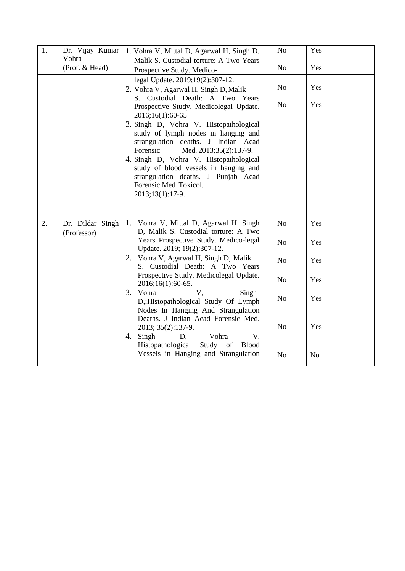| 1. | Dr. Vijay Kumar<br>Vohra<br>(Prof. & Head) | 1. Vohra V, Mittal D, Agarwal H, Singh D,<br>Malik S. Custodial torture: A Two Years<br>Prospective Study. Medico-                                                                                                                                                                                                                                                                                                                                                                                                                                                                                        | N <sub>o</sub><br>N <sub>o</sub>                                                                                           | Yes<br>Yes                                               |
|----|--------------------------------------------|-----------------------------------------------------------------------------------------------------------------------------------------------------------------------------------------------------------------------------------------------------------------------------------------------------------------------------------------------------------------------------------------------------------------------------------------------------------------------------------------------------------------------------------------------------------------------------------------------------------|----------------------------------------------------------------------------------------------------------------------------|----------------------------------------------------------|
|    |                                            | legal Update. 2019;19(2):307-12.<br>2. Vohra V, Agarwal H, Singh D, Malik<br>S. Custodial Death: A Two Years<br>Prospective Study. Medicolegal Update.<br>2016;16(1):60-65<br>3. Singh D, Vohra V. Histopathological<br>study of lymph nodes in hanging and<br>strangulation deaths. J Indian Acad<br>Forensic<br>Med. 2013;35(2):137-9.<br>4. Singh D, Vohra V. Histopathological<br>study of blood vessels in hanging and<br>strangulation deaths. J Punjab Acad<br>Forensic Med Toxicol.<br>2013;13(1):17-9.                                                                                           | N <sub>o</sub><br>No                                                                                                       | Yes<br>Yes                                               |
| 2. | Dr. Dildar Singh<br>(Professor)            | 1.<br>Vohra V, Mittal D, Agarwal H, Singh<br>D, Malik S. Custodial torture: A Two<br>Years Prospective Study. Medico-legal<br>Update. 2019; 19(2):307-12.<br>Vohra V, Agarwal H, Singh D, Malik<br>2.<br>S. Custodial Death: A Two Years<br>Prospective Study. Medicolegal Update.<br>2016;16(1):60-65.<br>3. Vohra<br>V,<br>Singh<br>D,;Histopathological Study Of Lymph<br>Nodes In Hanging And Strangulation<br>Deaths. J Indian Acad Forensic Med.<br>2013; 35(2):137-9.<br>4. Singh<br>Vohra<br>D,<br>V.<br>Histopathological<br>Study<br>of<br><b>Blood</b><br>Vessels in Hanging and Strangulation | N <sub>o</sub><br>N <sub>o</sub><br>N <sub>o</sub><br>N <sub>o</sub><br>N <sub>o</sub><br>N <sub>o</sub><br>N <sub>o</sub> | Yes<br>Yes<br>Yes<br>Yes<br>Yes<br>Yes<br>N <sub>o</sub> |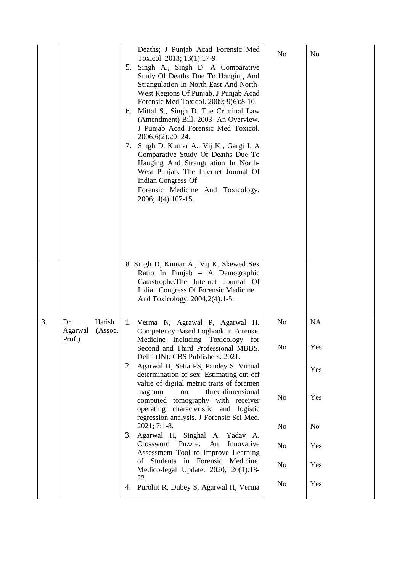|    |                                               | Deaths; J Punjab Acad Forensic Med<br>Toxicol. 2013; 13(1):17-9<br>5. Singh A., Singh D. A Comparative<br>Study Of Deaths Due To Hanging And<br>Strangulation In North East And North-<br>West Regions Of Punjab. J Punjab Acad<br>Forensic Med Toxicol. 2009; 9(6):8-10.<br>Mittal S., Singh D. The Criminal Law<br>6.<br>(Amendment) Bill, 2003- An Overview.<br>J Punjab Acad Forensic Med Toxicol.<br>2006;6(2):20-24.<br>Singh D, Kumar A., Vij K, Gargi J. A<br>7.<br>Comparative Study Of Deaths Due To<br>Hanging And Strangulation In North-<br>West Punjab. The Internet Journal Of<br><b>Indian Congress Of</b><br>Forensic Medicine And Toxicology.<br>2006; 4(4): 107-15. | No                   | N <sub>o</sub> |
|----|-----------------------------------------------|----------------------------------------------------------------------------------------------------------------------------------------------------------------------------------------------------------------------------------------------------------------------------------------------------------------------------------------------------------------------------------------------------------------------------------------------------------------------------------------------------------------------------------------------------------------------------------------------------------------------------------------------------------------------------------------|----------------------|----------------|
|    |                                               | 8. Singh D, Kumar A., Vij K. Skewed Sex<br>Ratio In Punjab - A Demographic<br>Catastrophe. The Internet Journal Of<br>Indian Congress Of Forensic Medicine<br>And Toxicology. 2004;2(4):1-5.                                                                                                                                                                                                                                                                                                                                                                                                                                                                                           |                      |                |
| 3. | Harish<br>Dr.<br>Agarwal<br>(Assoc.<br>Prof.) | 1.<br>Verma N, Agrawal P, Agarwal H.<br>Competency Based Logbook in Forensic<br>Medicine Including Toxicology for<br>Second and Third Professional MBBS.                                                                                                                                                                                                                                                                                                                                                                                                                                                                                                                               | N <sub>o</sub><br>No | NA<br>Yes      |
|    |                                               | Delhi (IN): CBS Publishers: 2021.<br>2. Agarwal H, Setia PS, Pandey S. Virtual<br>determination of sex: Estimating cut off<br>value of digital metric traits of foramen                                                                                                                                                                                                                                                                                                                                                                                                                                                                                                                |                      | Yes            |
|    |                                               | three-dimensional<br>magnum<br>on<br>computed tomography with receiver<br>operating characteristic and logistic<br>regression analysis. J Forensic Sci Med.                                                                                                                                                                                                                                                                                                                                                                                                                                                                                                                            | N <sub>o</sub>       | Yes            |
|    |                                               | $2021; 7:1-8.$<br>3. Agarwal H, Singhal A, Yadav A.                                                                                                                                                                                                                                                                                                                                                                                                                                                                                                                                                                                                                                    | No                   | N <sub>0</sub> |
|    |                                               | Crossword<br>Puzzle:<br>An<br>Innovative<br>Assessment Tool to Improve Learning                                                                                                                                                                                                                                                                                                                                                                                                                                                                                                                                                                                                        | N <sub>0</sub>       | Yes            |
|    |                                               | of Students in Forensic Medicine.<br>Medico-legal Update. 2020; 20(1):18-                                                                                                                                                                                                                                                                                                                                                                                                                                                                                                                                                                                                              | N <sub>o</sub>       | Yes            |
|    |                                               | 22.<br>4. Purohit R, Dubey S, Agarwal H, Verma                                                                                                                                                                                                                                                                                                                                                                                                                                                                                                                                                                                                                                         | No                   | Yes            |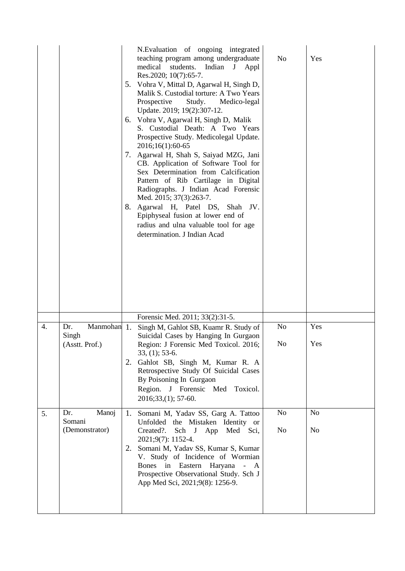|    |                                                           | 6.<br>7. | N. Evaluation of ongoing integrated<br>teaching program among undergraduate<br>medical<br>students.<br>Indian J<br>Appl<br>Res.2020; 10(7):65-7.<br>5. Vohra V, Mittal D, Agarwal H, Singh D,<br>Malik S. Custodial torture: A Two Years<br>Prospective<br>Study.<br>Medico-legal<br>Update. 2019; 19(2):307-12.<br>Vohra V, Agarwal H, Singh D, Malik<br>S. Custodial Death: A Two Years<br>Prospective Study. Medicolegal Update.<br>2016;16(1):60-65<br>Agarwal H, Shah S, Saiyad MZG, Jani<br>CB. Application of Software Tool for<br>Sex Determination from Calcification<br>Pattern of Rib Cartilage in Digital<br>Radiographs. J Indian Acad Forensic<br>Med. 2015; 37(3):263-7.<br>8. Agarwal H, Patel DS, Shah JV.<br>Epiphyseal fusion at lower end of<br>radius and ulna valuable tool for age<br>determination. J Indian Acad | No             | Yes            |
|----|-----------------------------------------------------------|----------|-------------------------------------------------------------------------------------------------------------------------------------------------------------------------------------------------------------------------------------------------------------------------------------------------------------------------------------------------------------------------------------------------------------------------------------------------------------------------------------------------------------------------------------------------------------------------------------------------------------------------------------------------------------------------------------------------------------------------------------------------------------------------------------------------------------------------------------------|----------------|----------------|
|    |                                                           |          | Forensic Med. 2011; 33(2):31-5.                                                                                                                                                                                                                                                                                                                                                                                                                                                                                                                                                                                                                                                                                                                                                                                                           |                |                |
| 4. | Manmohan <sup>1</sup> .<br>Dr.<br>Singh<br>(Asstt. Prof.) |          | Singh M, Gahlot SB, Kuamr R. Study of<br>Suicidal Cases by Hanging In Gurgaon<br>Region: J Forensic Med Toxicol. 2016;                                                                                                                                                                                                                                                                                                                                                                                                                                                                                                                                                                                                                                                                                                                    | No<br>No       | Yes<br>Yes     |
|    |                                                           | 2.       | $33, (1)$ ; 53-6.<br>Gahlot SB, Singh M, Kumar R. A<br>Retrospective Study Of Suicidal Cases<br>By Poisoning In Gurgaon<br>Region. J Forensic Med Toxicol.<br>$2016; 33, (1); 57-60.$                                                                                                                                                                                                                                                                                                                                                                                                                                                                                                                                                                                                                                                     |                |                |
| 5. | Manoj<br>Dr.<br>Somani                                    | 1.       | Somani M, Yadav SS, Garg A. Tattoo<br>Unfolded the Mistaken Identity or                                                                                                                                                                                                                                                                                                                                                                                                                                                                                                                                                                                                                                                                                                                                                                   | No             | N <sub>0</sub> |
|    | (Demonstrator)                                            | 2.       | Created?.<br>Sch J App Med Sci,<br>2021;9(7): 1152-4.<br>Somani M, Yadav SS, Kumar S, Kumar<br>V. Study of Incidence of Wormian<br>Bones in Eastern<br>Haryana - A<br>Prospective Observational Study. Sch J<br>App Med Sci, 2021;9(8): 1256-9.                                                                                                                                                                                                                                                                                                                                                                                                                                                                                                                                                                                           | N <sub>o</sub> | No             |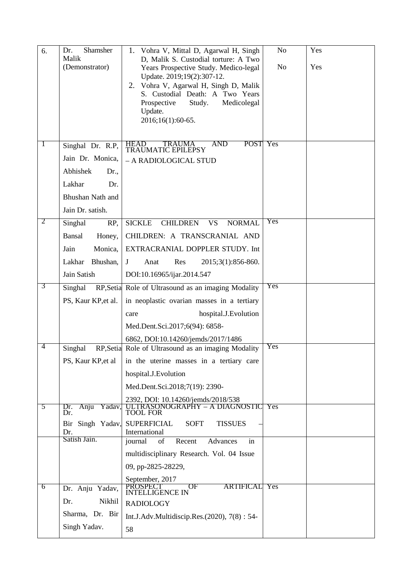| 6.             | Shamsher<br>Dr.<br>Malik<br>(Demonstrator) | Vohra V, Mittal D, Agarwal H, Singh<br>1.<br>D, Malik S. Custodial torture: A Two<br>Years Prospective Study. Medico-legal<br>Update. 2019;19(2):307-12.<br>2. Vohra V, Agarwal H, Singh D, Malik<br>S. Custodial Death: A Two Years<br>Prospective<br>Study.<br>Medicolegal<br>Update.<br>2016;16(1):60-65. | N <sub>o</sub><br>N <sub>o</sub> | Yes<br>Yes |
|----------------|--------------------------------------------|--------------------------------------------------------------------------------------------------------------------------------------------------------------------------------------------------------------------------------------------------------------------------------------------------------------|----------------------------------|------------|
| $\perp$        | Singhal Dr. R.P,                           | POST<br>AND<br><b>HEAD</b><br><b>TRAUMA</b><br>TRAUMATIC EPILEPSY                                                                                                                                                                                                                                            | Yes                              |            |
|                | Jain Dr. Monica,                           | - A RADIOLOGICAL STUD                                                                                                                                                                                                                                                                                        |                                  |            |
|                | Abhishek<br>Dr.,                           |                                                                                                                                                                                                                                                                                                              |                                  |            |
|                | Lakhar<br>Dr.                              |                                                                                                                                                                                                                                                                                                              |                                  |            |
|                | Bhushan Nath and                           |                                                                                                                                                                                                                                                                                                              |                                  |            |
|                | Jain Dr. satish.                           |                                                                                                                                                                                                                                                                                                              |                                  |            |
| 2              | Singhal<br>RP,                             | <b>SICKLE</b><br><b>CHILDREN</b><br><b>NORMAL</b><br><b>VS</b>                                                                                                                                                                                                                                               | Yes                              |            |
|                | <b>Bansal</b><br>Honey,                    | CHILDREN: A TRANSCRANIAL AND                                                                                                                                                                                                                                                                                 |                                  |            |
|                | Jain<br>Monica,                            | EXTRACRANIAL DOPPLER STUDY. Int                                                                                                                                                                                                                                                                              |                                  |            |
|                | Lakhar<br>Bhushan,                         | Res<br>2015;3(1):856-860.<br>$J_{-}$<br>Anat                                                                                                                                                                                                                                                                 |                                  |            |
|                | Jain Satish                                | DOI:10.16965/ijar.2014.547                                                                                                                                                                                                                                                                                   |                                  |            |
| 3              | Singhal                                    | RP, Setial Role of Ultrasound as an imaging Modality                                                                                                                                                                                                                                                         | Yes                              |            |
|                | PS, Kaur KP, et al.                        | in neoplastic ovarian masses in a tertiary                                                                                                                                                                                                                                                                   |                                  |            |
|                |                                            | hospital.J.Evolution<br>care                                                                                                                                                                                                                                                                                 |                                  |            |
|                |                                            | Med.Dent.Sci.2017;6(94): 6858-                                                                                                                                                                                                                                                                               |                                  |            |
| $\overline{4}$ |                                            | 6862, DOI:10.14260/jemds/2017/1486                                                                                                                                                                                                                                                                           | Yes                              |            |
|                | Singhal                                    | RP, Setia Role of Ultrasound as an imaging Modality                                                                                                                                                                                                                                                          |                                  |            |
|                | PS, Kaur KP, et al                         | in the uterine masses in a tertiary care                                                                                                                                                                                                                                                                     |                                  |            |
|                |                                            | hospital.J.Evolution                                                                                                                                                                                                                                                                                         |                                  |            |
|                |                                            | Med.Dent.Sci.2018;7(19): 2390-                                                                                                                                                                                                                                                                               |                                  |            |
| $\overline{5}$ | Anju Yadav,<br>Dr.<br>Dr.                  | 2392, DOI: 10.14260/jemds/2018/538<br>TRASONOGRAPHY – A DIAGNOSTIC<br><b>TOOL FOR</b>                                                                                                                                                                                                                        | Yes                              |            |
|                | Bir Singh Yadav,                           | <b>SUPERFICIAL</b><br><b>SOFT</b><br><b>TISSUES</b>                                                                                                                                                                                                                                                          |                                  |            |
|                | Dr.<br>Satish Jain.                        | International<br>journal<br>of<br>Recent<br>Advances<br>in                                                                                                                                                                                                                                                   |                                  |            |
|                |                                            | multidisciplinary Research. Vol. 04 Issue                                                                                                                                                                                                                                                                    |                                  |            |
|                |                                            | 09, pp-2825-28229,                                                                                                                                                                                                                                                                                           |                                  |            |
|                |                                            | September, 2017                                                                                                                                                                                                                                                                                              |                                  |            |
| 6              | Dr. Anju Yadav,                            | <b>ARTIFICAL</b><br><b>PROSPECT</b><br>OF<br><b>INTELLIGENCE IN</b>                                                                                                                                                                                                                                          | Yes                              |            |
|                | Nikhil<br>Dr.                              | <b>RADIOLOGY</b>                                                                                                                                                                                                                                                                                             |                                  |            |
|                | Sharma, Dr. Bir                            | Int.J.Adv.Multidiscip.Res.(2020), 7(8): 54-                                                                                                                                                                                                                                                                  |                                  |            |
|                | Singh Yadav.                               | 58                                                                                                                                                                                                                                                                                                           |                                  |            |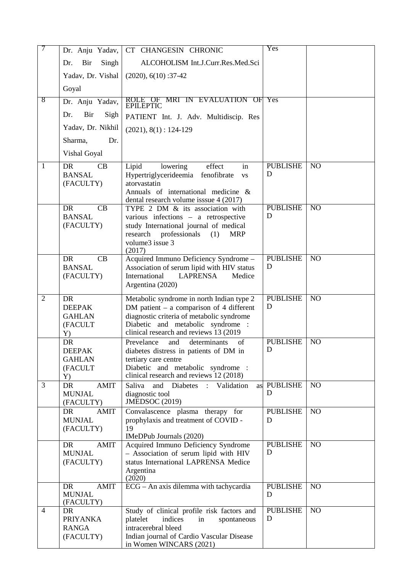| 7              | Dr. Anju Yadav,                           | CT CHANGESIN CHRONIC                                                                     | Yes                  |                 |
|----------------|-------------------------------------------|------------------------------------------------------------------------------------------|----------------------|-----------------|
|                | Singh<br>Bir<br>Dr.                       | ALCOHOLISM Int.J.Curr.Res.Med.Sci                                                        |                      |                 |
|                | Yadav, Dr. Vishal                         | $(2020), 6(10): 37-42$                                                                   |                      |                 |
|                | Goyal                                     |                                                                                          |                      |                 |
| 8              | Dr. Anju Yadav,                           | ROLE OF MRI IN EVALUATION OF Yes<br>EPILEPTIC                                            |                      |                 |
|                | Dr.<br>Bir<br>Sigh                        | PATIENT Int. J. Adv. Multidiscip. Res                                                    |                      |                 |
|                | Yadav, Dr. Nikhil                         | $(2021), 8(1): 124-129$                                                                  |                      |                 |
|                | Dr.<br>Sharma,                            |                                                                                          |                      |                 |
|                | Vishal Goyal                              |                                                                                          |                      |                 |
| $\mathbf{1}$   | <b>DR</b><br>CB                           | Lipid<br>effect<br>lowering<br>in                                                        | <b>PUBLISHE</b>      | N <sub>O</sub>  |
|                | <b>BANSAL</b><br>(FACULTY)                | Hypertriglycerideemia fenofibrate<br><b>VS</b><br>atorvastatin                           | D                    |                 |
|                |                                           | Annuals of international medicine &                                                      |                      |                 |
|                | <b>DR</b><br>CB                           | dental research volume isssue 4 (2017)<br>TYPE 2 DM & its association with               | <b>PUBLISHE</b>      | N <sub>O</sub>  |
|                | <b>BANSAL</b>                             | various infections – a retrospective                                                     | D                    |                 |
|                | (FACULTY)                                 | study International journal of medical<br>research<br>professionals<br>(1)<br><b>MRP</b> |                      |                 |
|                |                                           | volume3 issue 3                                                                          |                      |                 |
|                | <b>DR</b><br>CB                           | (2017)<br>Acquired Immuno Deficiency Syndrome -                                          | <b>PUBLISHE</b>      | NO              |
|                | <b>BANSAL</b>                             | Association of serum lipid with HIV status                                               | D                    |                 |
|                | (FACULTY)                                 | International<br><b>LAPRENSA</b><br>Medice<br>Argentina (2020)                           |                      |                 |
|                |                                           |                                                                                          |                      |                 |
| $\overline{2}$ | DR<br><b>DEEPAK</b>                       | Metabolic syndrome in north Indian type 2<br>DM patient $-$ a comparison of 4 different  | <b>PUBLISHE</b><br>D | N <sub>O</sub>  |
|                | <b>GAHLAN</b>                             | diagnostic criteria of metabolic syndrome                                                |                      |                 |
|                | (FACULT<br>Y)                             | Diabetic and metabolic syndrome :<br>clinical research and reviews 13 (2019)             |                      |                 |
|                | <b>DR</b>                                 | Prevelance<br>and<br>determinants<br>of                                                  | <b>PUBLISHE</b>      | N <sub>O</sub>  |
|                | <b>DEEPAK</b>                             | diabetes distress in patients of DM in                                                   | ${\bf D}$            |                 |
|                | <b>GAHLAN</b><br>(FACULT                  | tertiary care centre<br>Diabetic and metabolic syndrome :                                |                      |                 |
|                | Y)                                        | clinical research and reviews 12 (2018)                                                  |                      |                 |
| $\overline{3}$ | <b>DR</b><br><b>AMIT</b><br><b>MUNJAL</b> | Saliva<br>and<br>Diabetes :<br>Validation<br>as<br>diagnostic tool                       | <b>PUBLISHE</b><br>D | N <sub>O</sub>  |
|                | (FACULTY)                                 | <b>JMEDSOC</b> (2019)                                                                    |                      |                 |
|                | DR<br><b>AMIT</b>                         | Convalascence plasma therapy for                                                         | <b>PUBLISHE</b>      | N <sub>O</sub>  |
|                | <b>MUNJAL</b><br>(FACULTY)                | prophylaxis and treatment of COVID -<br>19                                               | D                    |                 |
|                |                                           | IMeDPub Journals (2020)                                                                  |                      |                 |
|                | <b>AMIT</b><br>DR.<br><b>MUNJAL</b>       | Acquired Immuno Deficiency Syndrome<br>- Association of serum lipid with HIV             | <b>PUBLISHE</b><br>D | N <sub>O</sub>  |
|                | (FACULTY)                                 | status International LAPRENSA Medice                                                     |                      |                 |
|                |                                           | Argentina<br>(2020)                                                                      |                      |                 |
|                | <b>AMIT</b><br>DR                         | ECG - An axis dilemma with tachycardia                                                   | <b>PUBLISHE</b>      | NO              |
|                | <b>MUNJAL</b><br>(FACULTY)                |                                                                                          | D                    |                 |
| $\overline{4}$ | DR                                        | Study of clinical profile risk factors and                                               | <b>PUBLISHE</b>      | $\overline{NO}$ |
|                | <b>PRIYANKA</b><br><b>RANGA</b>           | indices<br>platelet<br>in<br>spontaneous<br>intracerebral bleed                          | D                    |                 |
|                |                                           |                                                                                          |                      |                 |
|                | (FACULTY)                                 | Indian journal of Cardio Vascular Disease<br>in Women WINCARS (2021)                     |                      |                 |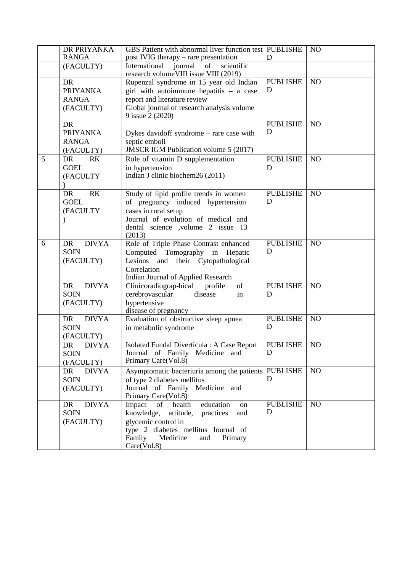|   | DR PRIYANKA<br><b>RANGA</b>                               | GBS Patient with abnormal liver function test PUBLISHE<br>post IVIG therapy – rare presentation                                                                                                      | D                    | N <sub>O</sub>  |
|---|-----------------------------------------------------------|------------------------------------------------------------------------------------------------------------------------------------------------------------------------------------------------------|----------------------|-----------------|
|   | (FACULTY)                                                 | International<br>journal of<br>scientific<br>research volume VIII issue VIII (2019)                                                                                                                  |                      |                 |
|   | <b>DR</b><br><b>PRIYANKA</b><br><b>RANGA</b><br>(FACULTY) | Rupenzal syndrome in 15 year old Indian<br>girl with autoimmune hepatitis $-$ a case<br>report and literature review<br>Global journal of research analysis volume<br>9 issue 2 (2020)               | <b>PUBLISHE</b><br>D | $\overline{NO}$ |
|   | <b>DR</b><br><b>PRIYANKA</b><br><b>RANGA</b><br>(FACULTY) | Dykes davidoff syndrome - rare case with<br>septic emboli<br><b>JMSCR IGM Publication volume 5 (2017)</b>                                                                                            | <b>PUBLISHE</b><br>D | $\overline{NO}$ |
| 5 | R <sub>K</sub><br><b>DR</b><br><b>GOEL</b><br>(FACULTY    | Role of vitamin D supplementation<br>in hypertension<br>Indian J clinic biochem26 (2011)                                                                                                             | <b>PUBLISHE</b><br>D | N <sub>O</sub>  |
|   | R <sub>K</sub><br>DR<br><b>GOEL</b><br>(FACULTY           | Study of lipid profile trends in women<br>of pregnancy induced hypertension<br>cases in rural setup<br>Journal of evolution of medical and<br>dental science ,volume 2 issue 13<br>(2013)            | <b>PUBLISHE</b><br>D | N <sub>O</sub>  |
| 6 | <b>DIVYA</b><br>DR<br><b>SOIN</b><br>(FACULTY)            | Role of Triple Phase Contrast enhanced<br>Computed Tomography in Hepatic<br>Lesions and their Cytopathological<br>Correlation<br>Indian Journal of Applied Research                                  | <b>PUBLISHE</b><br>D | N <sub>O</sub>  |
|   | <b>DIVYA</b><br>DR<br><b>SOIN</b><br>(FACULTY)            | of<br>Clinicoradiograp-hical profile<br>cerebrovascular<br>disease<br>in<br>hypertensive<br>disease of pregnancy                                                                                     | <b>PUBLISHE</b><br>D | N <sub>O</sub>  |
|   | <b>DIVYA</b><br>DR<br><b>SOIN</b><br>(FACULTY)            | Evaluation of obstructive sleep apnea<br>in metabolic syndrome                                                                                                                                       | <b>PUBLISHE</b><br>D | N <sub>O</sub>  |
|   | DR<br><b>DIVYA</b><br><b>SOIN</b><br>(FACULTY)            | Isolated Fundal Diverticula : A Case Report<br>Journal of Family Medicine and<br>Primary Care(Vol.8)                                                                                                 | <b>PUBLISHE</b><br>D | N <sub>O</sub>  |
|   | DR<br><b>DIVYA</b><br><b>SOIN</b><br>(FACULTY)            | Asymptomatic bacteriuria among the patients<br>of type 2 diabetes mellitus<br>Journal of Family Medicine and<br>Primary Care(Vol.8)                                                                  | <b>PUBLISHE</b><br>D | NO              |
|   | <b>DIVYA</b><br>DR<br><b>SOIN</b><br>(FACULTY)            | Impact of health<br>education<br>on<br>knowledge, attitude,<br>practices<br>and<br>glycemic control in<br>type 2 diabetes mellitus Journal of<br>Medicine<br>Family<br>and<br>Primary<br>Care(Vol.8) | <b>PUBLISHE</b><br>D | $\overline{NO}$ |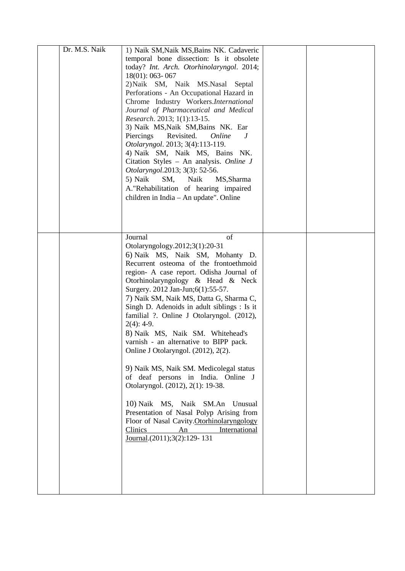| Dr. M.S. Naik | 1) Naik SM, Naik MS, Bains NK. Cadaveric<br>temporal bone dissection: Is it obsolete<br>today? Int. Arch. Otorhinolaryngol. 2014;<br>$18(01)$ : 063-067<br>2) Naik SM, Naik MS. Nasal Septal<br>Perforations - An Occupational Hazard in<br>Chrome Industry Workers.International<br>Journal of Pharmaceutical and Medical<br>Research. 2013; 1(1):13-15.<br>3) Naik MS, Naik SM, Bains NK. Ear<br>Piercings<br>Revisited.<br>Online<br>J<br>Otolaryngol. 2013; 3(4):113-119.<br>4) Naik SM, Naik MS, Bains NK.<br>Citation Styles - An analysis. Online J<br>Otolaryngol.2013; 3(3): 52-56.<br>5) Naik<br>SM,<br>Naik<br>MS, Sharma<br>A."Rehabilitation of hearing impaired<br>children in India - An update". Online                                                                                                                                 |  |
|---------------|---------------------------------------------------------------------------------------------------------------------------------------------------------------------------------------------------------------------------------------------------------------------------------------------------------------------------------------------------------------------------------------------------------------------------------------------------------------------------------------------------------------------------------------------------------------------------------------------------------------------------------------------------------------------------------------------------------------------------------------------------------------------------------------------------------------------------------------------------------|--|
|               | Journal<br>of<br>Otolaryngology.2012;3(1):20-31<br>6) Naik MS, Naik SM, Mohanty D.<br>Recurrent osteoma of the frontoethmoid<br>region- A case report. Odisha Journal of<br>Otorhinolaryngology & Head & Neck<br>Surgery. 2012 Jan-Jun; 6(1): 55-57.<br>7) Naik SM, Naik MS, Datta G, Sharma C,<br>Singh D. Adenoids in adult siblings : Is it<br>familial ?. Online J Otolaryngol. (2012),<br>$2(4): 4-9.$<br>8) Naik MS, Naik SM. Whitehead's<br>varnish - an alternative to BIPP pack.<br>Online J Otolaryngol. (2012), 2(2).<br>9) Naik MS, Naik SM. Medicolegal status<br>of deaf persons in India. Online J<br>Otolaryngol. (2012), 2(1): 19-38.<br>10) Naik MS, Naik SM.An<br>Unusual<br>Presentation of Nasal Polyp Arising from<br>Floor of Nasal Cavity. Otorhinolaryngology<br>Clinics<br>International<br>An<br>Journal.(2011);3(2):129-131 |  |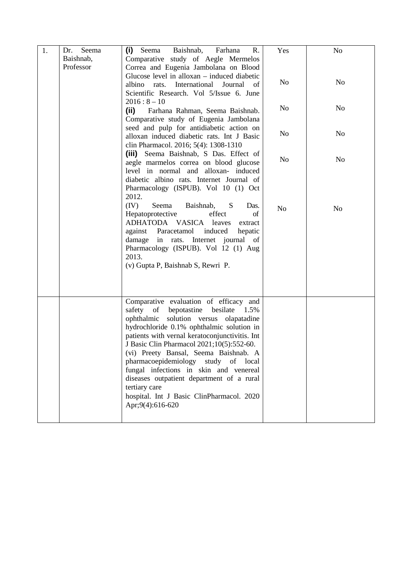| 1. | Seema<br>Dr.           | (i)<br>Baishnab,<br>Seema<br>Farhana<br>R.                                                  | Yes            | No             |
|----|------------------------|---------------------------------------------------------------------------------------------|----------------|----------------|
|    | Baishnab,<br>Professor | Comparative study of Aegle Mermelos                                                         |                |                |
|    |                        | Correa and Eugenia Jambolana on Blood<br>Glucose level in alloxan – induced diabetic        |                |                |
|    |                        | rats. International<br>Journal<br>albino<br><sub>of</sub>                                   | N <sub>o</sub> | N <sub>0</sub> |
|    |                        | Scientific Research. Vol 5/Issue 6. June                                                    |                |                |
|    |                        | $2016:8-10$                                                                                 | N <sub>o</sub> | N <sub>o</sub> |
|    |                        | (ii)<br>Farhana Rahman, Seema Baishnab.                                                     |                |                |
|    |                        | Comparative study of Eugenia Jambolana<br>seed and pulp for antidiabetic action on          |                |                |
|    |                        | alloxan induced diabetic rats. Int J Basic                                                  | N <sub>o</sub> | N <sub>o</sub> |
|    |                        | clin Pharmacol. 2016; 5(4): 1308-1310                                                       |                |                |
|    |                        | (iii) Seema Baishnab, S Das. Effect of                                                      |                |                |
|    |                        | aegle marmelos correa on blood glucose                                                      | N <sub>o</sub> | N <sub>o</sub> |
|    |                        | level in normal and alloxan- induced<br>diabetic albino rats. Internet Journal of           |                |                |
|    |                        | Pharmacology (ISPUB). Vol 10 (1) Oct                                                        |                |                |
|    |                        | 2012.                                                                                       |                |                |
|    |                        | (IV)<br>Baishnab,<br>Seema<br>S<br>Das.                                                     | N <sub>o</sub> | N <sub>o</sub> |
|    |                        | Hepatoprotective<br>effect<br>of                                                            |                |                |
|    |                        | ADHATODA VASICA leaves<br>extract<br>against Paracetamol induced<br>hepatic                 |                |                |
|    |                        | damage in rats. Internet journal of                                                         |                |                |
|    |                        | Pharmacology (ISPUB). Vol 12 (1) Aug                                                        |                |                |
|    |                        | 2013.                                                                                       |                |                |
|    |                        | (v) Gupta P, Baishnab S, Rewri P.                                                           |                |                |
|    |                        |                                                                                             |                |                |
|    |                        |                                                                                             |                |                |
|    |                        | Comparative evaluation of efficacy and                                                      |                |                |
|    |                        | safety of bepotastine<br>besilate<br>1.5%                                                   |                |                |
|    |                        | ophthalmic solution versus olapatadine                                                      |                |                |
|    |                        | hydrochloride 0.1% ophthalmic solution in                                                   |                |                |
|    |                        | patients with vernal keratoconjunctivitis. Int<br>J Basic Clin Pharmacol 2021;10(5):552-60. |                |                |
|    |                        | (vi) Preety Bansal, Seema Baishnab. A                                                       |                |                |
|    |                        | pharmacoepidemiology study of local                                                         |                |                |
|    |                        | fungal infections in skin and venereal                                                      |                |                |
|    |                        | diseases outpatient department of a rural                                                   |                |                |
|    |                        | tertiary care                                                                               |                |                |
|    |                        | hospital. Int J Basic ClinPharmacol. 2020<br>Apr;9(4):616-620                               |                |                |
|    |                        |                                                                                             |                |                |
|    |                        |                                                                                             |                |                |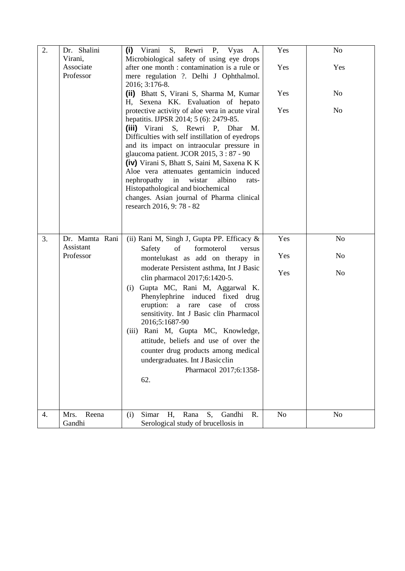| 2. | Dr. Shalini             | S, Rewri P, Vyas<br>(i) Virani<br>А.                                                      | Yes            | N <sub>o</sub> |
|----|-------------------------|-------------------------------------------------------------------------------------------|----------------|----------------|
|    | Virani,<br>Associate    | Microbiological safety of using eye drops<br>after one month : contamination is a rule or | Yes            | Yes            |
|    | Professor               | mere regulation ?. Delhi J Ophthalmol.                                                    |                |                |
|    |                         | 2016; 3:176-8.                                                                            |                |                |
|    |                         | (ii) Bhatt S, Virani S, Sharma M, Kumar                                                   | Yes            | N <sub>o</sub> |
|    |                         | H, Sexena KK. Evaluation of hepato                                                        |                |                |
|    |                         | protective activity of aloe vera in acute viral<br>hepatitis. IJPSR 2014; 5 (6): 2479-85. | Yes            | N <sub>o</sub> |
|    |                         | (iii) Virani S, Rewri P, Dhar<br>M.                                                       |                |                |
|    |                         | Difficulties with self instillation of eyedrops                                           |                |                |
|    |                         | and its impact on intraocular pressure in                                                 |                |                |
|    |                         | glaucoma patient. JCOR 2015, 3:87 - 90<br>(iv) Virani S, Bhatt S, Saini M, Saxena K K     |                |                |
|    |                         | Aloe vera attenuates gentamicin induced                                                   |                |                |
|    |                         | nephropathy in wistar<br>albino<br>rats-                                                  |                |                |
|    |                         | Histopathological and biochemical                                                         |                |                |
|    |                         | changes. Asian journal of Pharma clinical<br>research 2016, 9:78 - 82                     |                |                |
|    |                         |                                                                                           |                |                |
|    |                         |                                                                                           |                |                |
| 3. | Dr. Mamta Rani          | (ii) Rani M, Singh J, Gupta PP. Efficacy &                                                | Yes            | No             |
|    | Assistant               | of<br>formoterol<br>Safety<br>versus                                                      |                |                |
|    | Professor               | montelukast as add on therapy in                                                          | Yes            | N <sub>o</sub> |
|    |                         | moderate Persistent asthma, Int J Basic                                                   |                |                |
|    |                         | clin pharmacol 2017;6:1420-5.                                                             | Yes            | N <sub>o</sub> |
|    |                         | Gupta MC, Rani M, Aggarwal K.<br>(i)                                                      |                |                |
|    |                         | Phenylephrine induced fixed<br>drug                                                       |                |                |
|    |                         | eruption:<br>a rare<br>of<br>case<br>cross<br>sensitivity. Int J Basic clin Pharmacol     |                |                |
|    |                         | 2016;5:1687-90                                                                            |                |                |
|    |                         | (iii) Rani M, Gupta MC, Knowledge,                                                        |                |                |
|    |                         | attitude, beliefs and use of over the                                                     |                |                |
|    |                         | counter drug products among medical                                                       |                |                |
|    |                         | undergraduates. Int J Basicclin                                                           |                |                |
|    |                         | Pharmacol 2017;6:1358-                                                                    |                |                |
|    |                         | 62.                                                                                       |                |                |
|    |                         |                                                                                           |                |                |
|    |                         |                                                                                           |                |                |
| 4. | Reena<br>Mrs.<br>Gandhi | S,<br>Simar<br>Rana<br>Gandhi<br>R.<br>(i)<br>Η,<br>Serological study of brucellosis in   | N <sub>o</sub> | N <sub>0</sub> |
|    |                         |                                                                                           |                |                |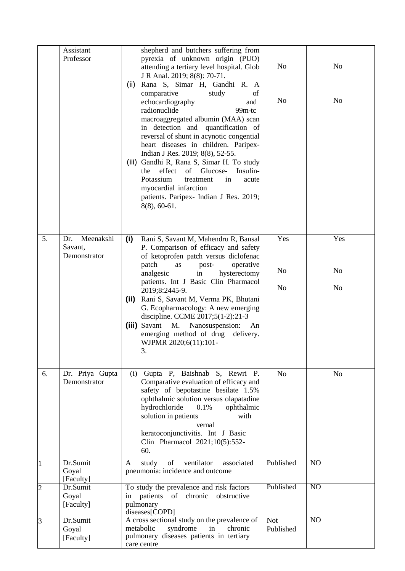|                | Assistant<br>Professor                      | shepherd and butchers suffering from<br>pyrexia of unknown origin (PUO)<br>attending a tertiary level hospital. Glob<br>J R Anal. 2019; 8(8): 70-71.<br>Rana S, Simar H, Gandhi R. A<br>(ii)<br>comparative<br>study<br>of<br>echocardiography<br>and<br>radionuclide<br>99 <sub>m-tc</sub><br>macroaggregated albumin (MAA) scan<br>in detection and quantification of<br>reversal of shunt in acynotic congential<br>heart diseases in children. Paripex-<br>Indian J Res. 2019; 8(8), 52-55.<br>(iii) Gandhi R, Rana S, Simar H. To study<br>the<br>effect<br>of<br>Glucose-<br>Insulin-<br>Potassium<br>treatment<br>in<br>acute<br>myocardial infarction<br>patients. Paripex- Indian J Res. 2019;<br>$8(8), 60-61.$ | N <sub>o</sub><br>N <sub>o</sub>        | N <sub>o</sub><br>No                    |
|----------------|---------------------------------------------|---------------------------------------------------------------------------------------------------------------------------------------------------------------------------------------------------------------------------------------------------------------------------------------------------------------------------------------------------------------------------------------------------------------------------------------------------------------------------------------------------------------------------------------------------------------------------------------------------------------------------------------------------------------------------------------------------------------------------|-----------------------------------------|-----------------------------------------|
| 5.             | Meenakshi<br>Dr.<br>Savant,<br>Demonstrator | (i)<br>Rani S, Savant M, Mahendru R, Bansal<br>P. Comparison of efficacy and safety<br>of ketoprofen patch versus diclofenac<br>patch<br>operative<br>post-<br>as<br>analgesic<br>hysterectomy<br>$\operatorname{in}$<br>patients. Int J Basic Clin Pharmacol<br>2019;8:2445-9.<br>Rani S, Savant M, Verma PK, Bhutani<br>(i)<br>G. Ecopharmacology: A new emerging<br>discipline. CCME 2017;5(1-2):21-3<br>Savant<br>M.<br>Nanosuspension:<br>(iii)<br>An<br>emerging method of drug<br>delivery.<br>WJPMR 2020;6(11):101-<br>3.                                                                                                                                                                                         | Yes<br>N <sub>o</sub><br>N <sub>o</sub> | Yes<br>N <sub>0</sub><br>N <sub>o</sub> |
| 6.             | Dr. Priya Gupta<br>Demonstrator             | (i) Gupta P, Baishnab S, Rewri P.<br>Comparative evaluation of efficacy and<br>safety of bepotastine besilate 1.5%<br>ophthalmic solution versus olapatadine<br>hydrochloride<br>0.1%<br>ophthalmic<br>solution in patients<br>with<br>vernal<br>keratoconjunctivitis. Int J Basic<br>Clin Pharmacol 2021;10(5):552-<br>60.                                                                                                                                                                                                                                                                                                                                                                                               | N <sub>o</sub>                          | N <sub>o</sub>                          |
| 1              | Dr.Sumit<br>Goyal<br>[Faculty]              | study<br>of<br>ventilator<br>associated<br>A<br>pneumonia: incidence and outcome                                                                                                                                                                                                                                                                                                                                                                                                                                                                                                                                                                                                                                          | Published                               | N <sub>O</sub>                          |
| $\overline{c}$ | Dr.Sumit<br>Goyal<br>[Faculty]              | To study the prevalence and risk factors<br>patients<br>of<br>chronic<br>obstructive<br>in<br>pulmonary<br>diseases[COPD]                                                                                                                                                                                                                                                                                                                                                                                                                                                                                                                                                                                                 | Published                               | N <sub>O</sub>                          |
| 3              | Dr.Sumit<br>Goyal<br>[Faculty]              | A cross sectional study on the prevalence of<br>metabolic<br>syndrome<br>in<br>chronic<br>pulmonary diseases patients in tertiary<br>care centre                                                                                                                                                                                                                                                                                                                                                                                                                                                                                                                                                                          | <b>Not</b><br>Published                 | NO                                      |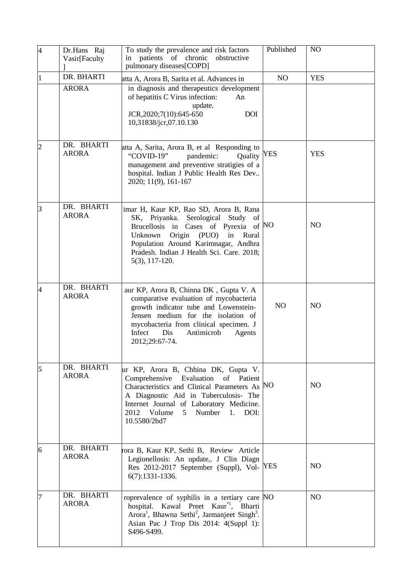| $\overline{4}$ | Dr.Hans Raj<br>Vasir[Faculty | To study the prevalence and risk factors<br>in patients of chronic obstructive<br>pulmonary diseases[COPD]                                                                                                                                                                          | Published  | N <sub>O</sub> |
|----------------|------------------------------|-------------------------------------------------------------------------------------------------------------------------------------------------------------------------------------------------------------------------------------------------------------------------------------|------------|----------------|
|                | DR. BHARTI                   | atta A, Arora B, Sarita et al. Advances in                                                                                                                                                                                                                                          | NO         | <b>YES</b>     |
|                | <b>ARORA</b>                 | in diagnosis and therapeutics development<br>of hepatitis C Virus infection:<br>An<br>update.<br>JCR, 2020; 7(10): 645-650<br><b>DOI</b><br>10,31838/jcr,07.10.130                                                                                                                  |            |                |
| $\overline{2}$ | DR. BHARTI<br><b>ARORA</b>   | atta A, Sarita, Arora B, et al Responding to<br>"COVID-19"<br>pandemic:<br>Quality<br>management and preventive stratigies of a<br>hospital. Indian J Public Health Res Dev<br>2020; 11(9), 161-167                                                                                 | <b>YES</b> | <b>YES</b>     |
| 3              | DR. BHARTI<br><b>ARORA</b>   | imar H, Kaur KP, Rao SD, Arora B, Rana<br>SK, Priyanka. Serological Study of<br>Brucellosis in Cases of Pyrexia of NO<br>Origin (PUO) in Rural<br>Unknown<br>Population Around Karimnagar, Andhra<br>Pradesh. Indian J Health Sci. Care. 2018;<br>$5(3), 117-120.$                  |            | N <sub>O</sub> |
| $\overline{4}$ | DR. BHARTI<br><b>ARORA</b>   | aur KP, Arora B, Chinna DK, Gupta V. A<br>comparative evaluation of mycobacteria<br>growth indicator tube and Lowenstein-<br>Jensen medium for the isolation of<br>mycobacteria from clinical specimen. J<br>Infect<br>Dis<br>Antimicrob<br>Agents<br>2012;29:67-74.                | NO         | N <sub>O</sub> |
| 5              | DR. BHARTI<br><b>ARORA</b>   | ur KP, Arora B, Chhina DK, Gupta V.<br>Comprehensive Evaluation of Patient<br>Characteristics and Clinical Parameters As NO<br>A Diagnostic Aid in Tuberculosis- The<br>Internet Journal of Laboratory Medicine.<br>2012 Volume<br>5 <sup>7</sup><br>Number 1. DOI:<br>10.5580/2bd7 |            | N <sub>O</sub> |
| 6              | DR. BHARTI<br><b>ARORA</b>   | rora B, Kaur KP, Sethi B, Review Article<br>Legionellosis: An update,. J Clin Diagn<br>Res 2012-2017 September (Suppl), Vol- YES<br>6(7):1331-1336.                                                                                                                                 |            | N <sub>O</sub> |
|                | DR. BHARTI<br><b>ARORA</b>   | roprevalence of syphilis in a tertiary care NO<br>hospital. Kawal Preet Kaur <sup>*1</sup> , Bharti<br>Arora <sup>1</sup> , Bhawna Sethi <sup>2</sup> , Jarmanjeet Singh <sup>3</sup> .<br>Asian Pac J Trop Dis 2014: 4(Suppl 1):<br>S496-S499.                                     |            | N <sub>O</sub> |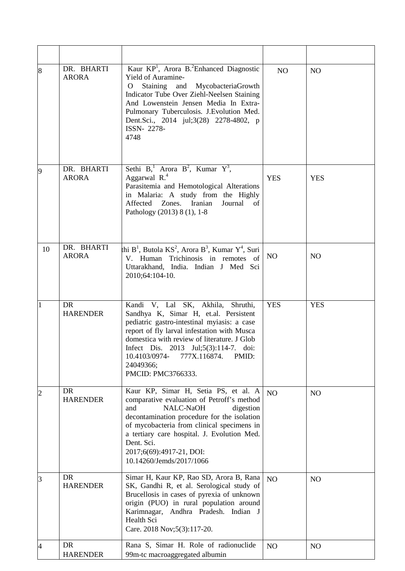| 8              | DR. BHARTI<br><b>ARORA</b> | Kaur KP <sup>1</sup> , Arora B. <sup>2</sup> Enhanced Diagnostic<br>Yield of Auramine-<br>Staining and MycobacteriaGrowth<br>O<br>Indicator Tube Over Ziehl-Neelsen Staining<br>And Lowenstein Jensen Media In Extra-<br>Pulmonary Tuberculosis. J. Evolution Med.<br>Dent.Sci., 2014 jul;3(28) 2278-4802, p<br>ISSN-2278-<br>4748            | NO         | N <sub>O</sub> |
|----------------|----------------------------|-----------------------------------------------------------------------------------------------------------------------------------------------------------------------------------------------------------------------------------------------------------------------------------------------------------------------------------------------|------------|----------------|
| $\vert 9$      | DR. BHARTI<br><b>ARORA</b> | Sethi $B_1^1$ Arora $B^2$ , Kumar $Y^3$ ,<br>Aggarwal $R^4$<br>Parasitemia and Hemotological Alterations<br>in Malaria: A study from the Highly<br>Affected Zones. Iranian<br>Journal<br>of<br>Pathology (2013) 8 (1), 1-8                                                                                                                    | <b>YES</b> | <b>YES</b>     |
| 10             | DR. BHARTI<br><b>ARORA</b> | thi $B^1$ , Butola KS <sup>2</sup> , Arora $B^3$ , Kumar $Y^4$ , Suri<br>V. Human Trichinosis in remotes of<br>Uttarakhand, India. Indian J Med Sci<br>2010;64:104-10.                                                                                                                                                                        | NO         | N <sub>O</sub> |
| $\mathbf{1}$   | DR<br><b>HARENDER</b>      | Kandi V, Lal SK, Akhila, Shruthi,<br>Sandhya K, Simar H, et.al. Persistent<br>pediatric gastro-intestinal myiasis: a case<br>report of fly larval infestation with Musca<br>domestica with review of literature. J Glob<br>Infect Dis. 2013 Jul;5(3):114-7. doi:<br>10.4103/0974-<br>777X.116874.<br>PMID:<br>24049366;<br>PMCID: PMC3766333. | <b>YES</b> | <b>YES</b>     |
| $\overline{2}$ | DR<br><b>HARENDER</b>      | Kaur KP, Simar H, Setia PS, et al. A<br>comparative evaluation of Petroff's method<br>and<br>NALC-NaOH<br>digestion<br>decontamination procedure for the isolation<br>of mycobacteria from clinical specimens in<br>a tertiary care hospital. J. Evolution Med.<br>Dent. Sci.<br>2017;6(69):4917-21, DOI:<br>10.14260/Jemds/2017/1066         | NO         | N <sub>O</sub> |
| $\overline{3}$ | DR<br><b>HARENDER</b>      | Simar H, Kaur KP, Rao SD, Arora B, Rana<br>SK, Gandhi R, et al. Serological study of<br>Brucellosis in cases of pyrexia of unknown<br>origin (PUO) in rural population around<br>Karimnagar, Andhra Pradesh. Indian J<br>Health Sci<br>Care. 2018 Nov;5(3):117-20.                                                                            | NO         | NO             |
| 4              | DR<br><b>HARENDER</b>      | Rana S, Simar H. Role of radionuclide<br>99m-tc macroaggregated albumin                                                                                                                                                                                                                                                                       | NO         | NO             |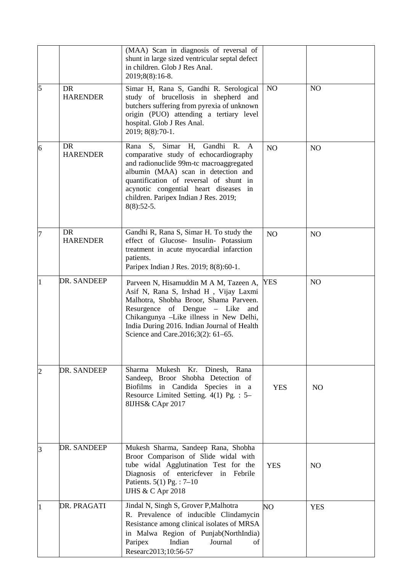|                |                              | (MAA) Scan in diagnosis of reversal of<br>shunt in large sized ventricular septal defect<br>in children. Glob J Res Anal.<br>2019;8(8):16-8.                                                                                                                                                           |                 |                |
|----------------|------------------------------|--------------------------------------------------------------------------------------------------------------------------------------------------------------------------------------------------------------------------------------------------------------------------------------------------------|-----------------|----------------|
| 5              | <b>DR</b><br><b>HARENDER</b> | Simar H, Rana S, Gandhi R. Serological<br>study of brucellosis in shepherd and<br>butchers suffering from pyrexia of unknown<br>origin (PUO) attending a tertiary level<br>hospital. Glob J Res Anal.<br>2019; 8(8):70-1.                                                                              | NO              | N <sub>O</sub> |
| 6              | <b>DR</b><br><b>HARENDER</b> | S, Simar H, Gandhi R. A<br>Rana<br>comparative study of echocardiography<br>and radionuclide 99m-tc macroaggregated<br>albumin (MAA) scan in detection and<br>quantification of reversal of shunt in<br>acynotic congential heart diseases in<br>children. Paripex Indian J Res. 2019;<br>$8(8):52-5.$ | NO <sub>1</sub> | N <sub>O</sub> |
| 7              | DR.<br><b>HARENDER</b>       | Gandhi R, Rana S, Simar H. To study the<br>effect of Glucose- Insulin- Potassium<br>treatment in acute myocardial infarction<br>patients.<br>Paripex Indian J Res. 2019; 8(8):60-1.                                                                                                                    | N <sub>O</sub>  | N <sub>O</sub> |
| 1              | DR. SANDEEP                  | Parveen N, Hisamuddin M A M, Tazeen A,<br>Asif N, Rana S, Irshad H, Vijay Laxmi<br>Malhotra, Shobha Broor, Shama Parveen.<br>Resurgence of Dengue – Like<br>and<br>Chikangunya -Like illness in New Delhi,<br>India During 2016. Indian Journal of Health<br>Science and Care.2016;3(2): 61–65.        | <b>YES</b>      | N <sub>O</sub> |
| $\overline{c}$ | DR. SANDEEP                  | Sharma Mukesh Kr. Dinesh, Rana<br>Sandeep, Broor Shobha Detection of<br>Biofilms in Candida Species in a<br>Resource Limited Setting. 4(1) Pg. : 5-<br>8IJHS& CApr 2017                                                                                                                                | <b>YES</b>      | N <sub>O</sub> |
| 3              | DR. SANDEEP                  | Mukesh Sharma, Sandeep Rana, Shobha<br>Broor Comparison of Slide widal with<br>tube widal Agglutination Test for the<br>Diagnosis of entericfever in Febrile<br>Patients. $5(1)$ Pg. : $7-10$<br><b>IJHS &amp; C Apr 2018</b>                                                                          | <b>YES</b>      | N <sub>O</sub> |
| $\mathbf{1}$   | DR. PRAGATI                  | Jindal N, Singh S, Grover P, Malhotra<br>R. Prevalence of inducible Clindamycin<br>Resistance among clinical isolates of MRSA<br>in Malwa Region of Punjab(NorthIndia)<br>Indian<br>Journal<br>Paripex<br>of<br>Researc2013;10:56-57                                                                   | NΟ              | <b>YES</b>     |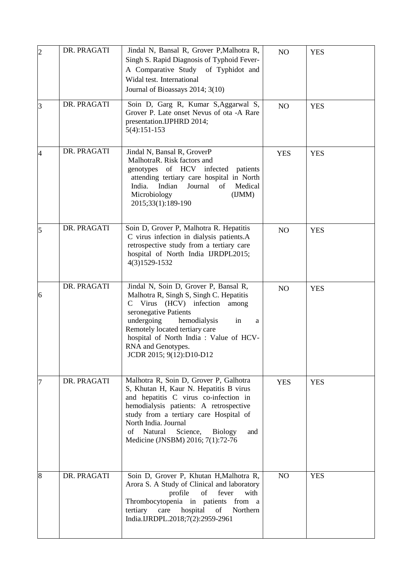| $ 2\rangle$    | DR. PRAGATI | Jindal N, Bansal R, Grover P, Malhotra R,<br>Singh S. Rapid Diagnosis of Typhoid Fever-<br>A Comparative Study of Typhidot and<br>Widal test. International<br>Journal of Bioassays 2014; 3(10)                                                                                                                                     | NO         | <b>YES</b> |
|----------------|-------------|-------------------------------------------------------------------------------------------------------------------------------------------------------------------------------------------------------------------------------------------------------------------------------------------------------------------------------------|------------|------------|
| <sup>3</sup>   | DR. PRAGATI | Soin D, Garg R, Kumar S, Aggarwal S,<br>Grover P. Late onset Nevus of ota -A Rare<br>presentation.IJPHRD 2014;<br>$5(4):151-153$                                                                                                                                                                                                    | NO         | <b>YES</b> |
| $\overline{4}$ | DR. PRAGATI | Jindal N, Bansal R, GroverP<br>MalhotraR. Risk factors and<br>genotypes of HCV infected<br>patients<br>attending tertiary care hospital in North<br>India. Indian<br>Journal<br>Medical<br>of<br>Microbiology<br>(IJMM)<br>2015;33(1):189-190                                                                                       | <b>YES</b> | <b>YES</b> |
| 5              | DR. PRAGATI | Soin D, Grover P, Malhotra R. Hepatitis<br>C virus infection in dialysis patients.A<br>retrospective study from a tertiary care<br>hospital of North India IJRDPL2015;<br>4(3)1529-1532                                                                                                                                             | NO         | <b>YES</b> |
| 6              | DR. PRAGATI | Jindal N, Soin D, Grover P, Bansal R,<br>Malhotra R, Singh S, Singh C. Hepatitis<br>Virus (HCV) infection<br>$\mathsf{C}$<br>among<br>seronegative Patients<br>undergoing<br>hemodialysis<br>in<br>a<br>Remotely located tertiary care<br>hospital of North India : Value of HCV-<br>RNA and Genotypes.<br>JCDR 2015; 9(12):D10-D12 | NO         | <b>YES</b> |
| 17             | DR. PRAGATI | Malhotra R, Soin D, Grover P, Galhotra<br>S, Khutan H, Kaur N. Hepatitis B virus<br>and hepatitis C virus co-infection in<br>hemodialysis patients: A retrospective<br>study from a tertiary care Hospital of<br>North India. Journal<br>Natural<br>Science,<br>of<br><b>Biology</b><br>and<br>Medicine (JNSBM) 2016; 7(1):72-76    | <b>YES</b> | <b>YES</b> |
| 8              | DR. PRAGATI | Soin D, Grover P, Khutan H, Malhotra R,<br>Arora S. A Study of Clinical and laboratory<br>profile<br>fever<br>with<br>of<br>Thrombocytopenia in patients from a<br>hospital<br>tertiary<br>care<br>of<br>Northern<br>India.IJRDPL.2018;7(2):2959-2961                                                                               | NO         | <b>YES</b> |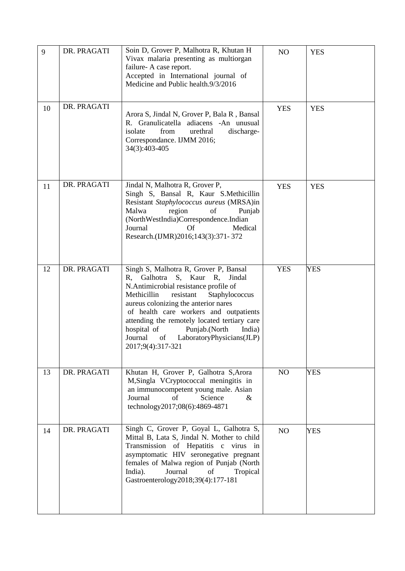| 9  | DR. PRAGATI | Soin D, Grover P, Malhotra R, Khutan H<br>Vivax malaria presenting as multiorgan<br>failure- A case report.<br>Accepted in International journal of<br>Medicine and Public health.9/3/2016                                                                                                                                                                                                                            | NO         | <b>YES</b> |
|----|-------------|-----------------------------------------------------------------------------------------------------------------------------------------------------------------------------------------------------------------------------------------------------------------------------------------------------------------------------------------------------------------------------------------------------------------------|------------|------------|
| 10 | DR. PRAGATI | Arora S, Jindal N, Grover P, Bala R, Bansal<br>R. Granulicatella adiacens -An unusual<br>isolate<br>from<br>urethral<br>discharge-<br>Correspondance. IJMM 2016;<br>34(3):403-405                                                                                                                                                                                                                                     | <b>YES</b> | <b>YES</b> |
| 11 | DR. PRAGATI | Jindal N, Malhotra R, Grover P,<br>Singh S, Bansal R, Kaur S.Methicillin<br>Resistant Staphylococcus aureus (MRSA)in<br>Malwa<br>region<br>of<br>Punjab<br>(NorthWestIndia)Correspondence.Indian<br>Journal<br>Medical<br>Of<br>Research.(IJMR)2016;143(3):371-372                                                                                                                                                    | <b>YES</b> | <b>YES</b> |
| 12 | DR. PRAGATI | Singh S, Malhotra R, Grover P, Bansal<br>S, Kaur R,<br>Galhotra<br>Jindal<br>R.<br>N.Antimicrobial resistance profile of<br>Methicillin<br>resistant<br>Staphylococcus<br>aureus colonizing the anterior nares<br>of health care workers and outpatients<br>attending the remotely located tertiary care<br>India)<br>hospital of<br>Punjab.(North<br>Journal<br>LaboratoryPhysicians(JLP)<br>of<br>2017;9(4):317-321 | <b>YES</b> | <b>YES</b> |
| 13 | DR. PRAGATI | Khutan H, Grover P, Galhotra S, Arora<br>M, Singla VCryptococcal meningitis in<br>an immunocompetent young male. Asian<br>Journal<br>of<br>Science<br>$\&$<br>technology2017;08(6):4869-4871                                                                                                                                                                                                                          | NO         | <b>YES</b> |
| 14 | DR. PRAGATI | Singh C, Grover P, Goyal L, Galhotra S,<br>Mittal B, Lata S, Jindal N. Mother to child<br>Transmission of Hepatitis c virus in<br>asymptomatic HIV seronegative pregnant<br>females of Malwa region of Punjab (North<br>Journal<br>India).<br>of<br>Tropical<br>Gastroenterology2018;39(4):177-181                                                                                                                    | NO         | <b>YES</b> |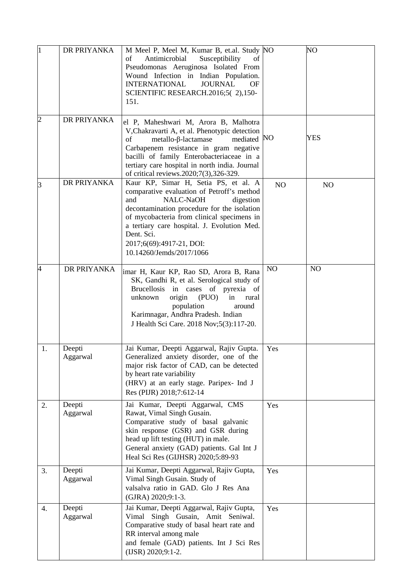| l1             | DR PRIYANKA        | M Meel P, Meel M, Kumar B, et.al. Study NO<br>Antimicrobial<br>Susceptibility<br>of<br>of<br>Pseudomonas Aeruginosa Isolated From<br>Wound Infection in Indian Population.<br><b>JOURNAL</b><br><b>INTERNATIONAL</b><br>OF<br>SCIENTIFIC RESEARCH.2016;5(2),150-<br>151.                                                              |     | NO             |
|----------------|--------------------|---------------------------------------------------------------------------------------------------------------------------------------------------------------------------------------------------------------------------------------------------------------------------------------------------------------------------------------|-----|----------------|
| $\overline{c}$ | DR PRIYANKA        | el P, Maheshwari M, Arora B, Malhotra<br>V, Chakravarti A, et al. Phenotypic detection<br>metallo-β-lactamase<br>mediated<br>of<br>Carbapenem resistance in gram negative<br>bacilli of family Enterobacteriaceae in a<br>tertiary care hospital in north india. Journal<br>of critical reviews.2020;7(3),326-329.                    | NO  | YES            |
| 3              | DR PRIYANKA        | Kaur KP, Simar H, Setia PS, et al. A<br>comparative evaluation of Petroff's method<br>NALC-NaOH<br>digestion<br>and<br>decontamination procedure for the isolation<br>of mycobacteria from clinical specimens in<br>a tertiary care hospital. J. Evolution Med.<br>Dent. Sci.<br>2017;6(69):4917-21, DOI:<br>10.14260/Jemds/2017/1066 | NO  | N <sub>O</sub> |
| 4              | DR PRIYANKA        | imar H, Kaur KP, Rao SD, Arora B, Rana<br>SK, Gandhi R, et al. Serological study of<br>Brucellosis in cases of pyrexia of<br>unknown<br>origin<br>(PUO)<br>in<br>rural<br>population<br>around<br>Karimnagar, Andhra Pradesh. Indian<br>J Health Sci Care. 2018 Nov; 5(3): 117-20.                                                    | NO  | NO             |
| 1.             | Deepti<br>Aggarwal | Jai Kumar, Deepti Aggarwal, Rajiv Gupta.<br>Generalized anxiety disorder, one of the<br>major risk factor of CAD, can be detected<br>by heart rate variability<br>(HRV) at an early stage. Paripex- Ind J<br>Res (PIJR) 2018;7:612-14                                                                                                 | Yes |                |
| 2.             | Deepti<br>Aggarwal | Jai Kumar, Deepti Aggarwal, CMS<br>Rawat, Vimal Singh Gusain.<br>Comparative study of basal galvanic<br>skin response (GSR) and GSR during<br>head up lift testing (HUT) in male.<br>General anxiety (GAD) patients. Gal Int J<br>Heal Sci Res (GIJHSR) 2020;5:89-93                                                                  | Yes |                |
| 3.             | Deepti<br>Aggarwal | Jai Kumar, Deepti Aggarwal, Rajiv Gupta,<br>Vimal Singh Gusain. Study of<br>valsalva ratio in GAD. Glo J Res Ana<br>(GJRA) 2020;9:1-3.                                                                                                                                                                                                | Yes |                |
| 4.             | Deepti<br>Aggarwal | Jai Kumar, Deepti Aggarwal, Rajiv Gupta,<br>Vimal Singh Gusain, Amit Seniwal.<br>Comparative study of basal heart rate and<br>RR interval among male<br>and female (GAD) patients. Int J Sci Res<br>(IJSR) 2020;9:1-2.                                                                                                                | Yes |                |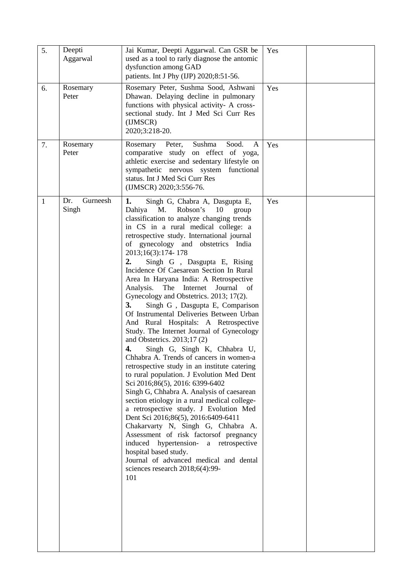| 5. | Deepti<br>Aggarwal       | Jai Kumar, Deepti Aggarwal. Can GSR be<br>used as a tool to rarly diagnose the antomic<br>dysfunction among GAD<br>patients. Int J Phy (IJP) 2020;8:51-56.                                                                                                                                                                                                                                                                                                                                                                                                                                                                                                                                                                                                                                                                                                                                                                                                                                                                                                                                                                                                                                                                                                                                                                                          | Yes |  |
|----|--------------------------|-----------------------------------------------------------------------------------------------------------------------------------------------------------------------------------------------------------------------------------------------------------------------------------------------------------------------------------------------------------------------------------------------------------------------------------------------------------------------------------------------------------------------------------------------------------------------------------------------------------------------------------------------------------------------------------------------------------------------------------------------------------------------------------------------------------------------------------------------------------------------------------------------------------------------------------------------------------------------------------------------------------------------------------------------------------------------------------------------------------------------------------------------------------------------------------------------------------------------------------------------------------------------------------------------------------------------------------------------------|-----|--|
| 6. | Rosemary<br>Peter        | Rosemary Peter, Sushma Sood, Ashwani<br>Dhawan. Delaying decline in pulmonary<br>functions with physical activity- A cross-<br>sectional study. Int J Med Sci Curr Res<br>(IJMSCR)<br>2020;3:218-20.                                                                                                                                                                                                                                                                                                                                                                                                                                                                                                                                                                                                                                                                                                                                                                                                                                                                                                                                                                                                                                                                                                                                                | Yes |  |
| 7. | Rosemary<br>Peter        | Sushma<br>Sood.<br>Rosemary Peter,<br>A<br>comparative study on effect of yoga,<br>athletic exercise and sedentary lifestyle on<br>sympathetic nervous system functional<br>status. Int J Med Sci Curr Res<br>(IJMSCR) 2020;3:556-76.                                                                                                                                                                                                                                                                                                                                                                                                                                                                                                                                                                                                                                                                                                                                                                                                                                                                                                                                                                                                                                                                                                               | Yes |  |
| 1  | Gurneesh<br>Dr.<br>Singh | 1.<br>Singh G, Chabra A, Dasgupta E,<br>M.<br>Dahiya<br>Robson's<br>10<br>group<br>classification to analyze changing trends<br>in CS in a rural medical college: a<br>retrospective study. International journal<br>of gynecology and obstetrics India<br>2013;16(3):174-178<br>Singh G , Dasgupta E, Rising<br>2.<br>Incidence Of Caesarean Section In Rural<br>Area In Haryana India: A Retrospective<br>Analysis.<br>The Internet<br>Journal<br>of<br>Gynecology and Obstetrics. 2013; 17(2).<br>3.<br>Singh G, Dasgupta E, Comparison<br>Of Instrumental Deliveries Between Urban<br>And Rural Hospitals: A Retrospective<br>Study. The Internet Journal of Gynecology<br>and Obstetrics. 2013;17(2)<br>Singh G, Singh K, Chhabra U,<br>4.<br>Chhabra A. Trends of cancers in women-a<br>retrospective study in an institute catering<br>to rural population. J Evolution Med Dent<br>Sci 2016;86(5), 2016: 6399-6402<br>Singh G, Chhabra A. Analysis of caesarean<br>section etiology in a rural medical college-<br>a retrospective study. J Evolution Med<br>Dent Sci 2016;86(5), 2016:6409-6411<br>Chakarvarty N, Singh G, Chhabra A.<br>Assessment of risk factorsof pregnancy<br>induced hypertension-<br>a retrospective<br>hospital based study.<br>Journal of advanced medical and dental<br>sciences research $2018;6(4):99-$<br>101 | Yes |  |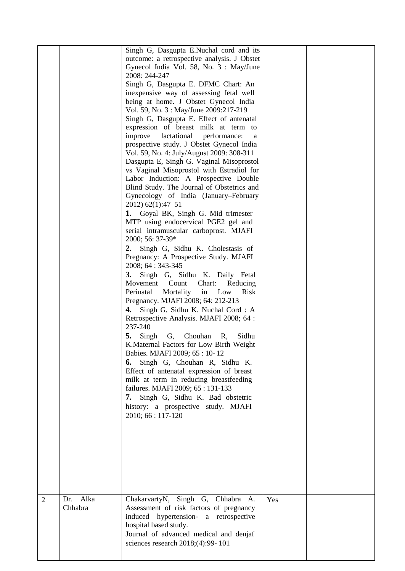| $\overline{2}$ | Alka<br>Dr. | Singh G, Dasgupta E.Nuchal cord and its<br>outcome: a retrospective analysis. J Obstet<br>Gynecol India Vol. 58, No. 3 : May/June<br>2008: 244-247<br>Singh G, Dasgupta E. DFMC Chart: An<br>inexpensive way of assessing fetal well<br>being at home. J Obstet Gynecol India<br>Vol. 59, No. 3 : May/June 2009:217-219<br>Singh G, Dasgupta E. Effect of antenatal<br>expression of breast milk at term to<br>improve<br>lactational<br>performance:<br>a<br>prospective study. J Obstet Gynecol India<br>Vol. 59, No. 4: July/August 2009: 308-311<br>Dasgupta E, Singh G. Vaginal Misoprostol<br>vs Vaginal Misoprostol with Estradiol for<br>Labor Induction: A Prospective Double<br>Blind Study. The Journal of Obstetrics and<br>Gynecology of India (January–February<br>2012) 62(1):47-51<br>1. Goyal BK, Singh G. Mid trimester<br>MTP using endocervical PGE2 gel and<br>serial intramuscular carboprost. MJAFI<br>2000; 56: 37-39*<br>Singh G, Sidhu K. Cholestasis of<br>2.<br>Pregnancy: A Prospective Study. MJAFI<br>2008; 64 : 343-345<br>Singh G, Sidhu K. Daily Fetal<br><b>3.</b><br>Movement Count<br>Chart:<br>Reducing<br>Low<br>Mortality<br>in<br>Perinatal<br>Risk<br>Pregnancy. MJAFI 2008; 64: 212-213<br>4.<br>Singh G, Sidhu K. Nuchal Cord: A<br>Retrospective Analysis. MJAFI 2008; 64 :<br>237-240<br>Singh<br>5.<br>Chouhan<br>Sidhu<br>G,<br>R,<br>K. Maternal Factors for Low Birth Weight<br>Babies. MJAFI 2009; 65 : 10-12<br>Singh G, Chouhan R, Sidhu K.<br>6.<br>Effect of antenatal expression of breast<br>milk at term in reducing breastfeeding<br>failures. MJAFI 2009; 65:131-133<br>7.<br>Singh G, Sidhu K. Bad obstetric<br>history: a prospective study. MJAFI<br>2010; 66 : 117-120<br>ChakarvartyN, Singh G, Chhabra A. | Yes |  |
|----------------|-------------|-----------------------------------------------------------------------------------------------------------------------------------------------------------------------------------------------------------------------------------------------------------------------------------------------------------------------------------------------------------------------------------------------------------------------------------------------------------------------------------------------------------------------------------------------------------------------------------------------------------------------------------------------------------------------------------------------------------------------------------------------------------------------------------------------------------------------------------------------------------------------------------------------------------------------------------------------------------------------------------------------------------------------------------------------------------------------------------------------------------------------------------------------------------------------------------------------------------------------------------------------------------------------------------------------------------------------------------------------------------------------------------------------------------------------------------------------------------------------------------------------------------------------------------------------------------------------------------------------------------------------------------------------------------------------------------------------------------------------------------------------------------------------------|-----|--|
|                | Chhabra     | Assessment of risk factors of pregnancy<br>induced hypertension- a retrospective<br>hospital based study.<br>Journal of advanced medical and denjaf<br>sciences research 2018;(4):99-101                                                                                                                                                                                                                                                                                                                                                                                                                                                                                                                                                                                                                                                                                                                                                                                                                                                                                                                                                                                                                                                                                                                                                                                                                                                                                                                                                                                                                                                                                                                                                                                    |     |  |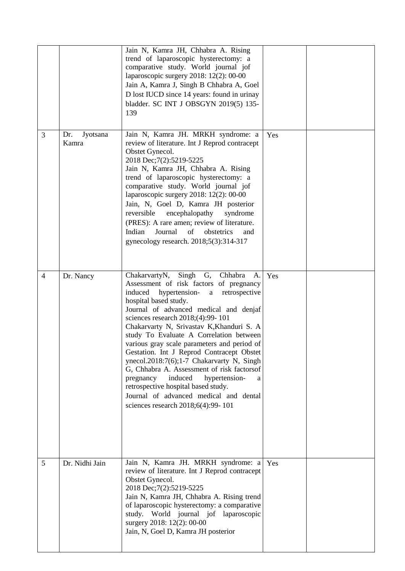|                |                          | Jain N, Kamra JH, Chhabra A. Rising<br>trend of laparoscopic hysterectomy: a<br>comparative study. World journal jof<br>laparoscopic surgery 2018: 12(2): 00-00<br>Jain A, Kamra J, Singh B Chhabra A, Goel<br>D lost IUCD since 14 years: found in urinay<br>bladder. SC INT J OBSGYN 2019(5) 135-<br>139                                                                                                                                                                                                                                                                                                                                                                                                 |     |  |
|----------------|--------------------------|------------------------------------------------------------------------------------------------------------------------------------------------------------------------------------------------------------------------------------------------------------------------------------------------------------------------------------------------------------------------------------------------------------------------------------------------------------------------------------------------------------------------------------------------------------------------------------------------------------------------------------------------------------------------------------------------------------|-----|--|
| 3              | Jyotsana<br>Dr.<br>Kamra | Jain N, Kamra JH. MRKH syndrome: a<br>review of literature. Int J Reprod contracept<br>Obstet Gynecol.<br>2018 Dec; 7(2): 5219-5225<br>Jain N, Kamra JH, Chhabra A. Rising<br>trend of laparoscopic hysterectomy: a<br>comparative study. World journal jof<br>laparoscopic surgery 2018: 12(2): 00-00<br>Jain, N, Goel D, Kamra JH posterior<br>encephalopathy<br>reversible<br>syndrome<br>(PRES): A rare amen; review of literature.<br>Journal<br>Indian<br>of<br>obstetrics<br>and<br>gynecology research. 2018;5(3):314-317                                                                                                                                                                          | Yes |  |
| $\overline{4}$ | Dr. Nancy                | ChakarvartyN, Singh<br>G,<br>Chhabra<br>A.<br>Assessment of risk factors of pregnancy<br>induced<br>hypertension-<br>retrospective<br>$\rm{a}$<br>hospital based study.<br>Journal of advanced medical and denjaf<br>sciences research 2018;(4):99-101<br>Chakarvarty N, Srivastav K, Khanduri S. A<br>study To Evaluate A Correlation between<br>various gray scale parameters and period of<br>Gestation. Int J Reprod Contracept Obstet<br>ynecol.2018:7(6);1-7 Chakarvarty N, Singh<br>G, Chhabra A. Assessment of risk factorsof<br>induced<br>pregnancy<br>hypertension-<br>a<br>retrospective hospital based study.<br>Journal of advanced medical and dental<br>sciences research 2018;6(4):99-101 | Yes |  |
| 5              | Dr. Nidhi Jain           | Jain N, Kamra JH. MRKH syndrome: a<br>review of literature. Int J Reprod contracept<br>Obstet Gynecol.<br>2018 Dec; 7(2): 5219-5225<br>Jain N, Kamra JH, Chhabra A. Rising trend<br>of laparoscopic hysterectomy: a comparative<br>study. World journal jof laparoscopic<br>surgery 2018: 12(2): 00-00<br>Jain, N, Goel D, Kamra JH posterior                                                                                                                                                                                                                                                                                                                                                              | Yes |  |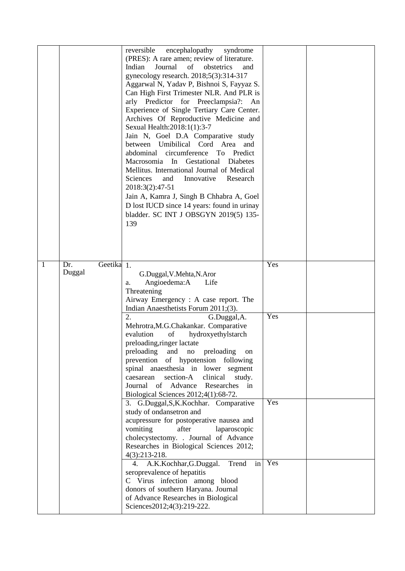|   |                                        | reversible<br>encephalopathy<br>syndrome<br>(PRES): A rare amen; review of literature.<br>of<br>Journal<br>obstetrics<br>Indian<br>and<br>gynecology research. 2018;5(3):314-317<br>Aggarwal N, Yadav P, Bishnoi S, Fayyaz S.<br>Can High First Trimester NLR. And PLR is<br>arly Predictor for Preeclampsia?:<br>An<br>Experience of Single Tertiary Care Center.<br>Archives Of Reproductive Medicine and<br>Sexual Health: 2018: 1(1): 3-7<br>Jain N, Goel D.A Comparative study<br>between Umibilical Cord Area<br>and<br>circumference<br>To Predict<br>abdominal<br>Macrosomia In<br>Gestational<br>Diabetes<br>Mellitus. International Journal of Medical<br>Sciences<br>Innovative<br>and<br>Research<br>2018:3(2):47-51<br>Jain A, Kamra J, Singh B Chhabra A, Goel<br>D lost IUCD since 14 years: found in urinay<br>bladder. SC INT J OBSGYN 2019(5) 135-<br>139 |            |  |
|---|----------------------------------------|-----------------------------------------------------------------------------------------------------------------------------------------------------------------------------------------------------------------------------------------------------------------------------------------------------------------------------------------------------------------------------------------------------------------------------------------------------------------------------------------------------------------------------------------------------------------------------------------------------------------------------------------------------------------------------------------------------------------------------------------------------------------------------------------------------------------------------------------------------------------------------|------------|--|
| 1 | Geetika <sub>1.</sub><br>Dr.<br>Duggal | G.Duggal, V.Mehta, N.Aror<br>Angioedema:A<br>Life<br>a.<br>Threatening<br>Airway Emergency: A case report. The<br>Indian Anaesthetists Forum 2011;(3).<br>$\overline{2}$ .<br>G.Duggal, A.<br>Mehrotra, M.G.Chakankar. Comparative<br>evalution<br>of<br>hydroxyethylstarch<br>preloading, ringer lactate<br>preloading<br>and<br>preloading<br>$\rm no$<br>on<br>of hypotension following<br>prevention<br>spinal anaesthesia in lower segment<br>caesarean<br>section-A<br>clinical<br>study.<br>Journal of Advance<br>Researches<br>in<br>Biological Sciences 2012;4(1):68-72.                                                                                                                                                                                                                                                                                           | Yes<br>Yes |  |
|   |                                        | 3. G.Duggal, S, K.Kochhar. Comparative<br>study of ondansetron and<br>acupressure for postoperative nausea and<br>vomiting<br>after<br>laparoscopic<br>cholecystectomy. . Journal of Advance<br>Researches in Biological Sciences 2012;<br>$4(3):213-218.$<br>A.K.Kochhar, G.Duggal.<br>Trend<br>in<br>4.                                                                                                                                                                                                                                                                                                                                                                                                                                                                                                                                                                   | Yes<br>Yes |  |
|   |                                        | seroprevalence of hepatitis<br>C Virus infection among blood<br>donors of southern Haryana. Journal<br>of Advance Researches in Biological<br>Sciences2012;4(3):219-222.                                                                                                                                                                                                                                                                                                                                                                                                                                                                                                                                                                                                                                                                                                    |            |  |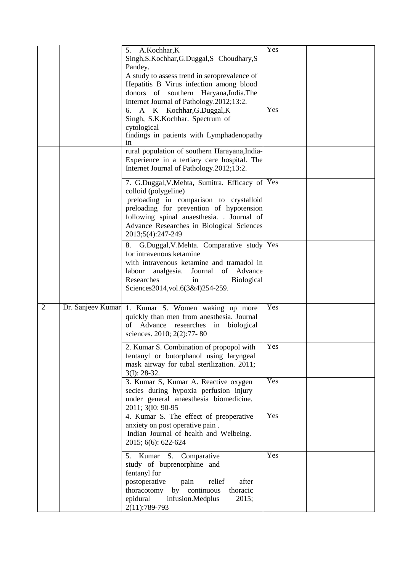|                | 5. A.Kochhar, K<br>Singh, S. Kochhar, G. Duggal, S Choudhary, S                                 | Yes |  |
|----------------|-------------------------------------------------------------------------------------------------|-----|--|
|                | Pandey.                                                                                         |     |  |
|                | A study to assess trend in seroprevalence of<br>Hepatitis B Virus infection among blood         |     |  |
|                | donors of southern Haryana, India. The                                                          |     |  |
|                | Internet Journal of Pathology.2012;13:2.<br>6. A K Kochhar, G.Duggal, K                         | Yes |  |
|                | Singh, S.K.Kochhar. Spectrum of                                                                 |     |  |
|                | cytological<br>findings in patients with Lymphadenopathy<br>1n                                  |     |  |
|                | rural population of southern Harayana, India-<br>Experience in a tertiary care hospital. The    |     |  |
|                | Internet Journal of Pathology.2012;13:2.                                                        |     |  |
|                | 7. G.Duggal, V.Mehta, Sumitra. Efficacy of Yes<br>colloid (polygeline)                          |     |  |
|                | preloading in comparison to crystalloid<br>preloading for prevention of hypotension             |     |  |
|                | following spinal anaesthesia. . Journal of                                                      |     |  |
|                | Advance Researches in Biological Sciences<br>2013;5(4):247-249                                  |     |  |
|                | 8. G.Duggal, V.Mehta. Comparative study Yes<br>for intravenous ketamine                         |     |  |
|                | with intravenous ketamine and tramadol in<br>analgesia. Journal of Advance<br>labour            |     |  |
|                | Researches<br><b>Biological</b><br>in<br>Sciences2014, vol.6(3&4)254-259.                       |     |  |
|                |                                                                                                 |     |  |
| $\overline{2}$ | Dr. Sanjeev Kumar 1. Kumar S. Women waking up more<br>quickly than men from anesthesia. Journal | Yes |  |
|                | of Advance researches in biological                                                             |     |  |
|                | sciences. 2010; 2(2):77-80                                                                      |     |  |
|                | 2. Kumar S. Combination of propopol with<br>fentanyl or butorphanol using laryngeal             | Yes |  |
|                | mask airway for tubal sterilization. 2011;<br>$3(I): 28-32.$                                    |     |  |
|                | 3. Kumar S, Kumar A. Reactive oxygen                                                            | Yes |  |
|                | secies during hypoxia perfusion injury<br>under general anaesthesia biomedicine.                |     |  |
|                | 2011; 3(I0: 90-95)                                                                              |     |  |
|                | 4. Kumar S. The effect of preoperative<br>anxiety on post operative pain.                       | Yes |  |
|                | Indian Journal of health and Welbeing.                                                          |     |  |
|                | 2015; 6(6): 622-624                                                                             | Yes |  |
|                | 5. Kumar S. Comparative<br>study of buprenorphine and                                           |     |  |
|                | fentanyl for<br>postoperative<br>after<br>pain<br>relief                                        |     |  |
|                | thoracotomy<br>by continuous<br>thoracic                                                        |     |  |
|                | epidural<br>infusion.Medplus<br>2015;<br>2(11):789-793                                          |     |  |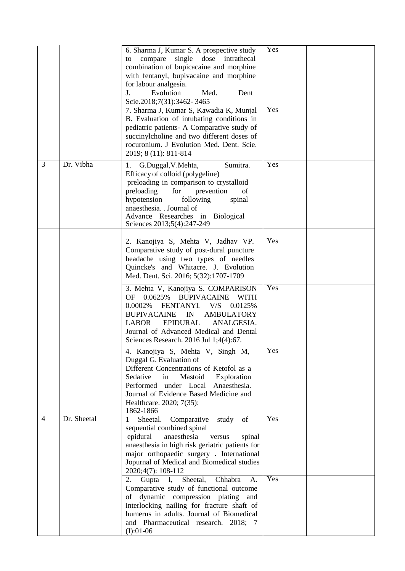|                |             | 6. Sharma J, Kumar S. A prospective study<br>compare<br>single dose intrathecal<br>to<br>combination of bupicacaine and morphine<br>with fentanyl, bupivacaine and morphine<br>for labour analgesia.<br>Med.<br>Evolution<br>J.<br>Dent<br>Scie.2018;7(31):3462-3465<br>7. Sharma J, Kumar S, Kawadia K, Munjal<br>B. Evaluation of intubating conditions in<br>pediatric patients- A Comparative study of<br>succinylcholine and two different doses of<br>rocuronium. J Evolution Med. Dent. Scie.<br>2019; 8 (11): 811-814 | Yes<br>Yes |  |
|----------------|-------------|-------------------------------------------------------------------------------------------------------------------------------------------------------------------------------------------------------------------------------------------------------------------------------------------------------------------------------------------------------------------------------------------------------------------------------------------------------------------------------------------------------------------------------|------------|--|
| $\overline{3}$ | Dr. Vibha   | G.Duggal, V.Mehta,<br>Sumitra.<br>1.<br>Efficacy of colloid (polygeline)<br>preloading in comparison to crystalloid<br>preloading<br>for<br>prevention<br>of<br>hypotension<br>following<br>spinal<br>anaesthesia. . Journal of<br>Advance Researches in Biological<br>Sciences 2013;5(4):247-249                                                                                                                                                                                                                             | Yes        |  |
|                |             | 2. Kanojiya S, Mehta V, Jadhav VP.<br>Comparative study of post-dural puncture<br>headache using two types of needles<br>Quincke's and Whitacre. J. Evolution<br>Med. Dent. Sci. 2016; 5(32):1707-1709                                                                                                                                                                                                                                                                                                                        | Yes        |  |
|                |             | 3. Mehta V, Kanojiya S. COMPARISON<br>0.0625%<br><b>BUPIVACAINE</b><br><b>OF</b><br><b>WITH</b><br>0.0002%<br>FENTANYL V/S<br>0.0125%<br><b>BUPIVACAINE</b><br><b>AMBULATORY</b><br>IN<br><b>LABOR</b><br>EPIDURAL<br>ANALGESIA.<br>Journal of Advanced Medical and Dental<br>Sciences Research. 2016 Jul 1;4(4):67.                                                                                                                                                                                                          | Yes        |  |
|                |             | 4. Kanojiya S, Mehta V, Singh M,<br>Duggal G. Evaluation of<br>Different Concentrations of Ketofol as a<br>Sedative<br>Mastoid<br>Exploration<br>in<br>Performed under Local<br>Anaesthesia.<br>Journal of Evidence Based Medicine and<br>Healthcare. 2020; 7(35):<br>1862-1866                                                                                                                                                                                                                                               | Yes        |  |
| $\overline{4}$ | Dr. Sheetal | Comparative<br>of<br>Sheetal.<br>study<br>1<br>sequential combined spinal<br>epidural<br>anaesthesia<br>versus<br>spinal<br>anaesthesia in high risk geriatric patients for<br>major orthopaedic surgery. International<br>Jopurnal of Medical and Biomedical studies<br>2020;4(7): 108-112                                                                                                                                                                                                                                   | Yes        |  |
|                |             | I,<br>Chhabra<br>A.<br>2.<br>Gupta<br>Sheetal,<br>Comparative study of functional outcome<br>dynamic compression plating<br>of<br>and<br>interlocking nailing for fracture shaft of<br>humerus in adults. Journal of Biomedical<br>and Pharmaceutical research. 2018; 7<br>$(I):01-06$                                                                                                                                                                                                                                        | Yes        |  |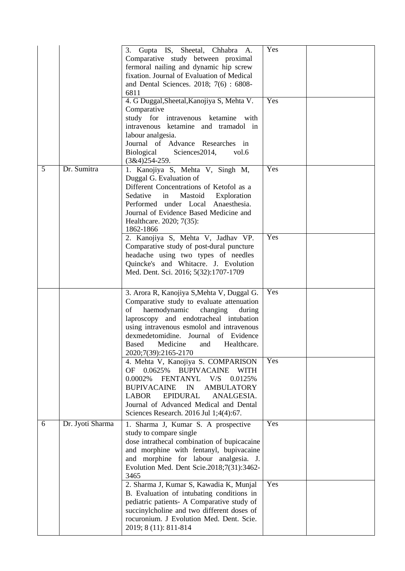|                |                  | 3. Gupta IS, Sheetal, Chhabra A.<br>Comparative study between proximal<br>fermoral nailing and dynamic hip screw<br>fixation. Journal of Evaluation of Medical<br>and Dental Sciences. 2018; 7(6): 6808-<br>6811<br>4. G Duggal, Sheetal, Kanojiya S, Mehta V.<br>Comparative<br>study for intravenous ketamine<br>with<br>intravenous ketamine and tramadol in<br>labour analgesia.<br>Journal of Advance Researches in<br>Biological<br>Sciences2014,<br>vol.6<br>$(3&4)254-259.$ | Yes<br>Yes |  |
|----------------|------------------|-------------------------------------------------------------------------------------------------------------------------------------------------------------------------------------------------------------------------------------------------------------------------------------------------------------------------------------------------------------------------------------------------------------------------------------------------------------------------------------|------------|--|
| $\overline{5}$ | Dr. Sumitra      | 1. Kanojiya S, Mehta V, Singh M,<br>Duggal G. Evaluation of<br>Different Concentrations of Ketofol as a<br>Sedative<br>in<br>Mastoid<br>Exploration<br>Performed under Local Anaesthesia.<br>Journal of Evidence Based Medicine and<br>Healthcare. 2020; 7(35):<br>1862-1866<br>2. Kanojiya S, Mehta V, Jadhav VP.<br>Comparative study of post-dural puncture<br>headache using two types of needles                                                                               | Yes<br>Yes |  |
|                |                  | Quincke's and Whitacre. J. Evolution<br>Med. Dent. Sci. 2016; 5(32):1707-1709                                                                                                                                                                                                                                                                                                                                                                                                       |            |  |
|                |                  | 3. Arora R, Kanojiya S, Mehta V, Duggal G.<br>Comparative study to evaluate attenuation<br>haemodynamic<br>changing<br>of<br>during<br>laproscopy and endotracheal intubation<br>using intravenous esmolol and intravenous<br>dexmedetomidine. Journal of Evidence<br>Based<br>Medicine<br>Healthcare.<br>and<br>2020;7(39):2165-2170                                                                                                                                               | Yes        |  |
|                |                  | 4. Mehta V, Kanojiya S. COMPARISON<br>0.0625%<br><b>OF</b><br><b>BUPIVACAINE</b><br><b>WITH</b><br>0.0002%<br>FENTANYL<br>V/S<br>0.0125%<br><b>BUPIVACAINE</b><br>IN<br><b>AMBULATORY</b><br><b>LABOR</b><br><b>EPIDURAL</b><br>ANALGESIA.<br>Journal of Advanced Medical and Dental<br>Sciences Research. 2016 Jul 1;4(4):67.                                                                                                                                                      | <b>Yes</b> |  |
| 6              | Dr. Jyoti Sharma | 1. Sharma J, Kumar S. A prospective<br>study to compare single<br>dose intrathecal combination of bupicacaine<br>and morphine with fentanyl, bupivacaine<br>and morphine for labour analgesia. J.<br>Evolution Med. Dent Scie.2018;7(31):3462-<br>3465                                                                                                                                                                                                                              | Yes        |  |
|                |                  | 2. Sharma J, Kumar S, Kawadia K, Munjal<br>B. Evaluation of intubating conditions in<br>pediatric patients- A Comparative study of<br>succinylcholine and two different doses of<br>rocuronium. J Evolution Med. Dent. Scie.<br>2019; 8 (11): 811-814                                                                                                                                                                                                                               | Yes        |  |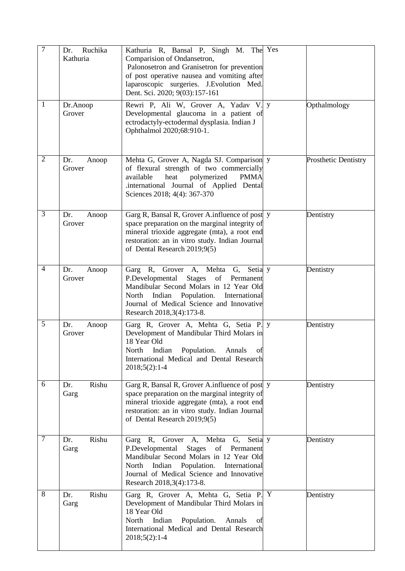| $\overline{7}$ | Ruchika<br>Dr.<br>Kathuria | Kathuria R, Bansal P, Singh M. The Yes<br>Comparision of Ondansetron,<br>Palonosetron and Granisetron for prevention<br>of post operative nausea and vomiting after<br>laparoscopic surgeries. J. Evolution Med.<br>Dent. Sci. 2020; 9(03):157-161                  |                             |
|----------------|----------------------------|---------------------------------------------------------------------------------------------------------------------------------------------------------------------------------------------------------------------------------------------------------------------|-----------------------------|
| $\mathbf{1}$   | Dr.Anoop<br>Grover         | Rewri P, Ali W, Grover A, Yadav V. y<br>Developmental glaucoma in a patient of<br>ectrodactyly-ectodermal dysplasia. Indian J<br>Ophthalmol 2020;68:910-1.                                                                                                          | Opthalmology                |
| $\overline{2}$ | Dr.<br>Anoop<br>Grover     | Mehta G, Grover A, Nagda SJ. Comparison y<br>of flexural strength of two commercially<br>available<br>heat<br>polymerized<br><b>PMMA</b><br>.international Journal of Applied Dental<br>Sciences 2018; 4(4): 367-370                                                | <b>Prosthetic Dentistry</b> |
| $\overline{3}$ | Dr.<br>Anoop<br>Grover     | Garg R, Bansal R, Grover A.influence of post y<br>space preparation on the marginal integrity of<br>mineral trioxide aggregate (mta), a root end<br>restoration: an in vitro study. Indian Journal<br>of Dental Research 2019;9(5)                                  | Dentistry                   |
| $\overline{4}$ | Dr.<br>Anoop<br>Grover     | Garg R, Grover A, Mehta G, Setia y<br>P.Developmental<br>Stages<br>of Permanent<br>Mandibular Second Molars in 12 Year Old<br>North Indian Population. International<br>Journal of Medical Science and Innovative<br>Research 2018, 3(4): 173-8.                    | Dentistry                   |
| $\overline{5}$ | Dr.<br>Anoop<br>Grover     | Garg R, Grover A, Mehta G, Setia P. y<br>Development of Mandibular Third Molars in<br>18 Year Old<br>North<br>Indian<br>Population.<br>Annals<br>ΟÍ<br>International Medical and Dental Research<br>$2018;5(2):1-4$                                                 | Dentistry                   |
| 6              | Rishu<br>Dr.<br>Garg       | Garg R, Bansal R, Grover A.influence of post y<br>space preparation on the marginal integrity of<br>mineral trioxide aggregate (mta), a root end<br>restoration: an in vitro study. Indian Journal<br>of Dental Research 2019;9(5)                                  | Dentistry                   |
| 7              | Rishu<br>Dr.<br>Garg       | Garg R, Grover A, Mehta G, Setia y<br>P.Developmental<br>of<br><b>Stages</b><br>Permanent<br>Mandibular Second Molars in 12 Year Old<br>North<br>Indian<br>Population.<br>International<br>Journal of Medical Science and Innovative<br>Research 2018, 3(4): 173-8. | Dentistry                   |
| 8              | Rishu<br>Dr.<br>Garg       | Garg R, Grover A, Mehta G, Setia P. Y<br>Development of Mandibular Third Molars in<br>18 Year Old<br>North<br>Indian<br>Population.<br>Annals<br>of<br>International Medical and Dental Research<br>$2018;5(2):1-4$                                                 | Dentistry                   |